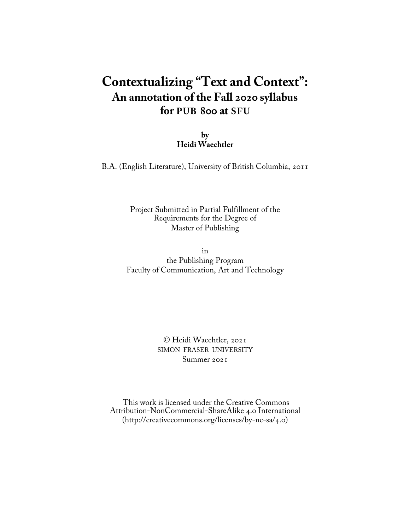# **Contextualizing "Text and Context": An annotation of the Fall 2020 syllabus for PUB 800 at SFU**

**by Heidi Waechtler**

B.A. (English Literature), University of British Columbia, 2011

Project Submitted in Partial Fulfillment of the Requirements for the Degree of Master of Publishing

in the Publishing Program Faculty of Communication, Art and Technology

> © Heidi Waechtler, 2021 SIMON FRASER UNIVERSITY Summer 2021

 This work is licensed under the Creative Commons Attribution-NonCommercial-ShareAlike 4.0 International [\(http://creativecommons.org/licenses/by-nc-sa/4.0](http://creativecommons.org/licenses/by-nc-sa/4.0/))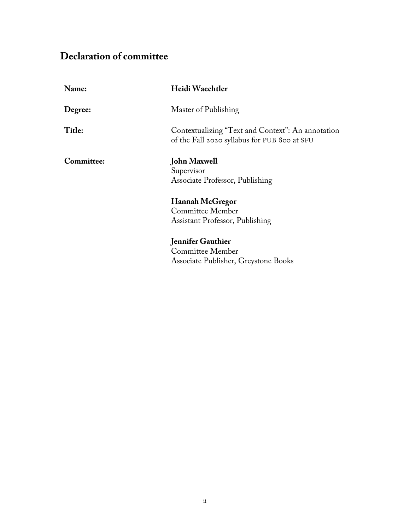# <span id="page-1-0"></span>**Declaration of committee**

| Name:      | Heidi Waechtler                                                                                   |
|------------|---------------------------------------------------------------------------------------------------|
| Degree:    | Master of Publishing                                                                              |
| Title:     | Contextualizing "Text and Context": An annotation<br>of the Fall 2020 syllabus for PUB 800 at SFU |
| Committee: | <b>John Maxwell</b><br>Supervisor<br>Associate Professor, Publishing                              |
|            | Hannah McGregor<br>Committee Member<br>Assistant Professor, Publishing                            |
|            | <b>Jennifer Gauthier</b><br>Committee Member<br>Associate Publisher, Greystone Books              |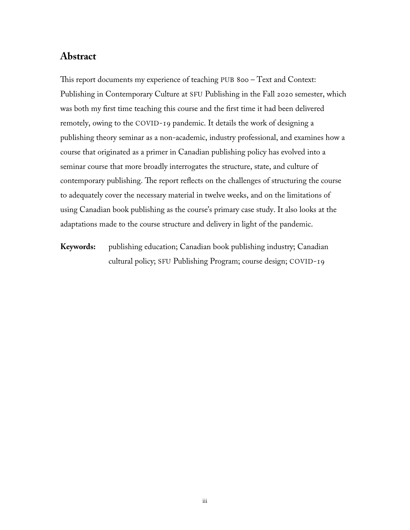### <span id="page-2-0"></span>**Abstract**

This report documents my experience of teaching PUB 800 – Text and Context: Publishing in Contemporary Culture at SFU Publishing in the Fall 2020 semester, which was both my first time teaching this course and the first time it had been delivered remotely, owing to the COVID-19 pandemic. It details the work of designing a publishing theory seminar as a non-academic, industry professional, and examines how a course that originated as a primer in Canadian publishing policy has evolved into a seminar course that more broadly interrogates the structure, state, and culture of contemporary publishing. The report reflects on the challenges of structuring the course to adequately cover the necessary material in twelve weeks, and on the limitations of using Canadian book publishing as the course's primary case study. It also looks at the adaptations made to the course structure and delivery in light of the pandemic.

**Keywords:** publishing education; Canadian book publishing industry; Canadian cultural policy; SFU Publishing Program; course design; COVID-19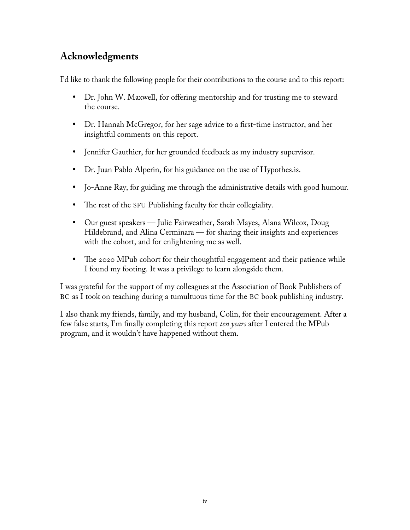# <span id="page-3-0"></span>**Acknowledgments**

I'd like to thank the following people for their contributions to the course and to this report:

- Dr. John W. Maxwell, for offering mentorship and for trusting me to steward the course.
- Dr. Hannah McGregor, for her sage advice to a first-time instructor, and her insightful comments on this report.
- Jennifer Gauthier, for her grounded feedback as my industry supervisor.
- Dr. Juan Pablo Alperin, for his guidance on the use of Hypothes.is.
- Jo-Anne Ray, for guiding me through the administrative details with good humour.
- The rest of the SFU Publishing faculty for their collegiality.
- Our guest speakers Julie Fairweather, Sarah Mayes, Alana Wilcox, Doug Hildebrand, and Alina Cerminara — for sharing their insights and experiences with the cohort, and for enlightening me as well.
- The 2020 MPub cohort for their thoughtful engagement and their patience while I found my footing. It was a privilege to learn alongside them.

I was grateful for the support of my colleagues at the Association of Book Publishers of BC as I took on teaching during a tumultuous time for the BC book publishing industry.

I also thank my friends, family, and my husband, Colin, for their encouragement. After a few false starts, I'm finally completing this report *ten years* after I entered the MPub program, and it wouldn't have happened without them.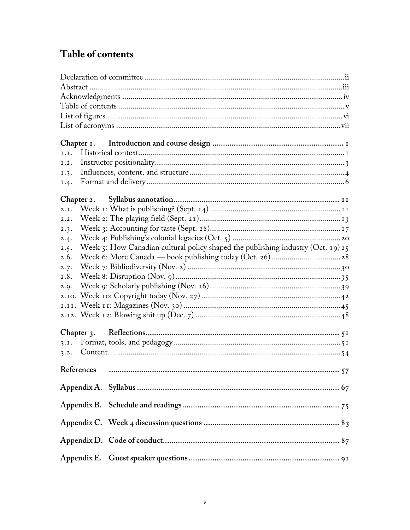# <span id="page-4-0"></span>Table of contents

| I.I.                                                                                     |  |
|------------------------------------------------------------------------------------------|--|
| I.2.                                                                                     |  |
| 1.3.                                                                                     |  |
| 1.4.                                                                                     |  |
|                                                                                          |  |
|                                                                                          |  |
| 2.I.                                                                                     |  |
| 2.2.                                                                                     |  |
| 2.3.                                                                                     |  |
| 2.4.                                                                                     |  |
| Week 5: How Canadian cultural policy shaped the publishing industry (Oct. 19) 25<br>2.5. |  |
| 2.6.                                                                                     |  |
| 2.7.                                                                                     |  |
| 2.8.                                                                                     |  |
| 2.9.                                                                                     |  |
|                                                                                          |  |
|                                                                                          |  |
|                                                                                          |  |
|                                                                                          |  |
|                                                                                          |  |
| 3.1.                                                                                     |  |
|                                                                                          |  |
| References                                                                               |  |
|                                                                                          |  |
|                                                                                          |  |
|                                                                                          |  |
|                                                                                          |  |
|                                                                                          |  |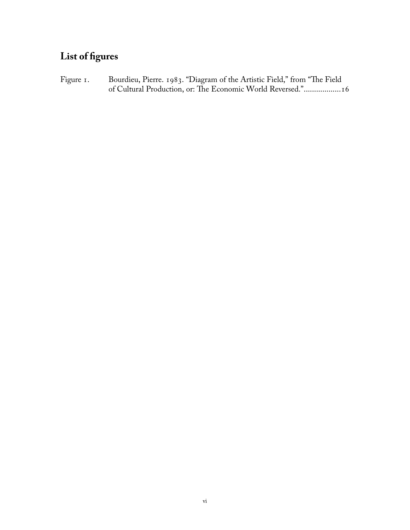# <span id="page-5-0"></span>**List of figures**

Figure 1. Bourdieu, Pierre. 1983. "Diagram of the Artistic Field," from "The Field of Cultural Production, or: The Economic World Reversed."..................16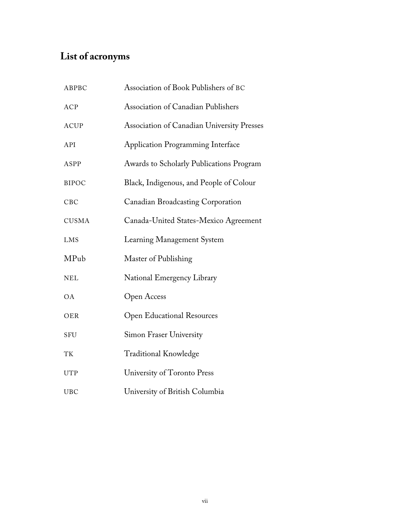# <span id="page-6-0"></span>**List of acronyms**

| ABPBC        | Association of Book Publishers of BC              |
|--------------|---------------------------------------------------|
| <b>ACP</b>   | Association of Canadian Publishers                |
| <b>ACUP</b>  | <b>Association of Canadian University Presses</b> |
| API          | <b>Application Programming Interface</b>          |
| ASPP         | Awards to Scholarly Publications Program          |
| <b>BIPOC</b> | Black, Indigenous, and People of Colour           |
| CBC          | Canadian Broadcasting Corporation                 |
| <b>CUSMA</b> | Canada-United States-Mexico Agreement             |
| LMS          | Learning Management System                        |
| MPub         | Master of Publishing                              |
| <b>NEL</b>   | National Emergency Library                        |
| <b>OA</b>    | Open Access                                       |
| OER          | <b>Open Educational Resources</b>                 |
| SFU          | <b>Simon Fraser University</b>                    |
| TK           | <b>Traditional Knowledge</b>                      |
| <b>UTP</b>   | University of Toronto Press                       |
| <b>UBC</b>   | University of British Columbia                    |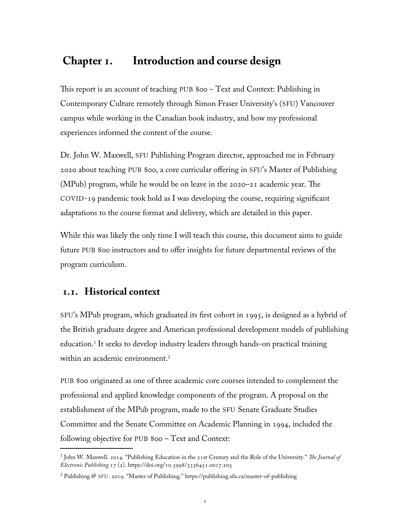## <span id="page-7-0"></span> **Chapter 1. Introduction and course design**

This report is an account of teaching PUB 800 – Text and Context: Publishing in Contemporary Culture remotely through Simon Fraser University's (SFU) Vancouver campus while working in the Canadian book industry, and how my professional experiences informed the content of the course.

Dr. John W. Maxwell, SFU Publishing Program director, approached me in February 2020 about teaching PUB 800, a core curricular offering in SFU's Master of Publishing (MPub) program, while he would be on leave in the 2020–21 academic year. The COVID-19 pandemic took hold as I was developing the course, requiring significant adaptations to the course format and delivery, which are detailed in this paper.

While this was likely the only time I will teach this course, this document aims to guide future PUB 800 instructors and to offer insights for future departmental reviews of the program curriculum.

### **1.1. Historical context**

SFU's MPub program, which graduated its first cohort in 1995, is designed as a hybrid of the British graduate degree and American professional development models of publishing education.[1](#page-7-1) It seeks to develop industry leaders through hands-on practical training within an academic environment.<sup>[2](#page-7-2)</sup>

PUB 800 originated as one of three academic core courses intended to complement the professional and applied knowledge components of the program. A proposal on the establishment of the MPub program, made to the SFU Senate Graduate Studies Committee and the Senate Committee on Academic Planning in 1994, included the following objective for PUB 800 – Text and Context:

<span id="page-7-1"></span><sup>1</sup> John W. Maxwell. 2014. "Publishing Education in the 21st Century and the Role of the University." *The Journal of Electronic Publishing* 17 (2). <https://doi.org/10.3998/3336451.0017.205>

<span id="page-7-2"></span> $^2$  Publishing @ SFU. 2019. "Master of Publishing." https://publishing.sfu.ca/master-of-publishing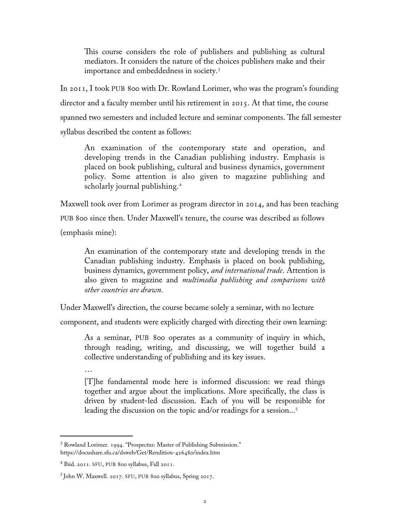This course considers the role of publishers and publishing as cultural mediators. It considers the nature of the choices publishers make and their importance and embeddedness in society.[3](#page-8-0)

In 2011, I took PUB 800 with Dr. Rowland Lorimer, who was the program's founding director and a faculty member until his retirement in 2015. At that time, the course spanned two semesters and included lecture and seminar components. The fall semester syllabus described the content as follows:

An examination of the contemporary state and operation, and developing trends in the Canadian publishing industry. Emphasis is placed on book publishing, cultural and business dynamics, government policy. Some attention is also given to magazine publishing and scholarly journal publishing.<sup>[4](#page-8-1)</sup>

Maxwell took over from Lorimer as program director in 2014, and has been teaching

PUB 800 since then. Under Maxwell's tenure, the course was described as follows

(emphasis mine):

An examination of the contemporary state and developing trends in the Canadian publishing industry. Emphasis is placed on book publishing, business dynamics, government policy, *and international trade*. Attention is also given to magazine and *multimedia publishing and comparisons with other countries are drawn.*

Under Maxwell's direction, the course became solely a seminar, with no lecture

component, and students were explicitly charged with directing their own learning:

As a seminar, PUB 800 operates as a community of inquiry in which, through reading, writing, and discussing, we will together build a collective understanding of publishing and its key issues.

…

[T]he fundamental mode here is informed discussion: we read things together and argue about the implications. More specifically, the class is driven by student-led discussion. Each of you will be responsible for leading the discussion on the topic and/or readings for a session...<sup>[5](#page-8-2)</sup>

<span id="page-8-0"></span><sup>3</sup> Rowland Lorimer. 1994. "Prospectus: Master of Publishing Submission." <https://docushare.sfu.ca/dsweb/Get/Rendition-426480/index.htm>

<span id="page-8-1"></span><sup>4</sup> Ibid. 2011. SFU, PUB 800 syllabus, Fall 2011.

<span id="page-8-2"></span><sup>5</sup> John W. Maxwell. 2017. SFU, PUB 800 syllabus, Spring 2017.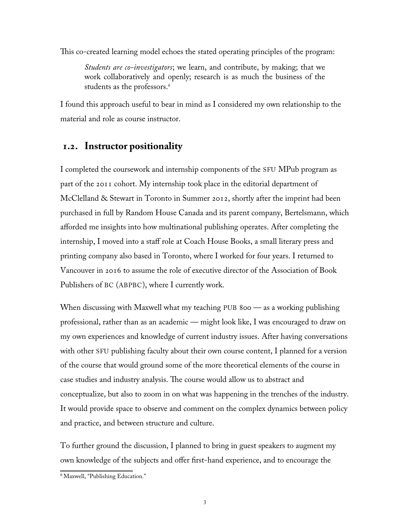<span id="page-9-0"></span>This co-created learning model echoes the stated operating principles of the program:

*Students are co-investigators*; we learn, and contribute, by making; that we work collaboratively and openly; research is as much the business of the students as the professors. [6](#page-9-1)

I found this approach useful to bear in mind as I considered my own relationship to the material and role as course instructor.

### **1.2. Instructor positionality**

I completed the coursework and internship components of the SFU MPub program as part of the 2011 cohort. My internship took place in the editorial department of McClelland & Stewart in Toronto in Summer 2012, shortly after the imprint had been purchased in full by Random House Canada and its parent company, Bertelsmann, which afforded me insights into how multinational publishing operates. After completing the internship, I moved into a staff role at Coach House Books, a small literary press and printing company also based in Toronto, where I worked for four years. I returned to Vancouver in 2016 to assume the role of executive director of the Association of Book Publishers of BC (ABPBC), where I currently work.

When discussing with Maxwell what my teaching PUB 800 — as a working publishing professional, rather than as an academic — might look like, I was encouraged to draw on my own experiences and knowledge of current industry issues. After having conversations with other SFU publishing faculty about their own course content, I planned for a version of the course that would ground some of the more theoretical elements of the course in case studies and industry analysis. The course would allow us to abstract and conceptualize, but also to zoom in on what was happening in the trenches of the industry. It would provide space to observe and comment on the complex dynamics between policy and practice, and between structure and culture.

To further ground the discussion, I planned to bring in guest speakers to augment my own knowledge of the subjects and offer first-hand experience, and to encourage the

<span id="page-9-1"></span><sup>6</sup> Maxwell, "Publishing Education."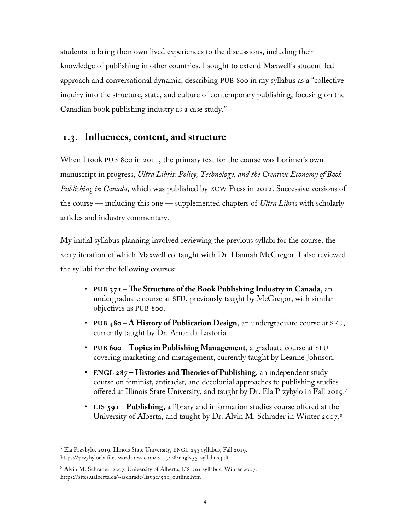<span id="page-10-0"></span>students to bring their own lived experiences to the discussions, including their knowledge of publishing in other countries. I sought to extend Maxwell's student-led approach and conversational dynamic, describing PUB 800 in my syllabus as a "collective inquiry into the structure, state, and culture of contemporary publishing, focusing on the Canadian book publishing industry as a case study."

### **1.3. Influences, content, and structure**

When I took PUB 800 in 2011, the primary text for the course was Lorimer's own manuscript in progress, *Ultra Libris: Policy, Technology, and the Creative Economy of Book Publishing in Canada*, which was published by ECW Press in 2012. Successive versions of the course — including this one — supplemented chapters of *Ultra Libri*s with scholarly articles and industry commentary.

My initial syllabus planning involved reviewing the previous syllabi for the course, the 2017 iteration of which Maxwell co-taught with Dr. Hannah McGregor. I also reviewed the syllabi for the following courses:

- **PUB 371 – The Structure of the Book Publishing Industry in Canada**, an undergraduate course at SFU, previously taught by McGregor, with similar objectives as PUB 800.
- **PUB 480 A History of Publication Design**, an undergraduate course at SFU, currently taught by Dr. Amanda Lastoria.
- **PUB 600 Topics in Publishing Management**, a graduate course at SFU covering marketing and management, currently taught by Leanne Johnson.
- **ENGL 287 – Histories and Theories of Publishing**, an independent study course on feminist, antiracist, and decolonial approaches to publishing studies offered at Illinois State University, and taught by Dr. Ela Przybylo in Fall 2019.[7](#page-10-1)
- **LIS 591 Publishing**, a library and information studies course offered at the University of Alberta, and taught by Dr. Alvin M. Schrader in Winter 2007.<sup>[8](#page-10-2)</sup>

<span id="page-10-1"></span><sup>7</sup> Ela Przybylo. 2019. Illinois State University, ENGL 253 syllabus, Fall 2019. <https://przybyloela.files.wordpress.com/2019/08/engl253-syllabus.pdf>

<span id="page-10-2"></span><sup>8</sup> Alvin M. Schrader. 2007. University of Alberta, LIS 591 syllabus, Winter 2007. https://sites.ualberta.ca/~aschrade/lis591/591\_outline.htm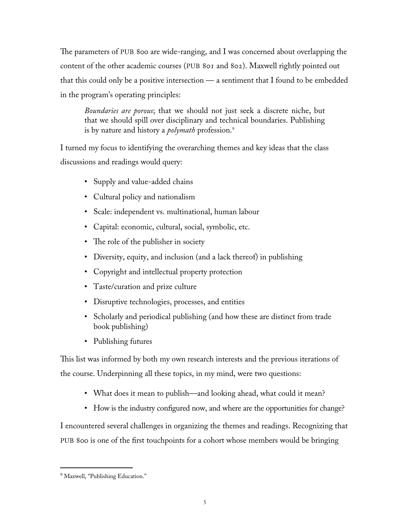The parameters of PUB 800 are wide-ranging, and I was concerned about overlapping the content of the other academic courses (PUB 801 and 802). Maxwell rightly pointed out that this could only be a positive intersection — a sentiment that I found to be embedded in the program's operating principles:

*Boundaries are porous*; that we should not just seek a discrete niche, but that we should spill over disciplinary and technical boundaries. Publishing is by nature and history a *polymath* profession.[9](#page-11-0)

I turned my focus to identifying the overarching themes and key ideas that the class discussions and readings would query:

- Supply and value-added chains
- Cultural policy and nationalism
- Scale: independent vs. multinational, human labour
- Capital: economic, cultural, social, symbolic, etc.
- The role of the publisher in society
- Diversity, equity, and inclusion (and a lack thereof) in publishing
- Copyright and intellectual property protection
- Taste/curation and prize culture
- Disruptive technologies, processes, and entities
- Scholarly and periodical publishing (and how these are distinct from trade book publishing)
- Publishing futures

This list was informed by both my own research interests and the previous iterations of the course. Underpinning all these topics, in my mind, were two questions:

- What does it mean to publish—and looking ahead, what could it mean?
- How is the industry configured now, and where are the opportunities for change?

I encountered several challenges in organizing the themes and readings. Recognizing that PUB 800 is one of the first touchpoints for a cohort whose members would be bringing

<span id="page-11-0"></span><sup>&</sup>lt;sup>9</sup> Maxwell, "Publishing Education."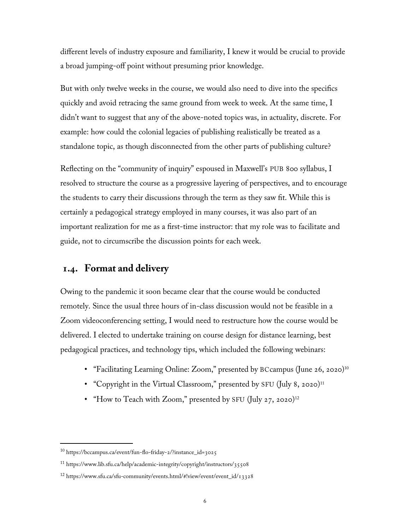<span id="page-12-0"></span>different levels of industry exposure and familiarity, I knew it would be crucial to provide a broad jumping-off point without presuming prior knowledge.

But with only twelve weeks in the course, we would also need to dive into the specifics quickly and avoid retracing the same ground from week to week. At the same time, I didn't want to suggest that any of the above-noted topics was, in actuality, discrete. For example: how could the colonial legacies of publishing realistically be treated as a standalone topic, as though disconnected from the other parts of publishing culture?

Reflecting on the "community of inquiry" espoused in Maxwell's PUB 800 syllabus, I resolved to structure the course as a progressive layering of perspectives, and to encourage the students to carry their discussions through the term as they saw fit. While this is certainly a pedagogical strategy employed in many courses, it was also part of an important realization for me as a first-time instructor: that my role was to facilitate and guide, not to circumscribe the discussion points for each week.

### **1.4. Format and delivery**

Owing to the pandemic it soon became clear that the course would be conducted remotely. Since the usual three hours of in-class discussion would not be feasible in a Zoom videoconferencing setting, I would need to restructure how the course would be delivered. I elected to undertake training on course design for distance learning, best pedagogical practices, and technology tips, which included the following webinars:

- "Facilitating Learning Online: Zoom," presented by BCcampus (June 26, 2020)<sup>[10](#page-12-1)</sup>
- "Copyright in the Virtual Classroom," presented by SFU (July 8, 2020)<sup>[11](#page-12-2)</sup>
- "How to Teach with Zoom," presented by SFU (July 27, 2020)<sup>[12](#page-12-3)</sup>

<span id="page-12-1"></span><sup>10</sup> https://bccampus.ca/event/fun-flo-friday-2/?instance\_id=3025

<span id="page-12-2"></span><sup>11</sup> https://www.lib.sfu.ca/help/academic-integrity/copyright/instructors/35508

<span id="page-12-3"></span><sup>12</sup> [https://www.sfu.ca/sfu-community/events.html/#!view/event/event\\_id/13328](https://www.sfu.ca/sfu-community/events.html/#!view/event/event_id/13328)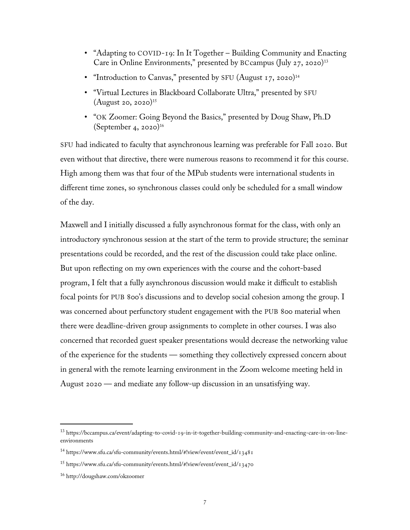- "Adapting to COVID-19: In It Together Building Community and Enacting Care in Online Environments," presented by BCcampus (July 27, 2020)[13](#page-13-0)
- "Introduction to Canvas," presented by SFU (August 17, 2020)<sup>[14](#page-13-1)</sup>
- "Virtual Lectures in Blackboard Collaborate Ultra," presented by SFU (August 20, 2020)[15](#page-13-2)
- "OK Zoomer: Going Beyond the Basics," presented by Doug Shaw, Ph.D (September 4, 2020)<sup>[16](#page-13-3)</sup>

SFU had indicated to faculty that asynchronous learning was preferable for Fall 2020. But even without that directive, there were numerous reasons to recommend it for this course. High among them was that four of the MPub students were international students in different time zones, so synchronous classes could only be scheduled for a small window of the day.

Maxwell and I initially discussed a fully asynchronous format for the class, with only an introductory synchronous session at the start of the term to provide structure; the seminar presentations could be recorded, and the rest of the discussion could take place online. But upon reflecting on my own experiences with the course and the cohort-based program, I felt that a fully asynchronous discussion would make it difficult to establish focal points for PUB 800's discussions and to develop social cohesion among the group. I was concerned about perfunctory student engagement with the PUB 800 material when there were deadline-driven group assignments to complete in other courses. I was also concerned that recorded guest speaker presentations would decrease the networking value of the experience for the students — something they collectively expressed concern about in general with the remote learning environment in the Zoom welcome meeting held in August 2020 — and mediate any follow-up discussion in an unsatisfying way.

<span id="page-13-0"></span><sup>13</sup> https://bccampus.ca/event/adapting-to-covid-19-in-it-together-building-community-and-enacting-care-in-on-lineenvironments

<span id="page-13-1"></span><sup>14</sup> [https://www.sfu.ca/sfu-community/events.html/#!view/event/event\\_id/13481](https://www.sfu.ca/sfu-community/events.html/#!view/event/event_id/13481)

<span id="page-13-2"></span><sup>15</sup> [https://www.sfu.ca/sfu-community/events.html/#!view/event/event\\_id/13470](https://www.sfu.ca/sfu-community/events.html/#!view/event/event_id/13470)

<span id="page-13-3"></span><sup>16</sup> http://dougshaw.com/okzoomer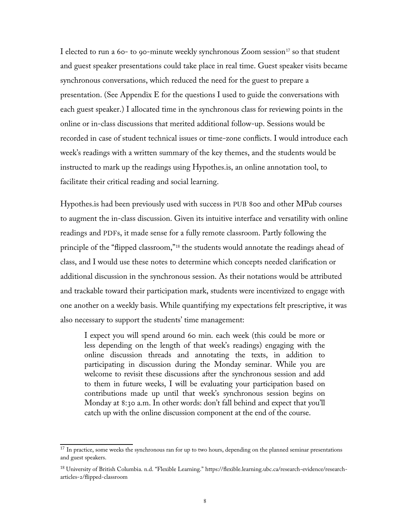I elected to run a 60- to 90-minute weekly synchronous Zoom session<sup>[17](#page-14-0)</sup> so that student and guest speaker presentations could take place in real time. Guest speaker visits became synchronous conversations, which reduced the need for the guest to prepare a presentation. (See Appendix E for the questions I used to guide the conversations with each guest speaker.) I allocated time in the synchronous class for reviewing points in the online or in-class discussions that merited additional follow-up. Sessions would be recorded in case of student technical issues or time-zone conflicts. I would introduce each week's readings with a written summary of the key themes, and the students would be instructed to mark up the readings using Hypothes.is, an online annotation tool, to facilitate their critical reading and social learning.

Hypothes.is had been previously used with success in PUB 800 and other MPub courses to augment the in-class discussion. Given its intuitive interface and versatility with online readings and PDFs, it made sense for a fully remote classroom. Partly following the principle of the "flipped classroom,"<sup>[18](#page-14-1)</sup> the students would annotate the readings ahead of class, and I would use these notes to determine which concepts needed clarification or additional discussion in the synchronous session. As their notations would be attributed and trackable toward their participation mark, students were incentivized to engage with one another on a weekly basis. While quantifying my expectations felt prescriptive, it was also necessary to support the students' time management:

I expect you will spend around 60 min. each week (this could be more or less depending on the length of that week's readings) engaging with the online discussion threads and annotating the texts, in addition to participating in discussion during the Monday seminar. While you are welcome to revisit these discussions after the synchronous session and add to them in future weeks, I will be evaluating your participation based on contributions made up until that week's synchronous session begins on Monday at 8:30 a.m. In other words: don't fall behind and expect that you'll catch up with the online discussion component at the end of the course.

<span id="page-14-0"></span><sup>&</sup>lt;sup>17</sup> In practice, some weeks the synchronous ran for up to two hours, depending on the planned seminar presentations and guest speakers.

<span id="page-14-1"></span><sup>18</sup> University of British Columbia. n.d. "Flexible Learning." [https://flexible.learning.ubc.ca/research-evidence/research](https://flexible.learning.ubc.ca/research-evidence/research-articles-2/flipped-classroom)[articles-2/flipped-classroom](https://flexible.learning.ubc.ca/research-evidence/research-articles-2/flipped-classroom)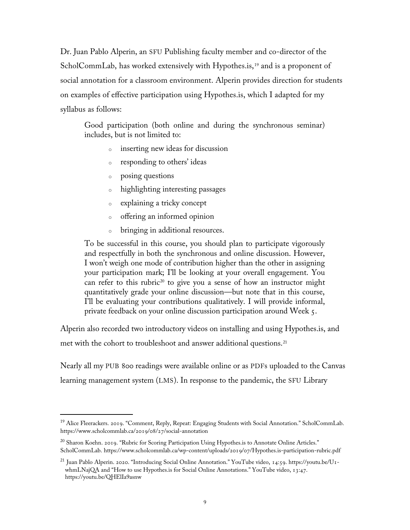Dr. Juan Pablo Alperin, an SFU Publishing faculty member and co-director of the ScholCommLab, has worked extensively with Hypothes.is,<sup>[19](#page-15-0)</sup> and is a proponent of social annotation for a classroom environment. Alperin provides direction for students on examples of effective participation using Hypothes.is, which I adapted for my syllabus as follows:

Good participation (both online and during the synchronous seminar) includes, but is not limited to:

- <sup>o</sup> inserting new ideas for discussion
- <sup>o</sup> responding to others' ideas
- <sup>o</sup> posing questions
- <sup>o</sup> highlighting interesting passages
- <sup>o</sup> explaining a tricky concept
- <sup>o</sup> offering an informed opinion
- <sup>o</sup> bringing in additional resources.

To be successful in this course, you should plan to participate vigorously and respectfully in both the synchronous and online discussion. However, I won't weigh one mode of contribution higher than the other in assigning your participation mark; I'll be looking at your overall engagement. You can refer to this rubric<sup>[20](#page-15-1)</sup> to give you a sense of how an instructor might quantitatively grade your online discussion—but note that in this course, I'll be evaluating your contributions qualitatively. I will provide informal, private feedback on your online discussion participation around Week 5.

Alperin also recorded two introductory videos on installing and using Hypothes.is, and met with the cohort to troubleshoot and answer additional questions.<sup>[21](#page-15-2)</sup>

Nearly all my PUB 800 readings were available online or as PDFs uploaded to the Canvas learning management system (LMS). In response to the pandemic, the SFU Library

<span id="page-15-0"></span><sup>&</sup>lt;sup>19</sup> Alice Fleerackers. 2019. "Comment, Reply, Repeat: Engaging Students with Social Annotation." ScholCommLab. https://www.scholcommlab.ca/2019/08/27/social-annotation

<span id="page-15-1"></span> $^{20}$  Sharon Koehn. 2019. "Rubric for Scoring Participation Using Hypothes.is to Annotate Online Articles." ScholCommLab. https://www.scholcommlab.ca/wp-content/uploads/2019/07/Hypothes.is-participation-rubric.pdf

<span id="page-15-2"></span><sup>21</sup> Juan Pablo Alperin. 2020. "Introducing Social Online Annotation." YouTube video, 14:59. https://youtu.be/U1 whmLNajQA and "How to use Hypothes.is for Social Online Annotations." YouTube video, 13:47. <https://youtu.be/QHElIa9asnw>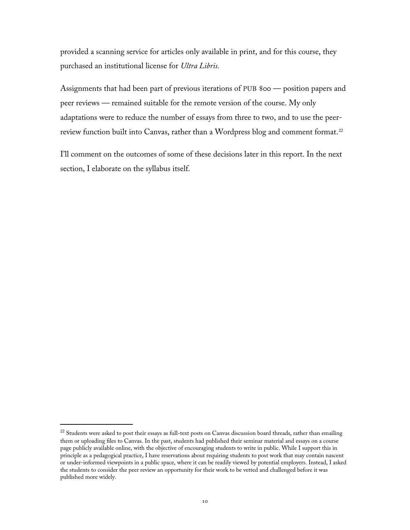provided a scanning service for articles only available in print, and for this course, they purchased an institutional license for *Ultra Libris.*

Assignments that had been part of previous iterations of PUB 800 — position papers and peer reviews — remained suitable for the remote version of the course. My only adaptations were to reduce the number of essays from three to two, and to use the peer-review function built into Canvas, rather than a Wordpress blog and comment format.<sup>[22](#page-16-0)</sup>

I'll comment on the outcomes of some of these decisions later in this report. In the next section, I elaborate on the syllabus itself.

<span id="page-16-0"></span><sup>&</sup>lt;sup>22</sup> Students were asked to post their essays as full-text posts on Canvas discussion board threads, rather than emailing them or uploading files to Canvas. In the past, students had published their seminar material and essays on a course page publicly available online, with the objective of encouraging students to write in public. While I support this in principle as a pedagogical practice, I have reservations about requiring students to post work that may contain nascent or under-informed viewpoints in a public space, where it can be readily viewed by potential employers. Instead, I asked the students to consider the peer review an opportunity for their work to be vetted and challenged before it was published more widely.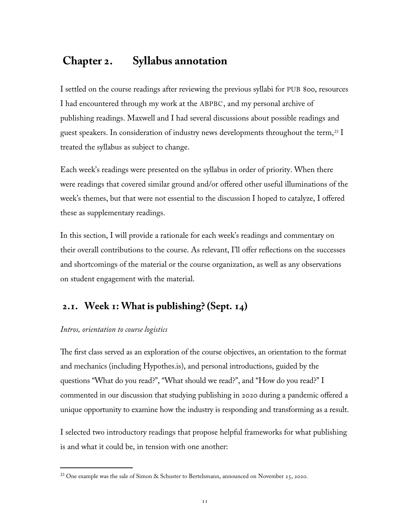# <span id="page-17-0"></span> **Chapter 2. Syllabus annotation**

I settled on the course readings after reviewing the previous syllabi for PUB 800, resources I had encountered through my work at the ABPBC, and my personal archive of publishing readings. Maxwell and I had several discussions about possible readings and guest speakers. In consideration of industry news developments throughout the term,<sup>[23](#page-17-1)</sup> I treated the syllabus as subject to change.

Each week's readings were presented on the syllabus in order of priority. When there were readings that covered similar ground and/or offered other useful illuminations of the week's themes, but that were not essential to the discussion I hoped to catalyze, I offered these as supplementary readings.

In this section, I will provide a rationale for each week's readings and commentary on their overall contributions to the course. As relevant, I'll offer reflections on the successes and shortcomings of the material or the course organization, as well as any observations on student engagement with the material.

## **2.1. Week 1: What is publishing? (Sept. 14)**

#### *Intros, orientation to course logistics*

The first class served as an exploration of the course objectives, an orientation to the format and mechanics (including Hypothes.is), and personal introductions, guided by the questions "What do you read?", "What should we read?", and "How do you read?" I commented in our discussion that studying publishing in 2020 during a pandemic offered a unique opportunity to examine how the industry is responding and transforming as a result.

I selected two introductory readings that propose helpful frameworks for what publishing is and what it could be, in tension with one another:

<span id="page-17-1"></span><sup>&</sup>lt;sup>23</sup> One example was the sale of Simon & Schuster to Bertelsmann, announced on November 25, 2020.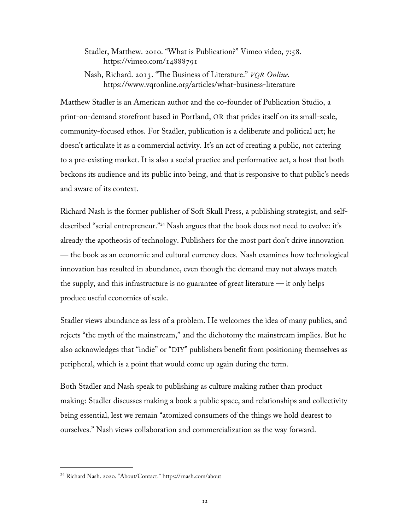Stadler, Matthew. 2010. "What is Publication?" Vimeo video, 7:58. <https://vimeo.com/14888791>

Nash, Richard. 2013. "The Business of Literature." *VQR Online.* https://www.vqronline.org/articles/what-business-literature

Matthew Stadler is an American author and the co-founder of Publication Studio, a print-on-demand storefront based in Portland, OR that prides itself on its small-scale, community-focused ethos. For Stadler, publication is a deliberate and political act; he doesn't articulate it as a commercial activity. It's an act of creating a public, not catering to a pre-existing market. It is also a social practice and performative act, a host that both beckons its audience and its public into being, and that is responsive to that public's needs and aware of its context.

Richard Nash is the former publisher of Soft Skull Press, a publishing strategist, and selfdescribed "serial entrepreneur."[24](#page-18-0) Nash argues that the book does not need to evolve: it's already the apotheosis of technology. Publishers for the most part don't drive innovation — the book as an economic and cultural currency does. Nash examines how technological innovation has resulted in abundance, even though the demand may not always match the supply, and this infrastructure is no guarantee of great literature — it only helps produce useful economies of scale.

Stadler views abundance as less of a problem. He welcomes the idea of many publics, and rejects "the myth of the mainstream," and the dichotomy the mainstream implies. But he also acknowledges that "indie" or "DIY" publishers benefit from positioning themselves as peripheral, which is a point that would come up again during the term.

Both Stadler and Nash speak to publishing as culture making rather than product making: Stadler discusses making a book a public space, and relationships and collectivity being essential, lest we remain "atomized consumers of the things we hold dearest to ourselves." Nash views collaboration and commercialization as the way forward.

<span id="page-18-0"></span><sup>24</sup> Richard Nash. 2020. "About/Contact." <https://rnash.com/about>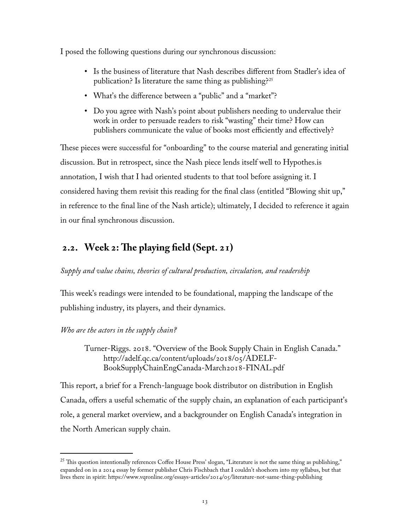<span id="page-19-0"></span>I posed the following questions during our synchronous discussion:

- Is the business of literature that Nash describes different from Stadler's idea of publication? Is literature the same thing as publishing?[25](#page-19-1)
- What's the difference between a "public" and a "market"?
- Do you agree with Nash's point about publishers needing to undervalue their work in order to persuade readers to risk "wasting" their time? How can publishers communicate the value of books most efficiently and effectively?

These pieces were successful for "onboarding" to the course material and generating initial discussion. But in retrospect, since the Nash piece lends itself well to Hypothes.is annotation, I wish that I had oriented students to that tool before assigning it. I considered having them revisit this reading for the final class (entitled "Blowing shit up," in reference to the final line of the Nash article); ultimately, I decided to reference it again in our final synchronous discussion.

## **2.2. Week 2: The playing field (Sept. 21)**

#### *Supply and value chains, theories of cultural production, circulation, and readership*

This week's readings were intended to be foundational, mapping the landscape of the publishing industry, its players, and their dynamics.

#### *Who are the actors in the supply chain?*

Turner-Riggs. 2018. "Overview of the Book Supply Chain in English Canada." http://adelf.qc.ca/content/uploads/2018/05/ADELF-BookSupplyChainEngCanada-March2018-FINAL.pdf

This report, a brief for a French-language book distributor on distribution in English Canada, offers a useful schematic of the supply chain, an explanation of each participant's role, a general market overview, and a backgrounder on English Canada's integration in the North American supply chain.

<span id="page-19-1"></span> $^{25}$  This question intentionally references Coffee House Press' slogan, "Literature is not the same thing as publishing," expanded on in a 2014 essay by former publisher Chris Fischbach that I couldn't shoehorn into my syllabus, but that lives there in spirit:<https://www.vqronline.org/essays-articles/2014/05/literature-not-same-thing-publishing>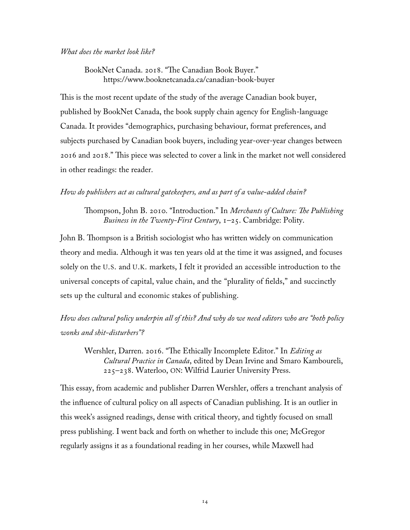#### *What does the market look like?*

BookNet Canada. 2018. "The Canadian Book Buyer." https://www.booknetcanada.ca/canadian-book-buyer

This is the most recent update of the study of the average Canadian book buyer, published by BookNet Canada, the book supply chain agency for English-language Canada. It provides "demographics, purchasing behaviour, format preferences, and subjects purchased by Canadian book buyers, including year-over-year changes between 2016 and 2018." This piece was selected to cover a link in the market not well considered in other readings: the reader.

#### *How do publishers act as cultural gatekeepers, and as part of a value-added chain?*

Thompson, John B. 2010. "Introduction." In *Merchants of Culture: The Publishing Business in the Twenty-First Century*, 1–25. Cambridge: Polity.

John B. Thompson is a British sociologist who has written widely on communication theory and media. Although it was ten years old at the time it was assigned, and focuses solely on the U.S. and U.K. markets, I felt it provided an accessible introduction to the universal concepts of capital, value chain, and the "plurality of fields," and succinctly sets up the cultural and economic stakes of publishing.

*How does cultural policy underpin all of this? And why do we need editors who are "both policy wonks and shit-disturbers"?*

Wershler, Darren. 2016. "The Ethically Incomplete Editor." In *Editing as Cultural Practice in Canada*, edited by Dean Irvine and Smaro Kamboureli, 225–238. Waterloo, ON: Wilfrid Laurier University Press.

This essay, from academic and publisher Darren Wershler, offers a trenchant analysis of the influence of cultural policy on all aspects of Canadian publishing. It is an outlier in this week's assigned readings, dense with critical theory, and tightly focused on small press publishing. I went back and forth on whether to include this one; McGregor regularly assigns it as a foundational reading in her courses, while Maxwell had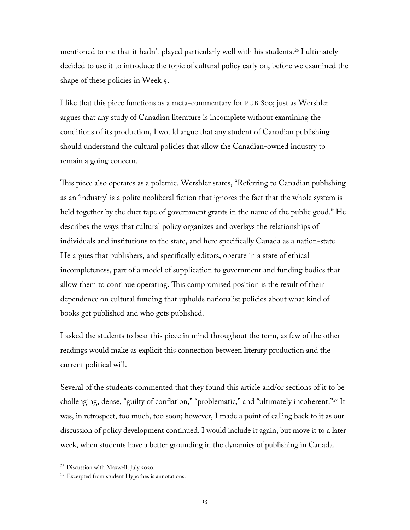mentioned to me that it hadn't played particularly well with his students.<sup>[26](#page-21-0)</sup> I ultimately decided to use it to introduce the topic of cultural policy early on, before we examined the shape of these policies in Week 5.

I like that this piece functions as a meta-commentary for PUB 800; just as Wershler argues that any study of Canadian literature is incomplete without examining the conditions of its production, I would argue that any student of Canadian publishing should understand the cultural policies that allow the Canadian-owned industry to remain a going concern.

This piece also operates as a polemic. Wershler states, "Referring to Canadian publishing as an 'industry' is a polite neoliberal fiction that ignores the fact that the whole system is held together by the duct tape of government grants in the name of the public good." He describes the ways that cultural policy organizes and overlays the relationships of individuals and institutions to the state, and here specifically Canada as a nation-state. He argues that publishers, and specifically editors, operate in a state of ethical incompleteness, part of a model of supplication to government and funding bodies that allow them to continue operating. This compromised position is the result of their dependence on cultural funding that upholds nationalist policies about what kind of books get published and who gets published.

I asked the students to bear this piece in mind throughout the term, as few of the other readings would make as explicit this connection between literary production and the current political will.

Several of the students commented that they found this article and/or sections of it to be challenging, dense, "guilty of conflation," "problematic," and "ultimately incoherent."<sup>[27](#page-21-1)</sup> It was, in retrospect, too much, too soon; however, I made a point of calling back to it as our discussion of policy development continued. I would include it again, but move it to a later week, when students have a better grounding in the dynamics of publishing in Canada.

<span id="page-21-0"></span><sup>26</sup> Discussion with Maxwell, July 2020.

<span id="page-21-1"></span><sup>&</sup>lt;sup>27</sup> Excerpted from student Hypothes.is annotations.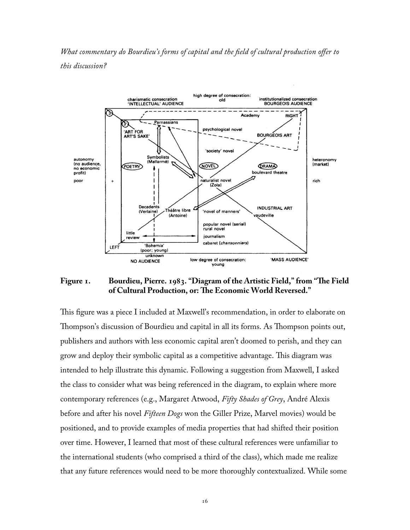*What commentary do Bourdieu's forms of capital and the field of cultural production offer to this discussion?*



#### **Figure 1. Bourdieu, Pierre. 1983. "Diagram of the Artistic Field," from "The Field of Cultural Production, or: The Economic World Reversed."**

This figure was a piece I included at Maxwell's recommendation, in order to elaborate on Thompson's discussion of Bourdieu and capital in all its forms. As Thompson points out, publishers and authors with less economic capital aren't doomed to perish, and they can grow and deploy their symbolic capital as a competitive advantage. This diagram was intended to help illustrate this dynamic. Following a suggestion from Maxwell, I asked the class to consider what was being referenced in the diagram, to explain where more contemporary references (e.g., Margaret Atwood, *Fifty Shades of Grey*, André Alexis before and after his novel *Fifteen Dogs* won the Giller Prize, Marvel movies) would be positioned, and to provide examples of media properties that had shifted their position over time. However, I learned that most of these cultural references were unfamiliar to the international students (who comprised a third of the class), which made me realize that any future references would need to be more thoroughly contextualized. While some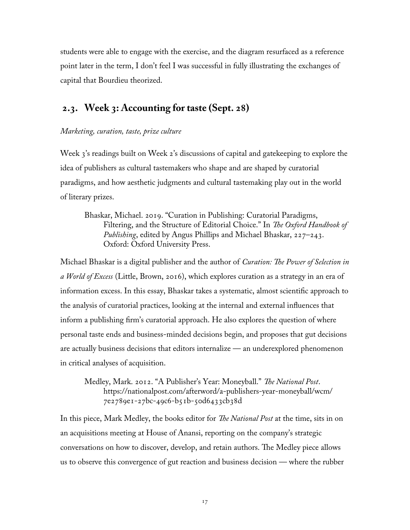<span id="page-23-0"></span>students were able to engage with the exercise, and the diagram resurfaced as a reference point later in the term, I don't feel I was successful in fully illustrating the exchanges of capital that Bourdieu theorized.

## **2.3. Week 3: Accounting for taste (Sept. 28)**

#### *Marketing, curation, taste, prize culture*

Week 3's readings built on Week 2's discussions of capital and gatekeeping to explore the idea of publishers as cultural tastemakers who shape and are shaped by curatorial paradigms, and how aesthetic judgments and cultural tastemaking play out in the world of literary prizes.

Bhaskar, Michael. 2019. "Curation in Publishing: Curatorial Paradigms, Filtering, and the Structure of Editorial Choice." In *The Oxford Handbook of Publishing*, edited by Angus Phillips and Michael Bhaskar, 227–243. Oxford: Oxford University Press.

Michael Bhaskar is a digital publisher and the author of *Curation: The Power of Selection in a World of Excess* (Little, Brown, 2016), which explores curation as a strategy in an era of information excess. In this essay, Bhaskar takes a systematic, almost scientific approach to the analysis of curatorial practices, looking at the internal and external influences that inform a publishing firm's curatorial approach. He also explores the question of where personal taste ends and business-minded decisions begin, and proposes that gut decisions are actually business decisions that editors internalize — an underexplored phenomenon in critical analyses of acquisition.

Medley, Mark. 2012. "A Publisher's Year: Moneyball." *The National Post*. https://nationalpost.com/afterword/a-publishers-year-moneyball/wcm/ 7e2789e1-27bc-49c6-b51b-50d6433cb38d

In this piece, Mark Medley, the books editor for *The National Post* at the time, sits in on an acquisitions meeting at House of Anansi, reporting on the company's strategic conversations on how to discover, develop, and retain authors. The Medley piece allows us to observe this convergence of gut reaction and business decision — where the rubber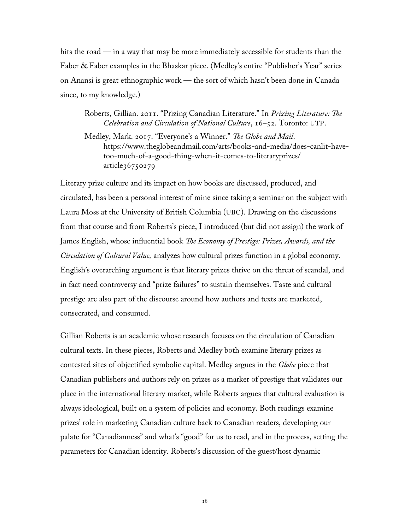hits the road — in a way that may be more immediately accessible for students than the Faber & Faber examples in the Bhaskar piece. (Medley's entire "Publisher's Year" series on Anansi is great ethnographic work — the sort of which hasn't been done in Canada since, to my knowledge.)

Roberts, Gillian. 2011. "Prizing Canadian Literature." In *Prizing Literature: The Celebration and Circulation of National Culture*, 16–52. Toronto: UTP.

Medley, Mark. 2017. "Everyone's a Winner." *The Globe and Mail*. https://www.theglobeandmail.com/arts/books-and-media/does-canlit-havetoo-much-of-a-good-thing-when-it-comes-to-literaryprizes/  $article36750279$ 

Literary prize culture and its impact on how books are discussed, produced, and circulated, has been a personal interest of mine since taking a seminar on the subject with Laura Moss at the University of British Columbia (UBC). Drawing on the discussions from that course and from Roberts's piece, I introduced (but did not assign) the work of James English, whose influential book *The Economy of Prestige: Prizes, Awards, and the Circulation of Cultural Value,* analyzes how cultural prizes function in a global economy. English's overarching argument is that literary prizes thrive on the threat of scandal, and in fact need controversy and "prize failures" to sustain themselves. Taste and cultural prestige are also part of the discourse around how authors and texts are marketed, consecrated, and consumed.

Gillian Roberts is an academic whose research focuses on the circulation of Canadian cultural texts. In these pieces, Roberts and Medley both examine literary prizes as contested sites of objectified symbolic capital. Medley argues in the *Globe* piece that Canadian publishers and authors rely on prizes as a marker of prestige that validates our place in the international literary market, while Roberts argues that cultural evaluation is always ideological, built on a system of policies and economy. Both readings examine prizes' role in marketing Canadian culture back to Canadian readers, developing our palate for "Canadianness" and what's "good" for us to read, and in the process, setting the parameters for Canadian identity. Roberts's discussion of the guest/host dynamic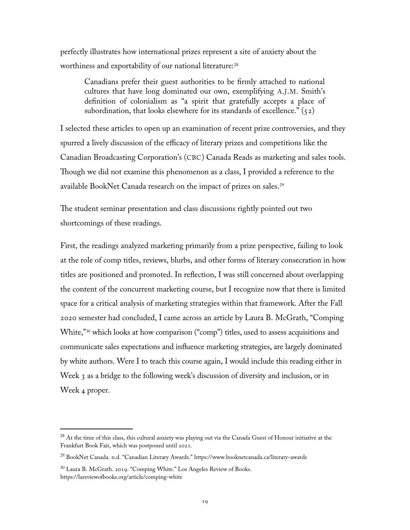perfectly illustrates how international prizes represent a site of anxiety about the worthiness and exportability of our national literature:<sup>[28](#page-25-0)</sup>

Canadians prefer their guest authorities to be firmly attached to national cultures that have long dominated our own, exemplifying A.J.M. Smith's definition of colonialism as "a spirit that gratefully accepts a place of subordination, that looks elsewhere for its standards of excellence."  $(52)$ 

I selected these articles to open up an examination of recent prize controversies, and they spurred a lively discussion of the efficacy of literary prizes and competitions like the Canadian Broadcasting Corporation's (CBC) Canada Reads as marketing and sales tools. Though we did not examine this phenomenon as a class, I provided a reference to the available BookNet Canada research on the impact of prizes on sales.[29](#page-25-1)

The student seminar presentation and class discussions rightly pointed out two shortcomings of these readings.

First, the readings analyzed marketing primarily from a prize perspective, failing to look at the role of comp titles, reviews, blurbs, and other forms of literary consecration in how titles are positioned and promoted. In reflection, I was still concerned about overlapping the content of the concurrent marketing course, but I recognize now that there is limited space for a critical analysis of marketing strategies within that framework. After the Fall 2020 semester had concluded, I came across an article by Laura B. McGrath, "Comping White,"<sup>[30](#page-25-2)</sup> which looks at how comparison ("comp") titles, used to assess acquisitions and communicate sales expectations and influence marketing strategies, are largely dominated by white authors. Were I to teach this course again, I would include this reading either in Week 3 as a bridge to the following week's discussion of diversity and inclusion, or in Week 4 proper.

<span id="page-25-0"></span><sup>&</sup>lt;sup>28</sup> At the time of this class, this cultural anxiety was playing out via the Canada Guest of Honour initiative at the Frankfurt Book Fair, which was postponed until 2021.

<span id="page-25-1"></span><sup>29</sup> BookNet Canada. n.d. "Canadian Literary Awards." https://www.booknetcanada.ca/literary-awards

<span id="page-25-2"></span><sup>30</sup> Laura B. McGrath. 2019. "Comping White." Los Angeles Review of Books. <https://lareviewofbooks.org/article/comping-white>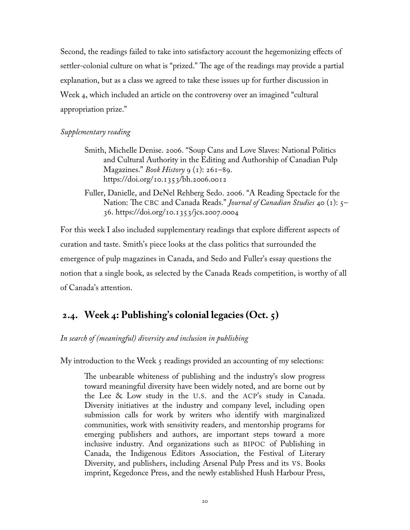<span id="page-26-0"></span>Second, the readings failed to take into satisfactory account the hegemonizing effects of settler-colonial culture on what is "prized." The age of the readings may provide a partial explanation, but as a class we agreed to take these issues up for further discussion in Week 4, which included an article on the controversy over an imagined "cultural appropriation prize."

#### *Supplementary reading*

- Smith, Michelle Denise. 2006. "Soup Cans and Love Slaves: National Politics and Cultural Authority in the Editing and Authorship of Canadian Pulp Magazines." *Book History* 9 (1): 261–89. https://doi.org/10.1353/bh.2006.0012
- Fuller, Danielle, and DeNel Rehberg Sedo. 2006. "A Reading Spectacle for the Nation: The CBC and Canada Reads." *Journal of Canadian Studies* 40 (1): 5– 36. https://doi.org/10.1353/jcs.2007.0004

For this week I also included supplementary readings that explore different aspects of curation and taste. Smith's piece looks at the class politics that surrounded the emergence of pulp magazines in Canada, and Sedo and Fuller's essay questions the notion that a single book, as selected by the Canada Reads competition, is worthy of all of Canada's attention.

## **2.4. Week 4: Publishing's colonial legacies (Oct. 5)**

*In search of (meaningful) diversity and inclusion in publishing*

My introduction to the Week 5 readings provided an accounting of my selections:

The unbearable whiteness of publishing and the industry's slow progress toward meaningful diversity have been widely noted, and are borne out by the Lee & Low study in the U.S. and the ACP's study in Canada. Diversity initiatives at the industry and company level, including open submission calls for work by writers who identify with marginalized communities, work with sensitivity readers, and mentorship programs for emerging publishers and authors, are important steps toward a more inclusive industry. And organizations such as BIPOC of Publishing in Canada, the Indigenous Editors Association, the Festival of Literary Diversity, and publishers, including Arsenal Pulp Press and its VS. Books imprint, Kegedonce Press, and the newly established Hush Harbour Press,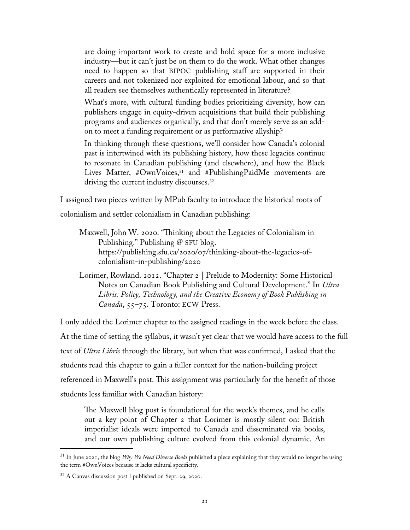are doing important work to create and hold space for a more inclusive industry—but it can't just be on them to do the work. What other changes need to happen so that BIPOC publishing staff are supported in their careers and not tokenized nor exploited for emotional labour, and so that all readers see themselves authentically represented in literature?

What's more, with cultural funding bodies prioritizing diversity, how can publishers engage in equity-driven acquisitions that build their publishing programs and audiences organically, and that don't merely serve as an addon to meet a funding requirement or as performative allyship?

In thinking through these questions, we'll consider how Canada's colonial past is intertwined with its publishing history, how these legacies continue to resonate in Canadian publishing (and elsewhere), and how the Black Lives Matter, #OwnVoices,<sup>[31](#page-27-0)</sup> and #PublishingPaidMe movements are driving the current industry discourses.<sup>[32](#page-27-1)</sup>

I assigned two pieces written by MPub faculty to introduce the historical roots of colonialism and settler colonialism in Canadian publishing:

Maxwell, John W. 2020. "Thinking about the Legacies of Colonialism in Publishing." Publishing @ SFU blog. https://publishing.sfu.ca/2020/07/thinking-about-the-legacies-ofcolonialism-in-publishing/2020

Lorimer, Rowland. 2012. "Chapter 2 | Prelude to Modernity: Some Historical Notes on Canadian Book Publishing and Cultural Development." In *Ultra Libris: Policy, Technology, and the Creative Economy of Book Publishing in Canada*, 55–75. Toronto: ECW Press.

I only added the Lorimer chapter to the assigned readings in the week before the class. At the time of setting the syllabus, it wasn't yet clear that we would have access to the full text of *Ultra Libris* through the library, but when that was confirmed, I asked that the students read this chapter to gain a fuller context for the nation-building project referenced in Maxwell's post. This assignment was particularly for the benefit of those students less familiar with Canadian history:

The Maxwell blog post is foundational for the week's themes, and he calls out a key point of Chapter 2 that Lorimer is mostly silent on: British imperialist ideals were imported to Canada and disseminated via books, and our own publishing culture evolved from this colonial dynamic. An

<span id="page-27-0"></span><sup>31</sup> In June 2021, the blog *Why We Need Diverse Books* published a piece explaining that they would no longer be using the term #OwnVoices because it lacks cultural specificity.

<span id="page-27-1"></span><sup>32</sup> A Canvas discussion post I published on Sept. 29, 2020.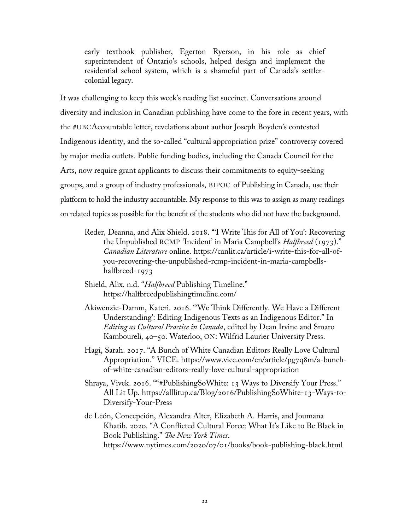early textbook publisher, Egerton Ryerson, in his role as chief superintendent of Ontario's schools, helped design and implement the residential school system, which is a shameful part of Canada's settlercolonial legacy.

It was challenging to keep this week's reading list succinct. Conversations around diversity and inclusion in Canadian publishing have come to the fore in recent years, with the #UBCAccountable letter, revelations about author Joseph Boyden's contested Indigenous identity, and the so-called "cultural appropriation prize" controversy covered by major media outlets. Public funding bodies, including the Canada Council for the Arts, now require grant applicants to discuss their commitments to equity-seeking groups, and a group of industry professionals, BIPOC of Publishing in Canada, use their platform to hold the industry accountable. My response to this was to assign as many readings on related topics as possible for the benefit of the students who did not have the background.

- Reder, Deanna, and Alix Shield. 2018. "'I Write This for All of You': Recovering the Unpublished RCMP 'Incident' in Maria Campbell's *Halfbreed* (1973)." *Canadian Literature* online. [https://canlit.ca/article/i-write-this-for-all-of](https://canlit.ca/article/i-write-this-for-all-of-you-recovering-the-unpublished-rcmp-incident-in-maria-campbells-halfbreed-1973)[you-recovering-the-unpublished-rcmp-incident-in-maria-campbells](https://canlit.ca/article/i-write-this-for-all-of-you-recovering-the-unpublished-rcmp-incident-in-maria-campbells-halfbreed-1973)[halfbreed-1973](https://canlit.ca/article/i-write-this-for-all-of-you-recovering-the-unpublished-rcmp-incident-in-maria-campbells-halfbreed-1973)
- Shield, Alix. n.d. "*Halfbreed* Publishing Timeline." <https://halfbreedpublishingtimeline.com/>
- Akiwenzie-Damm, Kateri. 2016. "'We Think Differently. We Have a Different Understanding': Editing Indigenous Texts as an Indigenous Editor." In *Editing as Cultural Practice in Canada*, edited by Dean Irvine and Smaro Kamboureli*,* 40–50. Waterloo, ON: Wilfrid Laurier University Press.
- Hagi, Sarah. 2017. "A Bunch of White Canadian Editors Really Love Cultural Appropriation." VICE. [https://www.vice.com/en/article/pg7q8m/a-bunch](https://www.vice.com/en/article/pg7q8m/a-bunch-of-white-canadian-editors-really-love-cultural-appropriation)[of-white-canadian-editors-really-love-cultural-appropriation](https://www.vice.com/en/article/pg7q8m/a-bunch-of-white-canadian-editors-really-love-cultural-appropriation)
- Shraya, Vivek. 2016. ""#PublishingSoWhite: 13 Ways to Diversify Your Press." All Lit Up. [https://alllitup.ca/Blog/2016/PublishingSoWhite-13-Ways-to-](https://alllitup.ca/Blog/2016/PublishingSoWhite-13-Ways-to-Diversify-Your-Press)[Diversify-Your-Press](https://alllitup.ca/Blog/2016/PublishingSoWhite-13-Ways-to-Diversify-Your-Press)
- de León, Concepción, Alexandra Alter, Elizabeth A. Harris, and Joumana Khatib. 2020. "A Conflicted Cultural Force: What It's Like to Be Black in Book Publishing." *The New York Times*. https://www.nytimes.com/2020/07/01/books/book-publishing-black.html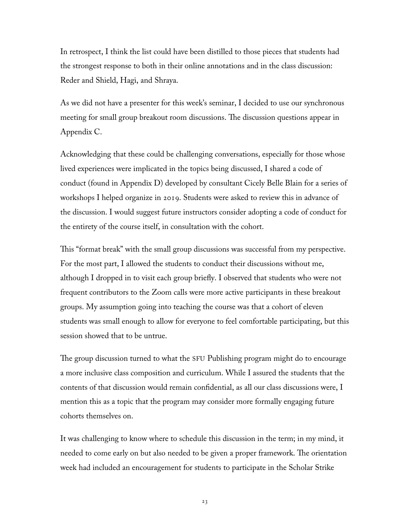In retrospect, I think the list could have been distilled to those pieces that students had the strongest response to both in their online annotations and in the class discussion: Reder and Shield, Hagi, and Shraya.

As we did not have a presenter for this week's seminar, I decided to use our synchronous meeting for small group breakout room discussions. The discussion questions appear in Appendix C.

Acknowledging that these could be challenging conversations, especially for those whose lived experiences were implicated in the topics being discussed, I shared a code of conduct (found in Appendix D) developed by consultant Cicely Belle Blain for a series of workshops I helped organize in 2019. Students were asked to review this in advance of the discussion. I would suggest future instructors consider adopting a code of conduct for the entirety of the course itself, in consultation with the cohort.

This "format break" with the small group discussions was successful from my perspective. For the most part, I allowed the students to conduct their discussions without me, although I dropped in to visit each group briefly. I observed that students who were not frequent contributors to the Zoom calls were more active participants in these breakout groups. My assumption going into teaching the course was that a cohort of eleven students was small enough to allow for everyone to feel comfortable participating, but this session showed that to be untrue.

The group discussion turned to what the SFU Publishing program might do to encourage a more inclusive class composition and curriculum. While I assured the students that the contents of that discussion would remain confidential, as all our class discussions were, I mention this as a topic that the program may consider more formally engaging future cohorts themselves on.

It was challenging to know where to schedule this discussion in the term; in my mind, it needed to come early on but also needed to be given a proper framework. The orientation week had included an encouragement for students to participate in the Scholar Strike

23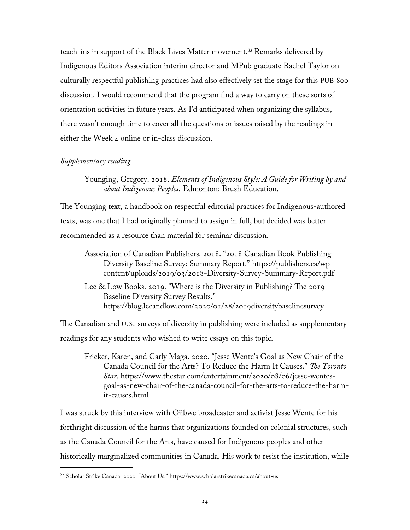teach-ins in support of the Black Lives Matter movement.[33](#page-30-0) Remarks delivered by Indigenous Editors Association interim director and MPub graduate Rachel Taylor on culturally respectful publishing practices had also effectively set the stage for this PUB 800 discussion. I would recommend that the program find a way to carry on these sorts of orientation activities in future years. As I'd anticipated when organizing the syllabus, there wasn't enough time to cover all the questions or issues raised by the readings in either the Week 4 online or in-class discussion.

#### *Supplementary reading*

Younging, Gregory. 2018. *Elements of Indigenous Style: A Guide for Writing by and about Indigenous Peoples*. Edmonton: Brush Education.

The Younging text, a handbook on respectful editorial practices for Indigenous-authored texts, was one that I had originally planned to assign in full, but decided was better recommended as a resource than material for seminar discussion.

Association of Canadian Publishers. 2018. "2018 Canadian Book Publishing Diversity Baseline Survey: Summary Report." https://publishers.ca/wpcontent/uploads/2019/03/2018-Diversity-Survey-Summary-Report.pdf

Lee & Low Books. 2019. "Where is the Diversity in Publishing? The 2019 Baseline Diversity Survey Results." https://blog.leeandlow.com/2020/01/28/2019diversitybaselinesurvey

The Canadian and U.S. surveys of diversity in publishing were included as supplementary readings for any students who wished to write essays on this topic.

Fricker, Karen, and Carly Maga. 2020. "Jesse Wente's Goal as New Chair of the Canada Council for the Arts? To Reduce the Harm It Causes." *The Toronto Star*. https://www.thestar.com/entertainment/2020/08/06/jesse-wentesgoal-as-new-chair-of-the-canada-council-for-the-arts-to-reduce-the-harmit-causes.html

I was struck by this interview with Ojibwe broadcaster and activist Jesse Wente for his forthright discussion of the harms that organizations founded on colonial structures, such as the Canada Council for the Arts, have caused for Indigenous peoples and other historically marginalized communities in Canada. His work to resist the institution, while

<span id="page-30-0"></span><sup>33</sup> Scholar Strike Canada. 2020. "About Us."<https://www.scholarstrikecanada.ca/about-us>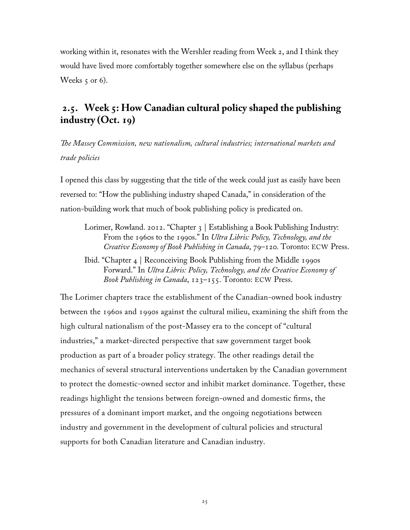<span id="page-31-0"></span>working within it, resonates with the Wershler reading from Week 2, and I think they would have lived more comfortably together somewhere else on the syllabus (perhaps Weeks  $\varsigma$  or 6).

# **2.5. Week 5: How Canadian cultural policy shaped the publishing industry (Oct. 19)**

*The Massey Commission, new nationalism, cultural industries; international markets and trade policies*

I opened this class by suggesting that the title of the week could just as easily have been reversed to: "How the publishing industry shaped Canada," in consideration of the nation-building work that much of book publishing policy is predicated on.

- Lorimer, Rowland. 2012. "Chapter 3 | Establishing a Book Publishing Industry: From the 1960s to the 1990s." In *Ultra Libris: Policy, Technology, and the Creative Economy of Book Publishing in Canada*, 79–120*.* Toronto: ECW Press.
- Ibid. "Chapter 4 | Reconceiving Book Publishing from the Middle 1990s Forward." In *Ultra Libris: Policy, Technology, and the Creative Economy of Book Publishing in Canada*, 123–155. Toronto: ECW Press.

The Lorimer chapters trace the establishment of the Canadian-owned book industry between the 1960s and 1990s against the cultural milieu, examining the shift from the high cultural nationalism of the post-Massey era to the concept of "cultural industries," a market-directed perspective that saw government target book production as part of a broader policy strategy. The other readings detail the mechanics of several structural interventions undertaken by the Canadian government to protect the domestic-owned sector and inhibit market dominance. Together, these readings highlight the tensions between foreign-owned and domestic firms, the pressures of a dominant import market, and the ongoing negotiations between industry and government in the development of cultural policies and structural supports for both Canadian literature and Canadian industry.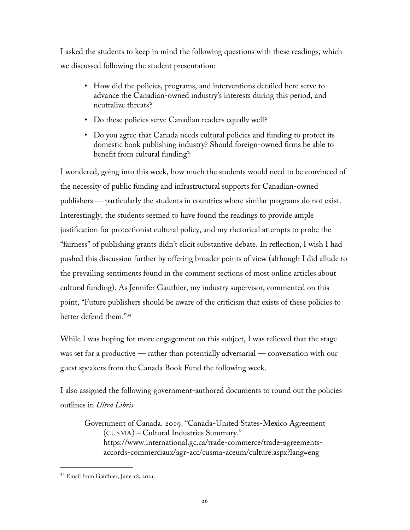I asked the students to keep in mind the following questions with these readings, which we discussed following the student presentation:

- How did the policies, programs, and interventions detailed here serve to advance the Canadian-owned industry's interests during this period, and neutralize threats?
- Do these policies serve Canadian readers equally well?
- Do you agree that Canada needs cultural policies and funding to protect its domestic book publishing industry? Should foreign-owned firms be able to benefit from cultural funding?

I wondered, going into this week, how much the students would need to be convinced of the necessity of public funding and infrastructural supports for Canadian-owned publishers — particularly the students in countries where similar programs do not exist. Interestingly, the students seemed to have found the readings to provide ample justification for protectionist cultural policy, and my rhetorical attempts to probe the "fairness" of publishing grants didn't elicit substantive debate. In reflection, I wish I had pushed this discussion further by offering broader points of view (although I did allude to the prevailing sentiments found in the comment sections of most online articles about cultural funding). As Jennifer Gauthier, my industry supervisor, commented on this point, "Future publishers should be aware of the criticism that exists of these policies to better defend them."[34](#page-32-0)

While I was hoping for more engagement on this subject, I was relieved that the stage was set for a productive — rather than potentially adversarial — conversation with our guest speakers from the Canada Book Fund the following week.

I also assigned the following government-authored documents to round out the policies outlines in *Ultra Libris.*

Government of Canada. 2019. "Canada-United States-Mexico Agreement (CUSMA) – Cultural Industries Summary." [https://www.international.gc.ca/trade-commerce/trade-agreements](https://www.international.gc.ca/trade-commerce/trade-agreements-accords-commerciaux/agr-acc/cusma-aceum/culture.aspx?lang=eng)[accords-commerciaux/agr-acc/cusma-aceum/culture.aspx?lang=eng](https://www.international.gc.ca/trade-commerce/trade-agreements-accords-commerciaux/agr-acc/cusma-aceum/culture.aspx?lang=eng)

<span id="page-32-0"></span><sup>34</sup> Email from Gauthier, June 18, 2021.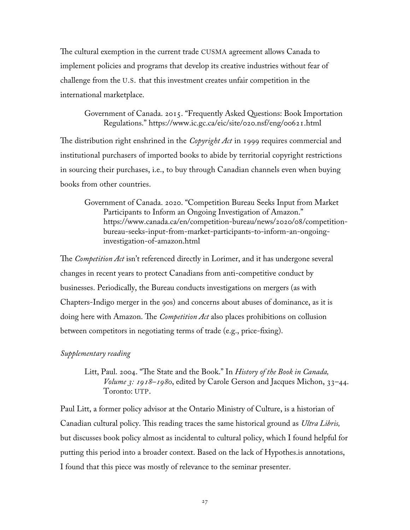The cultural exemption in the current trade CUSMA agreement allows Canada to implement policies and programs that develop its creative industries without fear of challenge from the U.S. that this investment creates unfair competition in the international marketplace.

#### Government of Canada. 2015. "Frequently Asked Questions: Book Importation Regulations." https://www.ic.gc.ca/eic/site/020.nsf/eng/00621.html

The distribution right enshrined in the *Copyright Act* in 1999 requires commercial and institutional purchasers of imported books to abide by territorial copyright restrictions in sourcing their purchases, i.e., to buy through Canadian channels even when buying books from other countries.

Government of Canada. 2020. "Competition Bureau Seeks Input from Market Participants to Inform an Ongoing Investigation of Amazon." https://www.canada.ca/en/competition-bureau/news/2020/08/competitionbureau-seeks-input-from-market-participants-to-inform-an-ongoinginvestigation-of-amazon.html

The *Competition Act* isn't referenced directly in Lorimer, and it has undergone several changes in recent years to protect Canadians from anti-competitive conduct by businesses. Periodically, the Bureau conducts investigations on mergers (as with Chapters-Indigo merger in the 90s) and concerns about abuses of dominance, as it is doing here with Amazon. The *Competition Act* also places prohibitions on collusion between competitors in negotiating terms of trade (e.g., price-fixing).

#### *Supplementary reading*

#### Litt, Paul. 2004. "The State and the Book." In *History of the Book in Canada, Volume 3: 1918–1980*, edited by Carole Gerson and Jacques Michon, 33–44. Toronto: UTP.

Paul Litt, a former policy advisor at the Ontario Ministry of Culture, is a historian of Canadian cultural policy. This reading traces the same historical ground as *Ultra Libris,* but discusses book policy almost as incidental to cultural policy, which I found helpful for putting this period into a broader context. Based on the lack of Hypothes.is annotations, I found that this piece was mostly of relevance to the seminar presenter.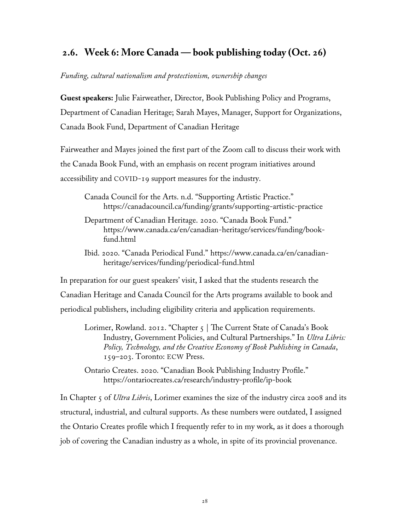## <span id="page-34-0"></span> **2.6. Week 6: More Canada — book publishing today (Oct. 26)**

#### *Funding, cultural nationalism and protectionism, ownership changes*

**Guest speakers:** Julie Fairweather, Director, Book Publishing Policy and Programs, Department of Canadian Heritage; Sarah Mayes, Manager, Support for Organizations, Canada Book Fund, Department of Canadian Heritage

Fairweather and Mayes joined the first part of the Zoom call to discuss their work with the Canada Book Fund, with an emphasis on recent program initiatives around accessibility and COVID-19 support measures for the industry.

Canada Council for the Arts. n.d. "Supporting Artistic Practice." <https://canadacouncil.ca/funding/grants/supporting-artistic-practice>

- Department of Canadian Heritage. 2020. "Canada Book Fund." [https://www.canada.ca/en/canadian-heritage/services/funding/book](https://www.canada.ca/en/canadian-heritage/services/funding/book-fund.html)[fund.html](https://www.canada.ca/en/canadian-heritage/services/funding/book-fund.html)
- Ibid. 2020. "Canada Periodical Fund." https://www.canada.ca/en/canadianheritage/services/funding/periodical-fund.html

In preparation for our guest speakers' visit, I asked that the students research the Canadian Heritage and Canada Council for the Arts programs available to book and periodical publishers, including eligibility criteria and application requirements.

Lorimer, Rowland. 2012. "Chapter 5 | The Current State of Canada's Book Industry, Government Policies, and Cultural Partnerships." In *Ultra Libris: Policy, Technology, and the Creative Economy of Book Publishing in Canada*, 159–203. Toronto: ECW Press.

Ontario Creates. 2020. "Canadian Book Publishing Industry Profile." <https://ontariocreates.ca/research/industry-profile/ip-book>

In Chapter 5 of *Ultra Libris*, Lorimer examines the size of the industry circa 2008 and its structural, industrial, and cultural supports. As these numbers were outdated, I assigned the Ontario Creates profile which I frequently refer to in my work, as it does a thorough job of covering the Canadian industry as a whole, in spite of its provincial provenance.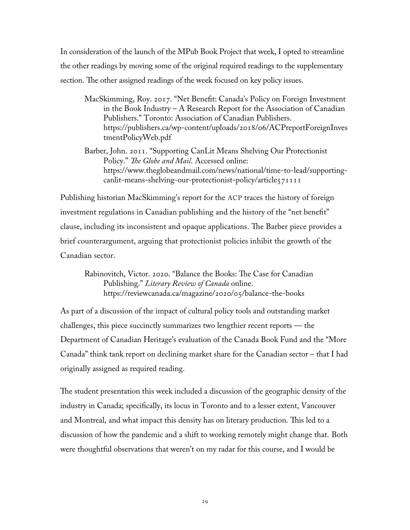In consideration of the launch of the MPub Book Project that week, I opted to streamline the other readings by moving some of the original required readings to the supplementary section. The other assigned readings of the week focused on key policy issues.

MacSkimming, Roy. 2017. "Net Benefit: Canada's Policy on Foreign Investment in the Book Industry – A Research Report for the Association of Canadian Publishers." Toronto: Association of Canadian Publishers. [https://publishers.ca/wp-content/uploads/2018/06/ACPreportForeignInves](https://publishers.ca/wp-content/uploads/2018/06/ACPreportForeignInvestmentPolicyWeb.pdf) [tmentPolicyWeb.pdf](https://publishers.ca/wp-content/uploads/2018/06/ACPreportForeignInvestmentPolicyWeb.pdf)

Barber, John. 2011. "Supporting CanLit Means Shelving Our Protectionist Policy." *The Globe and Mail*. Accessed online: [https://www.theglobeandmail.com/news/national/time-to-lead/supporting](https://www.theglobeandmail.com/news/national/time-to-lead/supporting-canlit-means-shelving-our-protectionist-policy/article571111)[canlit-means-shelving-our-protectionist-policy/article571111](https://www.theglobeandmail.com/news/national/time-to-lead/supporting-canlit-means-shelving-our-protectionist-policy/article571111)

Publishing historian MacSkimming's report for the ACP traces the history of foreign investment regulations in Canadian publishing and the history of the "net benefit" clause, including its inconsistent and opaque applications. The Barber piece provides a brief counterargument, arguing that protectionist policies inhibit the growth of the Canadian sector.

Rabinovitch, Victor. 2020. "Balance the Books: The Case for Canadian Publishing." *Literary Review of Canada* online. https://reviewcanada.ca/magazine/2020/05/balance-the-books

As part of a discussion of the impact of cultural policy tools and outstanding market challenges, this piece succinctly summarizes two lengthier recent reports — the Department of Canadian Heritage's evaluation of the Canada Book Fund and the "More Canada" think tank report on declining market share for the Canadian sector – that I had originally assigned as required reading.

The student presentation this week included a discussion of the geographic density of the industry in Canada; specifically, its locus in Toronto and to a lesser extent, Vancouver and Montreal, and what impact this density has on literary production. This led to a discussion of how the pandemic and a shift to working remotely might change that. Both were thoughtful observations that weren't on my radar for this course, and I would be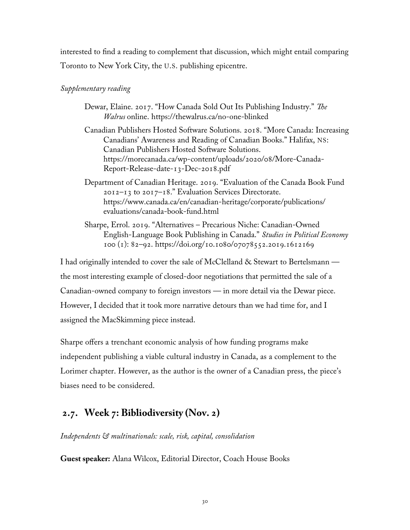interested to find a reading to complement that discussion, which might entail comparing Toronto to New York City, the U.S. publishing epicentre.

### *Supplementary reading*

- Dewar, Elaine. 2017. "How Canada Sold Out Its Publishing Industry." *The Walrus* online. https://thewalrus.ca/no-one-blinked
- Canadian Publishers Hosted Software Solutions. 2018. "More Canada: Increasing Canadians' Awareness and Reading of Canadian Books." Halifax, NS: Canadian Publishers Hosted Software Solutions. https://morecanada.ca/wp-content/uploads/2020/08/More-Canada-Report-Release-date-13-Dec-2018.pdf
- Department of Canadian Heritage. 2019. "Evaluation of the Canada Book Fund 2012–13 to 2017–18." Evaluation Services Directorate. https://www.canada.ca/en/canadian-heritage/corporate/publications/ evaluations/canada-book-fund.html
- Sharpe, Errol. 2019. "Alternatives Precarious Niche: Canadian-Owned English-Language Book Publishing in Canada." *Studies in Political Economy* 100 (1): 82–92. https://doi.org/10.1080/07078552.2019.1612169

I had originally intended to cover the sale of McClelland & Stewart to Bertelsmann the most interesting example of closed-door negotiations that permitted the sale of a Canadian-owned company to foreign investors — in more detail via the Dewar piece. However, I decided that it took more narrative detours than we had time for, and I assigned the MacSkimming piece instead.

Sharpe offers a trenchant economic analysis of how funding programs make independent publishing a viable cultural industry in Canada, as a complement to the Lorimer chapter. However, as the author is the owner of a Canadian press, the piece's biases need to be considered.

## **2.7. Week 7: Bibliodiversity (Nov. 2)**

*Independents & multinationals: scale, risk, capital, consolidation*

**Guest speaker:** Alana Wilcox, Editorial Director, Coach House Books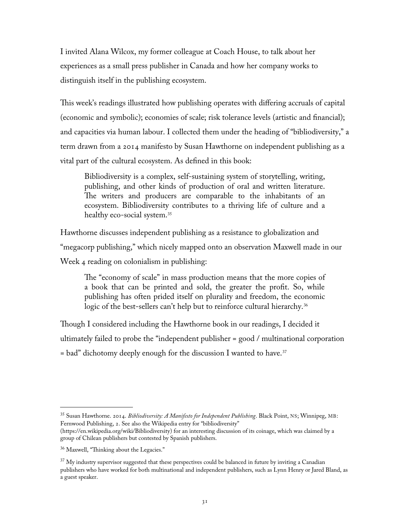I invited Alana Wilcox, my former colleague at Coach House, to talk about her experiences as a small press publisher in Canada and how her company works to distinguish itself in the publishing ecosystem.

This week's readings illustrated how publishing operates with differing accruals of capital (economic and symbolic); economies of scale; risk tolerance levels (artistic and financial); and capacities via human labour. I collected them under the heading of "bibliodiversity," a term drawn from a 2014 manifesto by Susan Hawthorne on independent publishing as a vital part of the cultural ecosystem. As defined in this book:

Bibliodiversity is a complex, self-sustaining system of storytelling, writing, publishing, and other kinds of production of oral and written literature. The writers and producers are comparable to the inhabitants of an ecosystem. Bibliodiversity contributes to a thriving life of culture and a healthy eco-social system.<sup>[35](#page-37-0)</sup>

Hawthorne discusses independent publishing as a resistance to globalization and "megacorp publishing," which nicely mapped onto an observation Maxwell made in our Week 4 reading on colonialism in publishing:

The "economy of scale" in mass production means that the more copies of a book that can be printed and sold, the greater the profit. So, while publishing has often prided itself on plurality and freedom, the economic logic of the best-sellers can't help but to reinforce cultural hierarchy.<sup>[36](#page-37-1)</sup>

Though I considered including the Hawthorne book in our readings, I decided it ultimately failed to probe the "independent publisher = good / multinational corporation  $=$  bad" dichotomy deeply enough for the discussion I wanted to have.<sup>[37](#page-37-2)</sup>

<span id="page-37-0"></span><sup>35</sup> Susan Hawthorne. 2014. *Bibliodiversity: A Manifesto for Independent Publishing*. Black Point, NS; Winnipeg, MB: Fernwood Publishing, 2. See also the Wikipedia entry for "bibliodiversity"

[<sup>\(</sup>https://en.wikipedia.org/wiki/Bibliodiversity](https://en.wikipedia.org/wiki/Bibliodiversity)) for an interesting discussion of its coinage, which was claimed by a group of Chilean publishers but contested by Spanish publishers.

<span id="page-37-1"></span><sup>36</sup> Maxwell, "Thinking about the Legacies."

<span id="page-37-2"></span> $37$  My industry supervisor suggested that these perspectives could be balanced in future by inviting a Canadian publishers who have worked for both multinational and independent publishers, such as Lynn Henry or Jared Bland, as a guest speaker.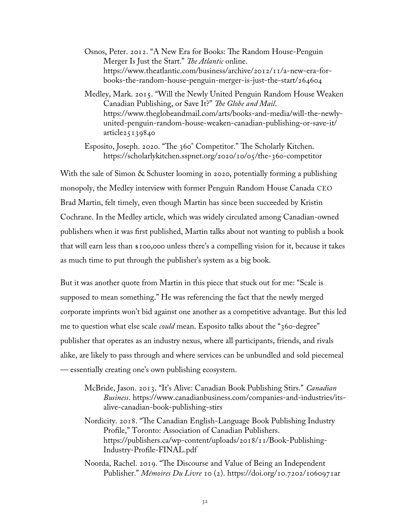- Osnos, Peter. 2012. "A New Era for Books: The Random House-Penguin Merger Is Just the Start." *The Atlantic* online. https://www.theatlantic.com/business/archive/2012/11/a-new-era-forbooks-the-random-house-penguin-merger-is-just-the-start/264604
- Medley, Mark. 2015. "Will the Newly United Penguin Random House Weaken Canadian Publishing, or Save It?" *The Globe and Mail*. https://www.theglobeandmail.com/arts/books-and-media/will-the-newlyunited-penguin-random-house-weaken-canadian-publishing-or-save-it/ article25139840
- Esposito, Joseph. 2020. "The 360° Competitor." The Scholarly Kitchen. https://scholarlykitchen.sspnet.org/2020/10/05/the-360-competitor

With the sale of Simon & Schuster looming in 2020, potentially forming a publishing monopoly, the Medley interview with former Penguin Random House Canada CEO Brad Martin, felt timely, even though Martin has since been succeeded by Kristin Cochrane. In the Medley article, which was widely circulated among Canadian-owned publishers when it was first published, Martin talks about not wanting to publish a book that will earn less than \$100,000 unless there's a compelling vision for it, because it takes as much time to put through the publisher's system as a big book.

But it was another quote from Martin in this piece that stuck out for me: "Scale is supposed to mean something." He was referencing the fact that the newly merged corporate imprints won't bid against one another as a competitive advantage. But this led me to question what else scale *could* mean. Esposito talks about the "360-degree" publisher that operates as an industry nexus, where all participants, friends, and rivals alike, are likely to pass through and where services can be unbundled and sold piecemeal — essentially creating one's own publishing ecosystem.

- McBride, Jason. 2013. "It's Alive: Canadian Book Publishing Stirs." *Canadian Business*. https://www.canadianbusiness.com/companies-and-industries/itsalive-canadian-book-publishing-stirs
- Nordicity. 2018. "The Canadian English-Language Book Publishing Industry Profile," Toronto: Association of Canadian Publishers. https://publishers.ca/wp-content/uploads/2018/11/Book-Publishing-Industry-Profile-FINAL.pdf
- Noorda, Rachel. 2019. "The Discourse and Value of Being an Independent Publisher." *Mémoires Du Livre* 10 (2). https://doi.org/10.7202/1060971ar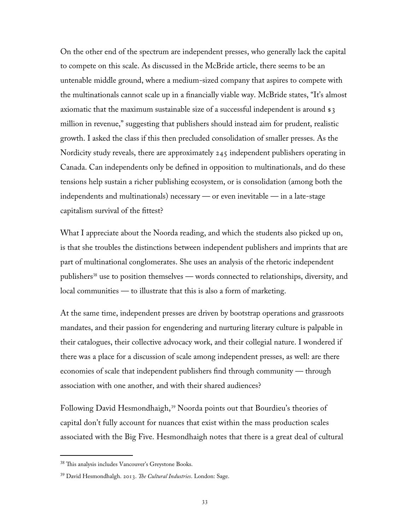On the other end of the spectrum are independent presses, who generally lack the capital to compete on this scale. As discussed in the McBride article, there seems to be an untenable middle ground, where a medium-sized company that aspires to compete with the multinationals cannot scale up in a financially viable way. McBride states, "It's almost axiomatic that the maximum sustainable size of a successful independent is around \$3 million in revenue," suggesting that publishers should instead aim for prudent, realistic growth. I asked the class if this then precluded consolidation of smaller presses. As the Nordicity study reveals, there are approximately 245 independent publishers operating in Canada. Can independents only be defined in opposition to multinationals, and do these tensions help sustain a richer publishing ecosystem, or is consolidation (among both the independents and multinationals) necessary — or even inevitable — in a late-stage capitalism survival of the fittest?

What I appreciate about the Noorda reading, and which the students also picked up on, is that she troubles the distinctions between independent publishers and imprints that are part of multinational conglomerates. She uses an analysis of the rhetoric independent publishers<sup>[38](#page-39-0)</sup> use to position themselves — words connected to relationships, diversity, and local communities — to illustrate that this is also a form of marketing.

At the same time, independent presses are driven by bootstrap operations and grassroots mandates, and their passion for engendering and nurturing literary culture is palpable in their catalogues, their collective advocacy work, and their collegial nature. I wondered if there was a place for a discussion of scale among independent presses, as well: are there economies of scale that independent publishers find through community — through association with one another, and with their shared audiences?

Following David Hesmondhaigh,<sup>[39](#page-39-1)</sup> Noorda points out that Bourdieu's theories of capital don't fully account for nuances that exist within the mass production scales associated with the Big Five. Hesmondhaigh notes that there is a great deal of cultural

<span id="page-39-0"></span><sup>38</sup> This analysis includes Vancouver's Greystone Books.

<span id="page-39-1"></span><sup>39</sup> David Hesmondhalgh. 2013. *The Cultural Industries*. London: Sage.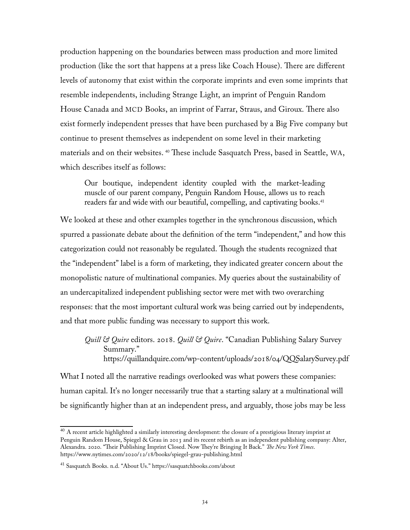production happening on the boundaries between mass production and more limited production (like the sort that happens at a press like Coach House). There are different levels of autonomy that exist within the corporate imprints and even some imprints that resemble independents, including Strange Light, an imprint of Penguin Random House Canada and MCD Books, an imprint of Farrar, Straus, and Giroux. There also exist formerly independent presses that have been purchased by a Big Five company but continue to present themselves as independent on some level in their marketing materials and on their websites. [40](#page-40-0) These include Sasquatch Press, based in Seattle, WA, which describes itself as follows:

Our boutique, independent identity coupled with the market-leading muscle of our parent company, Penguin Random House, allows us to reach readers far and wide with our beautiful, compelling, and captivating books. [41](#page-40-1)

We looked at these and other examples together in the synchronous discussion, which spurred a passionate debate about the definition of the term "independent," and how this categorization could not reasonably be regulated. Though the students recognized that the "independent" label is a form of marketing, they indicated greater concern about the monopolistic nature of multinational companies. My queries about the sustainability of an undercapitalized independent publishing sector were met with two overarching responses: that the most important cultural work was being carried out by independents, and that more public funding was necessary to support this work.

*Quill & Quire* editors. 2018. *Quill & Quire*. "Canadian Publishing Salary Survey Summary." https://quillandquire.com/wp-content/uploads/2018/04/QQSalarySurvey.pdf

What I noted all the narrative readings overlooked was what powers these companies: human capital. It's no longer necessarily true that a starting salary at a multinational will be significantly higher than at an independent press, and arguably, those jobs may be less

<span id="page-40-0"></span> $^{40}$  A recent article highlighted a similarly interesting development: the closure of a prestigious literary imprint at Penguin Random House, Spiegel & Grau in 2013 and its recent rebirth as an independent publishing company: Alter, Alexandra. 2020. "Their Publishing Imprint Closed. Now They're Bringing It Back." *The New York Times*. https://www.nytimes.com/2020/12/18/books/spiegel-grau-publishing.html

<span id="page-40-1"></span><sup>41</sup> Sasquatch Books. n.d. "About Us." https://sasquatchbooks.com/about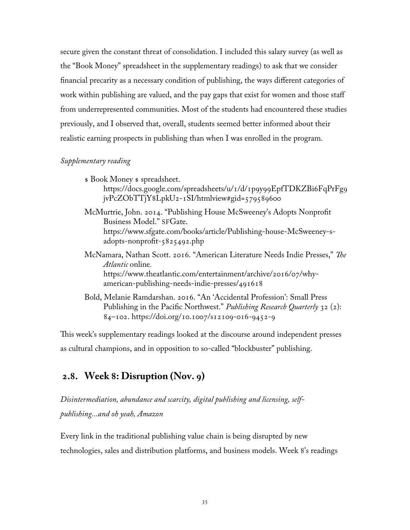secure given the constant threat of consolidation. I included this salary survey (as well as the "Book Money" spreadsheet in the supplementary readings) to ask that we consider financial precarity as a necessary condition of publishing, the ways different categories of work within publishing are valued, and the pay gaps that exist for women and those staff from underrepresented communities. Most of the students had encountered these studies previously, and I observed that, overall, students seemed better informed about their realistic earning prospects in publishing than when I was enrolled in the program.

#### *Supplementary reading*

\$ Book Money \$ spreadsheet. [https://docs.google.com/spreadsheets/u/1/d/1p9y99EpfTDKZBi6FqPrFg9](https://docs.google.com/spreadsheets/u/1/d/1p9y99EpfTDKZBi6FqPrFg9jvPcZObTTjY8LpkU2-1SI/htmlview#gid=579589600) [jvPcZObTTjY8LpkU2-1SI/htmlview#gid=579589600](https://docs.google.com/spreadsheets/u/1/d/1p9y99EpfTDKZBi6FqPrFg9jvPcZObTTjY8LpkU2-1SI/htmlview#gid=579589600)

McMurtrie, John. 2014. "Publishing House McSweeney's Adopts Nonprofit Business Model." SFGate. https://www.sfgate.com/books/article/Publishing-house-McSweeney-sadopts-nonprofit-5825492.php

- McNamara, Nathan Scott. 2016. "American Literature Needs Indie Presses," *The Atlantic* online*.* [https://www.theatlantic.com/entertainment/archive/2016/07/why](https://www.theatlantic.com/entertainment/archive/2016/07/why-american-publishing-needs-indie-presses/491618)[american-publishing-needs-indie-presses/491618](https://www.theatlantic.com/entertainment/archive/2016/07/why-american-publishing-needs-indie-presses/491618)
- Bold, Melanie Ramdarshan. 2016. "An 'Accidental Profession': Small Press Publishing in the Pacific Northwest." *Publishing Research Quarterly* 32 (2): 84–102.<https://doi.org/10.1007/s12109-016-9452-9>

This week's supplementary readings looked at the discourse around independent presses as cultural champions, and in opposition to so-called "blockbuster" publishing.

## **2.8. Week 8: Disruption (Nov. 9)**

*Disintermediation, abundance and scarcity, digital publishing and licensing, selfpublishing...and oh yeah, Amazon*

Every link in the traditional publishing value chain is being disrupted by new technologies, sales and distribution platforms, and business models. Week 8's readings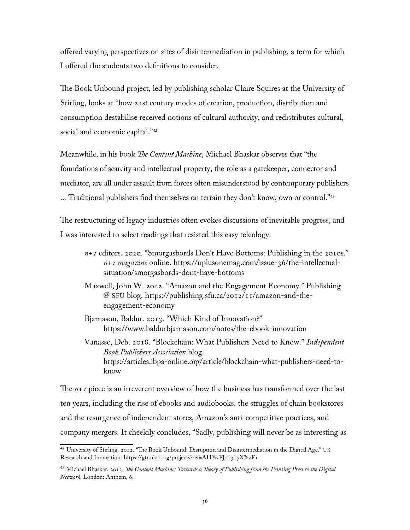offered varying perspectives on sites of disintermediation in publishing, a term for which I offered the students two definitions to consider.

The Book Unbound project, led by publishing scholar Claire Squires at the University of Stirling, looks at "how 21st century modes of creation, production, distribution and consumption destabilise received notions of cultural authority, and redistributes cultural, social and economic capital."<sup>[42](#page-42-0)</sup>

Meanwhile, in his book *The Content Machine*, Michael Bhaskar observes that "the foundations of scarcity and intellectual property, the role as a gatekeeper, connector and mediator, are all under assault from forces often misunderstood by contemporary publishers ... Traditional publishers find themselves on terrain they don't know, own or control."<sup>[43](#page-42-1)</sup>

The restructuring of legacy industries often evokes discussions of inevitable progress, and I was interested to select readings that resisted this easy teleology.

- *n+1* editors. 2020. "Smorgasbords Don't Have Bottoms: Publishing in the 2010s." *n+1 magazine* online. https://nplusonemag.com/issue-36/the-intellectualsituation/smorgasbords-dont-have-bottoms
- Maxwell, John W. 2012. "Amazon and the Engagement Economy." Publishing @ SFU blog. https://publishing.sfu.ca/2012/11/amazon-and-theengagement-economy
- Bjarnason, Baldur. 2013. "Which Kind of Innovation?" https://www.baldurbjarnason.com/notes/the-ebook-innovation

Vanasse, Deb. 2018. "Blockchain: What Publishers Need to Know." *Independent Book Publishers Association* blog. [https://articles.ibpa-online.org/article/blockchain-what-publishers-need-to](https://articles.ibpa-online.org/article/blockchain-what-publishers-need-to-know)[know](https://articles.ibpa-online.org/article/blockchain-what-publishers-need-to-know)

The *n+1* piece is an irreverent overview of how the business has transformed over the last ten years, including the rise of ebooks and audiobooks, the struggles of chain bookstores and the resurgence of independent stores, Amazon's anti-competitive practices, and company mergers. It cheekily concludes, "Sadly, publishing will never be as interesting as

<span id="page-42-0"></span> $^{42}$  University of Stirling. 2012. "The Book Unbound: Disruption and Disintermediation in the Digital Age." UK Research and Innovation. <https://gtr.ukri.org/projects?ref=AH%2FJ01317X%2F1>

<span id="page-42-1"></span><sup>43</sup> Michael Bhaskar. 2013. *The Content Machine: Towards a Theory of Publishing from the Printing Press to the Digital Network.* London: Anthem, 6.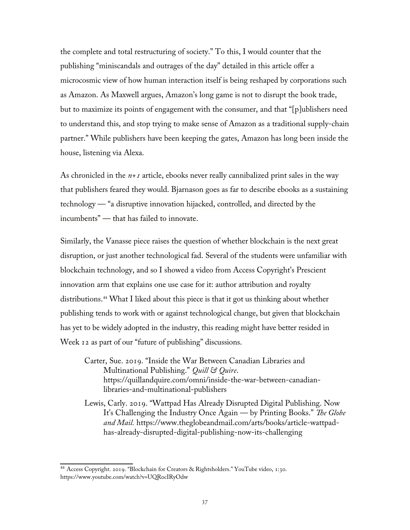the complete and total restructuring of society." To this, I would counter that the publishing "miniscandals and outrages of the day" detailed in this article offer a microcosmic view of how human interaction itself is being reshaped by corporations such as Amazon. As Maxwell argues, Amazon's long game is not to disrupt the book trade, but to maximize its points of engagement with the consumer, and that "[p]ublishers need to understand this, and stop trying to make sense of Amazon as a traditional supply-chain partner." While publishers have been keeping the gates, Amazon has long been inside the house, listening via Alexa.

As chronicled in the *n+1* article, ebooks never really cannibalized print sales in the way that publishers feared they would. Bjarnason goes as far to describe ebooks as a sustaining technology — "a disruptive innovation hijacked, controlled, and directed by the incumbents" — that has failed to innovate.

Similarly, the Vanasse piece raises the question of whether blockchain is the next great disruption, or just another technological fad. Several of the students were unfamiliar with blockchain technology, and so I showed a video from Access Copyright's Prescient innovation arm that explains one use case for it: author attribution and royalty distributions.[44](#page-43-0) What I liked about this piece is that it got us thinking about whether publishing tends to work with or against technological change, but given that blockchain has yet to be widely adopted in the industry, this reading might have better resided in Week 12 as part of our "future of publishing" discussions.

- Carter, Sue. 2019. "Inside the War Between Canadian Libraries and Multinational Publishing." *Quill & Quire*. [https://quillandquire.com/omni/inside-the-war-between-canadian](https://quillandquire.com/omni/inside-the-war-between-canadian-libraries-and-multinational-publishers)[libraries-and-multinational-publishers](https://quillandquire.com/omni/inside-the-war-between-canadian-libraries-and-multinational-publishers)
- Lewis, Carly. 2019. "Wattpad Has Already Disrupted Digital Publishing. Now It's Challenging the Industry Once Again — by Printing Books." *The Globe and Mail.* https://www.theglobeandmail.com/arts/books/article-wattpadhas-already-disrupted-digital-publishing-now-its-challenging

<span id="page-43-0"></span><sup>44</sup> Access Copyright. 2019. "Blockchain for Creators & Rightsholders." YouTube video, 1:30. https://www.youtube.com/watch?v=UQRocIRyOdw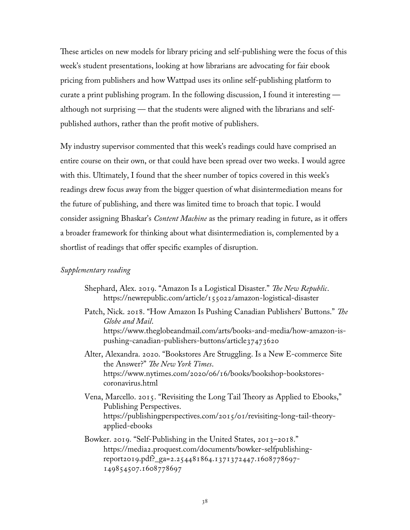These articles on new models for library pricing and self-publishing were the focus of this week's student presentations, looking at how librarians are advocating for fair ebook pricing from publishers and how Wattpad uses its online self-publishing platform to curate a print publishing program. In the following discussion, I found it interesting although not surprising — that the students were aligned with the librarians and selfpublished authors, rather than the profit motive of publishers.

My industry supervisor commented that this week's readings could have comprised an entire course on their own, or that could have been spread over two weeks. I would agree with this. Ultimately, I found that the sheer number of topics covered in this week's readings drew focus away from the bigger question of what disintermediation means for the future of publishing, and there was limited time to broach that topic. I would consider assigning Bhaskar's *Content Machine* as the primary reading in future, as it offers a broader framework for thinking about what disintermediation is, complemented by a shortlist of readings that offer specific examples of disruption.

#### *Supplementary reading*

- Shephard, Alex. 2019. "Amazon Is a Logistical Disaster." *The New Republic*. https://newrepublic.com/article/155022/amazon-logistical-disaster
- Patch, Nick. 2018. "How Amazon Is Pushing Canadian Publishers' Buttons." *The Globe and Mail*. https://www.theglobeandmail.com/arts/books-and-media/how-amazon-ispushing-canadian-publishers-buttons/article37473620

Alter, Alexandra. 2020. "Bookstores Are Struggling. Is a New E-commerce Site the Answer?" *The New York Times*. https://www.nytimes.com/2020/06/16/books/bookshop-bookstorescoronavirus.html

Vena, Marcello. 2015. "Revisiting the Long Tail Theory as Applied to Ebooks," Publishing Perspectives. https://publishingperspectives.com/2015/01/revisiting-long-tail-theoryapplied-ebooks

Bowker. 2019. "Self-Publishing in the United States, 2013–2018." https://media2.proquest.com/documents/bowker-selfpublishingreport2019.pdf?\_ga=2.254481864.1371372447.1608778697- 149854507.1608778697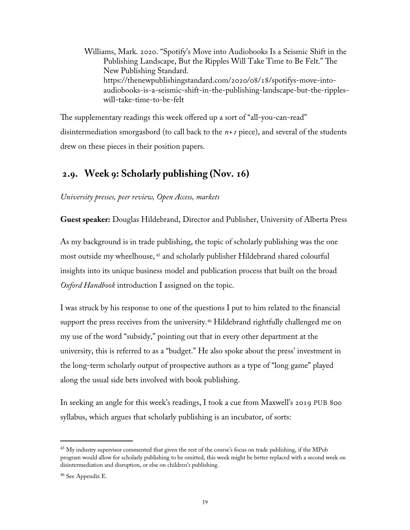Williams, Mark. 2020. "Spotify's Move into Audiobooks Is a Seismic Shift in the Publishing Landscape, But the Ripples Will Take Time to Be Felt." The New Publishing Standard. https://thenewpublishingstandard.com/2020/08/18/spotifys-move-intoaudiobooks-is-a-seismic-shift-in-the-publishing-landscape-but-the-rippleswill-take-time-to-be-felt

The supplementary readings this week offered up a sort of "all-you-can-read" disintermediation smorgasbord (to call back to the *n+1* piece), and several of the students drew on these pieces in their position papers.

## **2.9. Week 9: Scholarly publishing (Nov. 16)**

*University presses, peer review, Open Access, markets*

**Guest speaker:** Douglas Hildebrand, Director and Publisher, University of Alberta Press

As my background is in trade publishing, the topic of scholarly publishing was the one most outside my wheelhouse, [45](#page-45-0) and scholarly publisher Hildebrand shared colourful insights into its unique business model and publication process that built on the broad *Oxford Handbook* introduction I assigned on the topic.

I was struck by his response to one of the questions I put to him related to the financial support the press receives from the university.<sup>[46](#page-45-1)</sup> Hildebrand rightfully challenged me on my use of the word "subsidy," pointing out that in every other department at the university, this is referred to as a "budget." He also spoke about the press' investment in the long-term scholarly output of prospective authors as a type of "long game" played along the usual side bets involved with book publishing.

In seeking an angle for this week's readings, I took a cue from Maxwell's 2019 PUB 800 syllabus, which argues that scholarly publishing is an incubator, of sorts:

<span id="page-45-0"></span><sup>&</sup>lt;sup>45</sup> My industry supervisor commented that given the rest of the course's focus on trade publishing, if the MPub program would allow for scholarly publishing to be omitted, this week might be better replaced with a second week on disintermediation and disruption, or else on children's publishing.

<span id="page-45-1"></span><sup>46</sup> See Appendix E.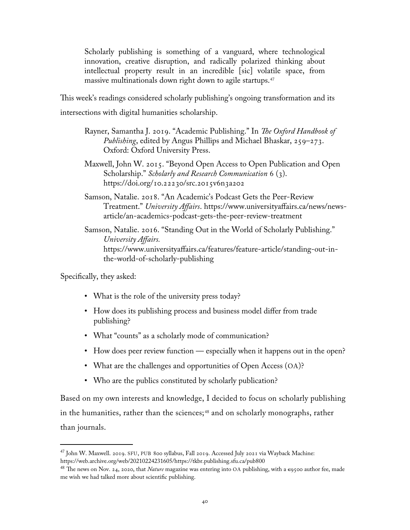Scholarly publishing is something of a vanguard, where technological innovation, creative disruption, and radically polarized thinking about intellectual property result in an incredible [sic] volatile space, from massive multinationals down right down to agile startups.<sup>[47](#page-46-0)</sup>

This week's readings considered scholarly publishing's ongoing transformation and its intersections with digital humanities scholarship.

- Rayner, Samantha J. 2019. "Academic Publishing." In *The Oxford Handbook of Publishing*, edited by Angus Phillips and Michael Bhaskar, 259–273. Oxford: Oxford University Press.
- Maxwell, John W. 2015. "Beyond Open Access to Open Publication and Open Scholarship." *Scholarly and Research Communication* 6 (3). https://doi.org/10.22230/src.2015v6n3a202
- Samson, Natalie. 2018. "An Academic's Podcast Gets the Peer-Review Treatment." *University Affairs*. https://www.universityaffairs.ca/news/newsarticle/an-academics-podcast-gets-the-peer-review-treatment

Samson, Natalie. 2016. "Standing Out in the World of Scholarly Publishing." *University Affairs.*  https://www.universityaffairs.ca/features/feature-article/standing-out-inthe-world-of-scholarly-publishing

Specifically, they asked:

- What is the role of the university press today?
- How does its publishing process and business model differ from trade publishing?
- What "counts" as a scholarly mode of communication?
- How does peer review function especially when it happens out in the open?
- What are the challenges and opportunities of Open Access (OA)?
- Who are the publics constituted by scholarly publication?

Based on my own interests and knowledge, I decided to focus on scholarly publishing in the humanities, rather than the sciences;<sup>[48](#page-46-1)</sup> and on scholarly monographs, rather than journals.

<span id="page-46-0"></span><sup>47</sup> John W. Maxwell. 2019. SFU, PUB 800 syllabus, Fall 2019. Accessed July 2021 via Wayback Machine: <https://web.archive.org/web/20210224231605/https://tkbr.publishing.sfu.ca/pub800>

<span id="page-46-1"></span><sup>&</sup>lt;sup>48</sup> The news on Nov. 24, 2020, that *Nature* magazine was entering into OA publishing, with a  $\epsilon$ 9500 author fee, made me wish we had talked more about scientific publishing.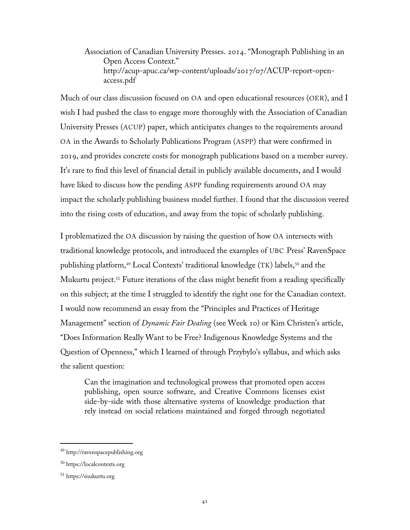Association of Canadian University Presses. 2014. "Monograph Publishing in an Open Access Context." http://acup-apuc.ca/wp-content/uploads/2017/07/ACUP-report-openaccess.pdf

Much of our class discussion focused on OA and open educational resources (OER), and I wish I had pushed the class to engage more thoroughly with the Association of Canadian University Presses (ACUP) paper, which anticipates changes to the requirements around OA in the Awards to Scholarly Publications Program (ASPP) that were confirmed in 2019, and provides concrete costs for monograph publications based on a member survey. It's rare to find this level of financial detail in publicly available documents, and I would have liked to discuss how the pending ASPP funding requirements around OA may impact the scholarly publishing business model further. I found that the discussion veered into the rising costs of education, and away from the topic of scholarly publishing.

I problematized the OA discussion by raising the question of how OA intersects with traditional knowledge protocols, and introduced the examples of UBC Press' RavenSpace publishing platform,[49](#page-47-0) Local Contexts' traditional knowledge (TK) labels,[50](#page-47-1) and the Mukurtu project.<sup>[51](#page-47-2)</sup> Future iterations of the class might benefit from a reading specifically on this subject; at the time I struggled to identify the right one for the Canadian context. I would now recommend an essay from the "Principles and Practices of Heritage Management" section of *Dynamic Fair Dealing* (see Week 10) or Kim Christen's article, "Does Information Really Want to be Free? Indigenous Knowledge Systems and the Question of Openness," which I learned of through Przybylo's syllabus, and which asks the salient question:

Can the imagination and technological prowess that promoted open access publishing, open source software, and Creative Commons licenses exist side-by-side with those alternative systems of knowledge production that rely instead on social relations maintained and forged through negotiated

<span id="page-47-0"></span><sup>49</sup> [http://ravenspacepublishing.org](http://ravenspacepublishing.org/)

<span id="page-47-1"></span><sup>50</sup> https://localcontexts.org

<span id="page-47-2"></span><sup>51</sup> https://mukurtu.org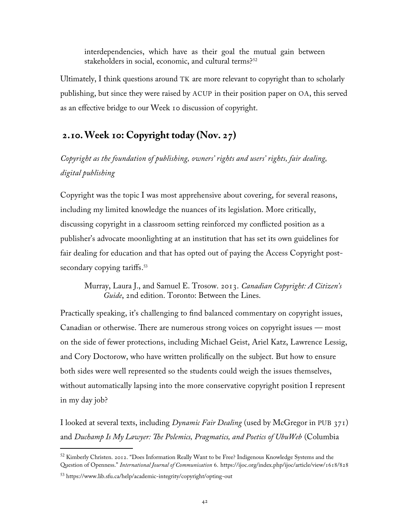interdependencies, which have as their goal the mutual gain between stakeholders in social, economic, and cultural terms?<sup>[52](#page-48-0)</sup>

Ultimately, I think questions around TK are more relevant to copyright than to scholarly publishing, but since they were raised by ACUP in their position paper on OA, this served as an effective bridge to our Week 10 discussion of copyright.

# **2.10.Week 10: Copyright today (Nov. 27)**

*Copyright as the foundation of publishing, owners' rights and users' rights, fair dealing, digital publishing*

Copyright was the topic I was most apprehensive about covering, for several reasons, including my limited knowledge the nuances of its legislation. More critically, discussing copyright in a classroom setting reinforced my conflicted position as a publisher's advocate moonlighting at an institution that has set its own guidelines for fair dealing for education and that has opted out of paying the Access Copyright postsecondary copying tariffs. [53](#page-48-1)

Murray, Laura J., and Samuel E. Trosow. 2013. *Canadian Copyright: A Citizen's Guide*, 2nd edition. Toronto: Between the Lines.

Practically speaking, it's challenging to find balanced commentary on copyright issues, Canadian or otherwise. There are numerous strong voices on copyright issues — most on the side of fewer protections, including Michael Geist, Ariel Katz, Lawrence Lessig, and Cory Doctorow, who have written prolifically on the subject. But how to ensure both sides were well represented so the students could weigh the issues themselves, without automatically lapsing into the more conservative copyright position I represent in my day job?

I looked at several texts, including *Dynamic Fair Dealing* (used by McGregor in PUB 371) and *Duchamp Is My Lawyer: The Polemics, Pragmatics, and Poetics of UbuWeb* (Columbia

<span id="page-48-0"></span><sup>52</sup> Kimberly Christen. 2012. "Does Information Really Want to be Free? Indigenous Knowledge Systems and the Question of Openness." *International Journal of Communication* 6. https://ijoc.org/index.php/ijoc/article/view/1618/828

<span id="page-48-1"></span><sup>53</sup> https://www.lib.sfu.ca/help/academic-integrity/copyright/opting-out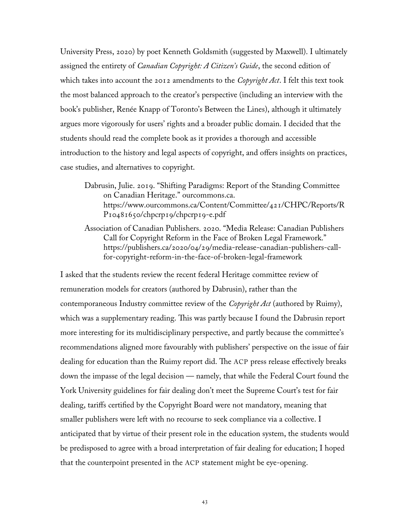University Press, 2020) by poet Kenneth Goldsmith (suggested by Maxwell). I ultimately assigned the entirety of *Canadian Copyright: A Citizen's Guide*, the second edition of which takes into account the 2012 amendments to the *Copyright Act*. I felt this text took the most balanced approach to the creator's perspective (including an interview with the book's publisher, Renée Knapp of Toronto's Between the Lines), although it ultimately argues more vigorously for users' rights and a broader public domain. I decided that the students should read the complete book as it provides a thorough and accessible introduction to the history and legal aspects of copyright, and offers insights on practices, case studies, and alternatives to copyright.

Dabrusin, Julie. 2019. "Shifting Paradigms: Report of the Standing Committee on Canadian Heritage." ourcommons.ca. https://www.ourcommons.ca/Content/Committee/421/CHPC/Reports/R P10481650/chpcrp19/chpcrp19-e.pdf

Association of Canadian Publishers. 2020. "Media Release: Canadian Publishers Call for Copyright Reform in the Face of Broken Legal Framework." https://publishers.ca/2020/04/29/media-release-canadian-publishers-callfor-copyright-reform-in-the-face-of-broken-legal-framework

I asked that the students review the recent federal Heritage committee review of remuneration models for creators (authored by Dabrusin), rather than the contemporaneous Industry committee review of the *Copyright Act* (authored by Ruimy), which was a supplementary reading. This was partly because I found the Dabrusin report more interesting for its multidisciplinary perspective, and partly because the committee's recommendations aligned more favourably with publishers' perspective on the issue of fair dealing for education than the Ruimy report did. The ACP press release effectively breaks down the impasse of the legal decision — namely, that while the Federal Court found the York University guidelines for fair dealing don't meet the Supreme Court's test for fair dealing, tariffs certified by the Copyright Board were not mandatory, meaning that smaller publishers were left with no recourse to seek compliance via a collective. I anticipated that by virtue of their present role in the education system, the students would be predisposed to agree with a broad interpretation of fair dealing for education; I hoped that the counterpoint presented in the ACP statement might be eye-opening.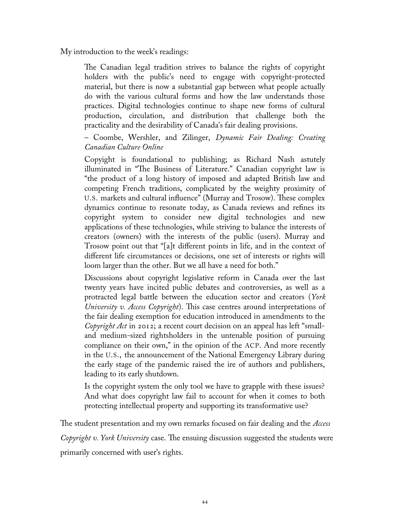My introduction to the week's readings:

The Canadian legal tradition strives to balance the rights of copyright holders with the public's need to engage with copyright-protected material, but there is now a substantial gap between what people actually do with the various cultural forms and how the law understands those practices. Digital technologies continue to shape new forms of cultural production, circulation, and distribution that challenge both the practicality and the desirability of Canada's fair dealing provisions.

– Coombe, Wershler, and Zilinger, *Dynamic Fair Dealing: Creating Canadian Culture Online*

Copyight is foundational to publishing; as Richard Nash astutely illuminated in "The Business of Literature." Canadian copyright law is "the product of a long history of imposed and adapted British law and competing French traditions, complicated by the weighty proximity of U.S. markets and cultural influence" (Murray and Trosow). These complex dynamics continue to resonate today, as Canada reviews and refines its copyright system to consider new digital technologies and new applications of these technologies, while striving to balance the interests of creators (owners) with the interests of the public (users). Murray and Trosow point out that "[a]t different points in life, and in the context of different life circumstances or decisions, one set of interests or rights will loom larger than the other. But we all have a need for both."

Discussions about copyright legislative reform in Canada over the last twenty years have incited public debates and controversies, as well as a protracted legal battle between the education sector and creators (*York University v. Access Copyright*). This case centres around interpretations of the fair dealing exemption for education introduced in amendments to the *Copyright Act* in 2012; a recent court decision on an appeal has left "smalland medium-sized rightsholders in the untenable position of pursuing compliance on their own," in the opinion of the ACP. And more recently in the U.S., the announcement of the National Emergency Library during the early stage of the pandemic raised the ire of authors and publishers, leading to its early shutdown.

Is the copyright system the only tool we have to grapple with these issues? And what does copyright law fail to account for when it comes to both protecting intellectual property and supporting its transformative use?

The student presentation and my own remarks focused on fair dealing and the *Access Copyright v. York University* case. The ensuing discussion suggested the students were primarily concerned with user's rights.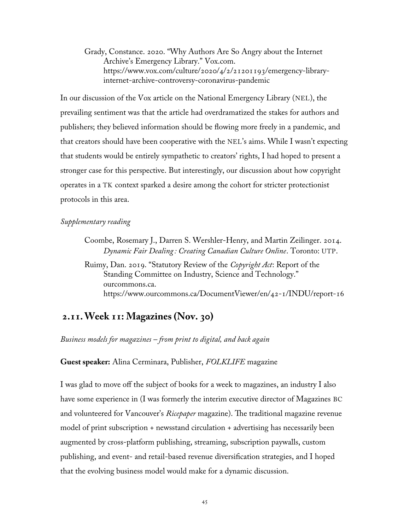Grady, Constance. 2020. "Why Authors Are So Angry about the Internet Archive's Emergency Library." Vox.com. [https://www.vox.com/culture/2020/4/2/21201193/emergency-library](https://www.vox.com/culture/2020/4/2/21201193/emergency-library-internet-archive-controversy-coronavirus-pandemic)[internet-archive-controversy-coronavirus-pandemic](https://www.vox.com/culture/2020/4/2/21201193/emergency-library-internet-archive-controversy-coronavirus-pandemic)

In our discussion of the Vox article on the National Emergency Library (NEL), the prevailing sentiment was that the article had overdramatized the stakes for authors and publishers; they believed information should be flowing more freely in a pandemic, and that creators should have been cooperative with the NEL's aims. While I wasn't expecting that students would be entirely sympathetic to creators' rights, I had hoped to present a stronger case for this perspective. But interestingly, our discussion about how copyright operates in a TK context sparked a desire among the cohort for stricter protectionist protocols in this area.

#### *Supplementary reading*

Ruimy, Dan. 2019. "Statutory Review of the *Copyright Act*: Report of the Standing Committee on Industry, Science and Technology." ourcommons.ca. https://www.ourcommons.ca/DocumentViewer/en/42-1/INDU/report-16

### **2.11.Week 11: Magazines (Nov. 30)**

*Business models for magazines – from print to digital, and back again*

**Guest speaker:** Alina Cerminara, Publisher, *FOLKLIFE* magazine

I was glad to move off the subject of books for a week to magazines, an industry I also have some experience in (I was formerly the interim executive director of Magazines BC and volunteered for Vancouver's *Ricepaper* magazine). The traditional magazine revenue model of print subscription + newsstand circulation + advertising has necessarily been augmented by cross-platform publishing, streaming, subscription paywalls, custom publishing, and event- and retail-based revenue diversification strategies, and I hoped that the evolving business model would make for a dynamic discussion.

Coombe, Rosemary J., Darren S. Wershler-Henry, and Martin Zeilinger. 2014. *Dynamic Fair Dealing : Creating Canadian Culture Online*. Toronto: UTP.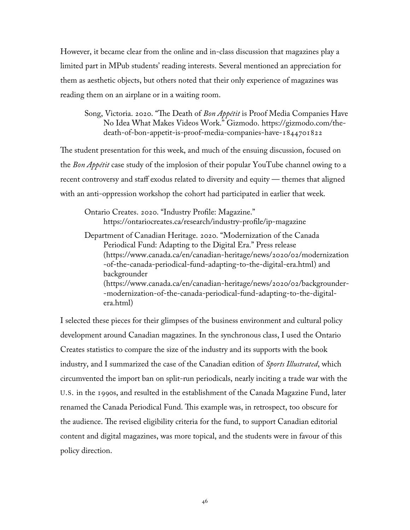However, it became clear from the online and in-class discussion that magazines play a limited part in MPub students' reading interests. Several mentioned an appreciation for them as aesthetic objects, but others noted that their only experience of magazines was reading them on an airplane or in a waiting room.

Song, Victoria. 2020. "The Death of *Bon Appétit* is Proof Media Companies Have No Idea What Makes Videos Work." Gizmodo. https://gizmodo.com/thedeath-of-bon-appetit-is-proof-media-companies-have-1844701822

The student presentation for this week, and much of the ensuing discussion, focused on the *Bon Appétit* case study of the implosion of their popular YouTube channel owing to a recent controversy and staff exodus related to diversity and equity — themes that aligned with an anti-oppression workshop the cohort had participated in earlier that week.

Ontario Creates. 2020. "Industry Profile: Magazine." https://ontariocreates.ca/research/industry-profile/ip-magazine

Department of Canadian Heritage. 2020. "Modernization of the Canada Periodical Fund: Adapting to the Digital Era." Press release (https://www.canada.ca/en/canadian-heritage/news/2020/02/modernization -of-the-canada-periodical-fund-adapting-to-the-digital-era.html) and backgrounder (https://www.canada.ca/en/canadian-heritage/news/2020/02/backgrounder- -modernization-of-the-canada-periodical-fund-adapting-to-the-digitalera.html)

I selected these pieces for their glimpses of the business environment and cultural policy development around Canadian magazines. In the synchronous class, I used the Ontario Creates statistics to compare the size of the industry and its supports with the book industry, and I summarized the case of the Canadian edition of *Sports Illustrated*, which circumvented the import ban on split-run periodicals, nearly inciting a trade war with the U.S. in the 1990s, and resulted in the establishment of the Canada Magazine Fund, later renamed the Canada Periodical Fund. This example was, in retrospect, too obscure for the audience. The revised eligibility criteria for the fund, to support Canadian editorial content and digital magazines, was more topical, and the students were in favour of this policy direction.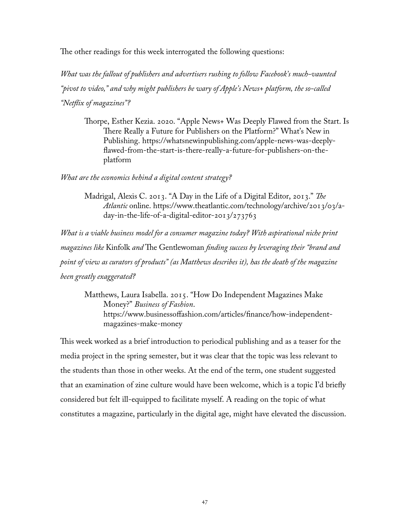The other readings for this week interrogated the following questions:

*What was the fallout of publishers and advertisers rushing to follow Facebook's much-vaunted "pivot to video," and why might publishers be wary of Apple's News+ platform, the so-called "Netflix of magazines"?*

Thorpe, Esther Kezia. 2020. "Apple News+ Was Deeply Flawed from the Start. Is There Really a Future for Publishers on the Platform?" What's New in Publishing. https://whatsnewinpublishing.com/apple-news-was-deeplyflawed-from-the-start-is-there-really-a-future-for-publishers-on-theplatform

*What are the economics behind a digital content strategy?*

Madrigal, Alexis C. 2013. "A Day in the Life of a Digital Editor, 2013." *The Atlantic* online. https://www.theatlantic.com/technology/archive/2013/03/aday-in-the-life-of-a-digital-editor-2013/273763

*What is a viable business model for a consumer magazine today? With aspirational niche print magazines like* Kinfolk *and* The Gentlewoman *finding success by leveraging their "brand and point of view as curators of products" (as Matthews describes it), has the death of the magazine been greatly exaggerated?*

Matthews, Laura Isabella. 2015. "How Do Independent Magazines Make Money?" *Business of Fashion*. https://www.businessoffashion.com/articles/finance/how-independentmagazines-make-money

This week worked as a brief introduction to periodical publishing and as a teaser for the media project in the spring semester, but it was clear that the topic was less relevant to the students than those in other weeks. At the end of the term, one student suggested that an examination of zine culture would have been welcome, which is a topic I'd briefly considered but felt ill-equipped to facilitate myself. A reading on the topic of what constitutes a magazine, particularly in the digital age, might have elevated the discussion.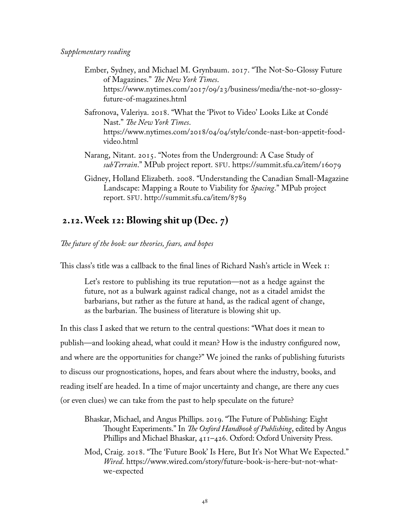- Ember, Sydney, and Michael M. Grynbaum. 2017. "The Not-So-Glossy Future of Magazines." *The New York Times*. https://www.nytimes.com/2017/09/23/business/media/the-not-so-glossyfuture-of-magazines.html
- Safronova, Valeriya. 2018. "What the 'Pivot to Video' Looks Like at Condé Nast." *The New York Times*. https://www.nytimes.com/2018/04/04/style/conde-nast-bon-appetit-foodvideo.html
- Narang, Nitant. 2015. "Notes from the Underground: A Case Study of *subTerrain*." MPub project report. SFU. https://summit.sfu.ca/item/16079
- Gidney, Holland Elizabeth. 2008. "Understanding the Canadian Small-Magazine Landscape: Mapping a Route to Viability for *Spacing*." MPub project report. SFU. http://summit.sfu.ca/item/8789

## **2.12.Week 12: Blowing shit up (Dec. 7)**

*The future of the book: our theories, fears, and hopes*

This class's title was a callback to the final lines of Richard Nash's article in Week 1:

Let's restore to publishing its true reputation—not as a hedge against the future, not as a bulwark against radical change, not as a citadel amidst the barbarians, but rather as the future at hand, as the radical agent of change, as the barbarian. The business of literature is blowing shit up.

In this class I asked that we return to the central questions: "What does it mean to publish—and looking ahead, what could it mean? How is the industry configured now, and where are the opportunities for change?" We joined the ranks of publishing futurists to discuss our prognostications, hopes, and fears about where the industry, books, and reading itself are headed. In a time of major uncertainty and change, are there any cues (or even clues) we can take from the past to help speculate on the future?

Bhaskar, Michael, and Angus Phillips. 2019. "The Future of Publishing: Eight Thought Experiments." In *The Oxford Handbook of Publishing*, edited by Angus Phillips and Michael Bhaskar, 411–426. Oxford: Oxford University Press.

Mod, Craig. 2018. "The 'Future Book' Is Here, But It's Not What We Expected." *Wired*. https://www.wired.com/story/future-book-is-here-but-not-whatwe-expected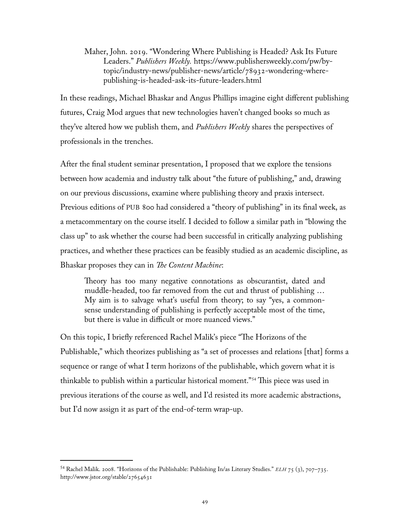Maher, John. 2019. "Wondering Where Publishing is Headed? Ask Its Future Leaders." *Publishers Weekly.* https://www.publishersweekly.com/pw/bytopic/industry-news/publisher-news/article/78932-wondering-wherepublishing-is-headed-ask-its-future-leaders.html

In these readings, Michael Bhaskar and Angus Phillips imagine eight different publishing futures, Craig Mod argues that new technologies haven't changed books so much as they've altered how we publish them, and *Publishers Weekly* shares the perspectives of professionals in the trenches.

After the final student seminar presentation, I proposed that we explore the tensions between how academia and industry talk about "the future of publishing," and, drawing on our previous discussions, examine where publishing theory and praxis intersect. Previous editions of PUB 800 had considered a "theory of publishing" in its final week, as a metacommentary on the course itself. I decided to follow a similar path in "blowing the class up" to ask whether the course had been successful in critically analyzing publishing practices, and whether these practices can be feasibly studied as an academic discipline, as Bhaskar proposes they can in *The Content Machine*:

Theory has too many negative connotations as obscurantist, dated and muddle-headed, too far removed from the cut and thrust of publishing … My aim is to salvage what's useful from theory; to say "yes, a commonsense understanding of publishing is perfectly acceptable most of the time, but there is value in difficult or more nuanced views."

On this topic, I briefly referenced Rachel Malik's piece "The Horizons of the Publishable," which theorizes publishing as "a set of processes and relations [that] forms a sequence or range of what I term horizons of the publishable, which govern what it is thinkable to publish within a particular historical moment."[54](#page-55-0) This piece was used in previous iterations of the course as well, and I'd resisted its more academic abstractions, but I'd now assign it as part of the end-of-term wrap-up.

<span id="page-55-0"></span><sup>54</sup> Rachel Malik. 2008. "Horizons of the Publishable: Publishing In/as Literary Studies." *ELH* 75 (3), 707–735. http://www.jstor.org/stable/27654631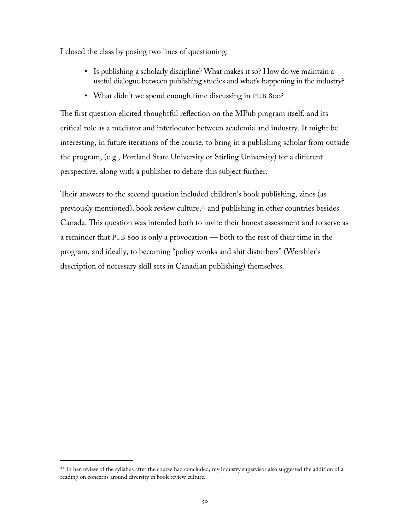I closed the class by posing two lines of questioning:

- Is publishing a scholarly discipline? What makes it so? How do we maintain a useful dialogue between publishing studies and what's happening in the industry?
- What didn't we spend enough time discussing in PUB 800?

The first question elicited thoughtful reflection on the MPub program itself, and its critical role as a mediator and interlocutor between academia and industry. It might be interesting, in future iterations of the course, to bring in a publishing scholar from outside the program, (e.g., Portland State University or Stirling University) for a different perspective, along with a publisher to debate this subject further.

Their answers to the second question included children's book publishing, zines (as previously mentioned), book review culture,<sup>[55](#page-56-0)</sup> and publishing in other countries besides Canada. This question was intended both to invite their honest assessment and to serve as a reminder that PUB 800 is only a provocation — both to the rest of their time in the program, and ideally, to becoming "policy wonks and shit disturbers" (Wershler's description of necessary skill sets in Canadian publishing) themselves.

<span id="page-56-0"></span><sup>&</sup>lt;sup>55</sup> In her review of the syllabus after the course had concluded, my industry supervisor also suggested the addition of a reading on concerns around diversity in book review culture.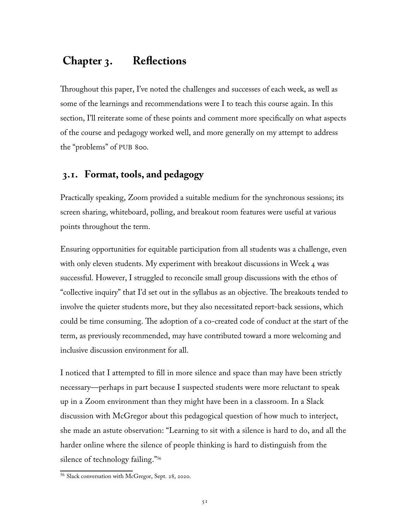# **Chapter 3. Reflections**

Throughout this paper, I've noted the challenges and successes of each week, as well as some of the learnings and recommendations were I to teach this course again. In this section, I'll reiterate some of these points and comment more specifically on what aspects of the course and pedagogy worked well, and more generally on my attempt to address the "problems" of PUB 800.

### **3.1. Format, tools, and pedagogy**

Practically speaking, Zoom provided a suitable medium for the synchronous sessions; its screen sharing, whiteboard, polling, and breakout room features were useful at various points throughout the term.

Ensuring opportunities for equitable participation from all students was a challenge, even with only eleven students. My experiment with breakout discussions in Week 4 was successful. However, I struggled to reconcile small group discussions with the ethos of "collective inquiry" that I'd set out in the syllabus as an objective. The breakouts tended to involve the quieter students more, but they also necessitated report-back sessions, which could be time consuming. The adoption of a co-created code of conduct at the start of the term, as previously recommended, may have contributed toward a more welcoming and inclusive discussion environment for all.

I noticed that I attempted to fill in more silence and space than may have been strictly necessary—perhaps in part because I suspected students were more reluctant to speak up in a Zoom environment than they might have been in a classroom. In a Slack discussion with McGregor about this pedagogical question of how much to interject, she made an astute observation: "Learning to sit with a silence is hard to do, and all the harder online where the silence of people thinking is hard to distinguish from the silence of technology failing."<sup>[56](#page-57-0)</sup>

<span id="page-57-0"></span><sup>56</sup> Slack conversation with McGregor, Sept. 28, 2020.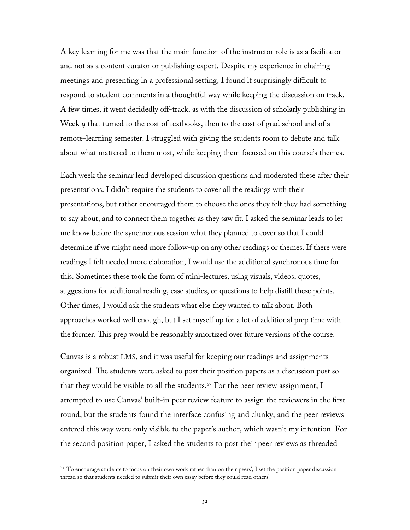A key learning for me was that the main function of the instructor role is as a facilitator and not as a content curator or publishing expert. Despite my experience in chairing meetings and presenting in a professional setting, I found it surprisingly difficult to respond to student comments in a thoughtful way while keeping the discussion on track. A few times, it went decidedly off-track, as with the discussion of scholarly publishing in Week 9 that turned to the cost of textbooks, then to the cost of grad school and of a remote-learning semester. I struggled with giving the students room to debate and talk about what mattered to them most, while keeping them focused on this course's themes.

Each week the seminar lead developed discussion questions and moderated these after their presentations. I didn't require the students to cover all the readings with their presentations, but rather encouraged them to choose the ones they felt they had something to say about, and to connect them together as they saw fit. I asked the seminar leads to let me know before the synchronous session what they planned to cover so that I could determine if we might need more follow-up on any other readings or themes. If there were readings I felt needed more elaboration, I would use the additional synchronous time for this. Sometimes these took the form of mini-lectures, using visuals, videos, quotes, suggestions for additional reading, case studies, or questions to help distill these points. Other times, I would ask the students what else they wanted to talk about. Both approaches worked well enough, but I set myself up for a lot of additional prep time with the former. This prep would be reasonably amortized over future versions of the course.

Canvas is a robust LMS, and it was useful for keeping our readings and assignments organized. The students were asked to post their position papers as a discussion post so that they would be visible to all the students.<sup>[57](#page-58-0)</sup> For the peer review assignment, I attempted to use Canvas' built-in peer review feature to assign the reviewers in the first round, but the students found the interface confusing and clunky, and the peer reviews entered this way were only visible to the paper's author, which wasn't my intention. For the second position paper, I asked the students to post their peer reviews as threaded

<span id="page-58-0"></span><sup>57</sup> To encourage students to focus on their own work rather than on their peers', I set the position paper discussion thread so that students needed to submit their own essay before they could read others'.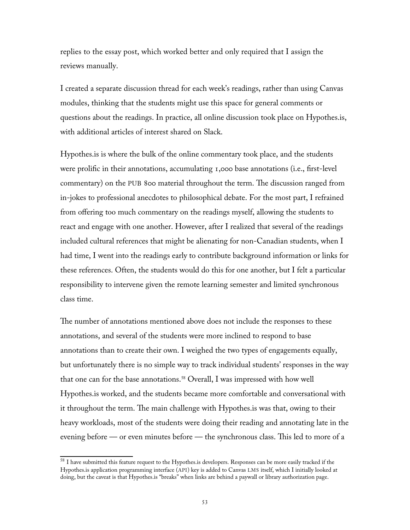replies to the essay post, which worked better and only required that I assign the reviews manually.

I created a separate discussion thread for each week's readings, rather than using Canvas modules, thinking that the students might use this space for general comments or questions about the readings. In practice, all online discussion took place on Hypothes.is, with additional articles of interest shared on Slack.

Hypothes.is is where the bulk of the online commentary took place, and the students were prolific in their annotations, accumulating 1,000 base annotations (i.e., first-level commentary) on the PUB 800 material throughout the term. The discussion ranged from in-jokes to professional anecdotes to philosophical debate. For the most part, I refrained from offering too much commentary on the readings myself, allowing the students to react and engage with one another. However, after I realized that several of the readings included cultural references that might be alienating for non-Canadian students, when I had time, I went into the readings early to contribute background information or links for these references. Often, the students would do this for one another, but I felt a particular responsibility to intervene given the remote learning semester and limited synchronous class time.

The number of annotations mentioned above does not include the responses to these annotations, and several of the students were more inclined to respond to base annotations than to create their own. I weighed the two types of engagements equally, but unfortunately there is no simple way to track individual students' responses in the way that one can for the base annotations.<sup>[58](#page-59-0)</sup> Overall, I was impressed with how well Hypothes.is worked, and the students became more comfortable and conversational with it throughout the term. The main challenge with Hypothes.is was that, owing to their heavy workloads, most of the students were doing their reading and annotating late in the evening before — or even minutes before — the synchronous class. This led to more of a

<span id="page-59-0"></span><sup>&</sup>lt;sup>58</sup> I have submitted this feature request to the Hypothes.is developers. Responses can be more easily tracked if the Hypothes.is application programming interface (API) key is added to Canvas LMS itself, which I initially looked at doing, but the caveat is that Hypothes.is "breaks" when links are behind a paywall or library authorization page.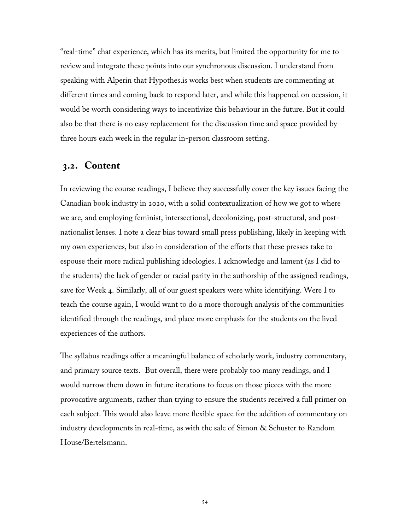"real-time" chat experience, which has its merits, but limited the opportunity for me to review and integrate these points into our synchronous discussion. I understand from speaking with Alperin that Hypothes.is works best when students are commenting at different times and coming back to respond later, and while this happened on occasion, it would be worth considering ways to incentivize this behaviour in the future. But it could also be that there is no easy replacement for the discussion time and space provided by three hours each week in the regular in-person classroom setting.

### **3.2. Content**

In reviewing the course readings, I believe they successfully cover the key issues facing the Canadian book industry in 2020, with a solid contextualization of how we got to where we are, and employing feminist, intersectional, decolonizing, post-structural, and postnationalist lenses. I note a clear bias toward small press publishing, likely in keeping with my own experiences, but also in consideration of the efforts that these presses take to espouse their more radical publishing ideologies. I acknowledge and lament (as I did to the students) the lack of gender or racial parity in the authorship of the assigned readings, save for Week 4. Similarly, all of our guest speakers were white identifying. Were I to teach the course again, I would want to do a more thorough analysis of the communities identified through the readings, and place more emphasis for the students on the lived experiences of the authors.

The syllabus readings offer a meaningful balance of scholarly work, industry commentary, and primary source texts. But overall, there were probably too many readings, and I would narrow them down in future iterations to focus on those pieces with the more provocative arguments, rather than trying to ensure the students received a full primer on each subject. This would also leave more flexible space for the addition of commentary on industry developments in real-time, as with the sale of Simon & Schuster to Random House/Bertelsmann.

54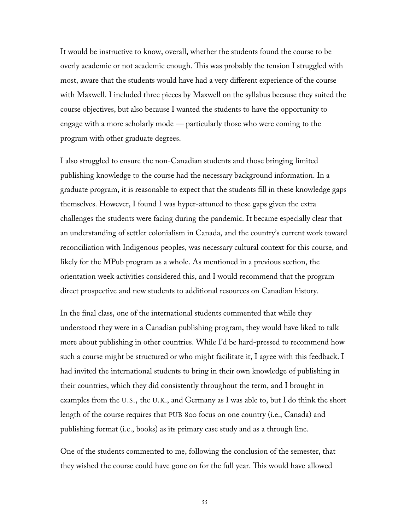It would be instructive to know, overall, whether the students found the course to be overly academic or not academic enough. This was probably the tension I struggled with most, aware that the students would have had a very different experience of the course with Maxwell. I included three pieces by Maxwell on the syllabus because they suited the course objectives, but also because I wanted the students to have the opportunity to engage with a more scholarly mode — particularly those who were coming to the program with other graduate degrees.

I also struggled to ensure the non-Canadian students and those bringing limited publishing knowledge to the course had the necessary background information. In a graduate program, it is reasonable to expect that the students fill in these knowledge gaps themselves. However, I found I was hyper-attuned to these gaps given the extra challenges the students were facing during the pandemic. It became especially clear that an understanding of settler colonialism in Canada, and the country's current work toward reconciliation with Indigenous peoples, was necessary cultural context for this course, and likely for the MPub program as a whole. As mentioned in a previous section, the orientation week activities considered this, and I would recommend that the program direct prospective and new students to additional resources on Canadian history.

In the final class, one of the international students commented that while they understood they were in a Canadian publishing program, they would have liked to talk more about publishing in other countries. While I'd be hard-pressed to recommend how such a course might be structured or who might facilitate it, I agree with this feedback. I had invited the international students to bring in their own knowledge of publishing in their countries, which they did consistently throughout the term, and I brought in examples from the U.S., the U.K., and Germany as I was able to, but I do think the short length of the course requires that PUB 800 focus on one country (i.e., Canada) and publishing format (i.e., books) as its primary case study and as a through line.

One of the students commented to me, following the conclusion of the semester, that they wished the course could have gone on for the full year. This would have allowed

55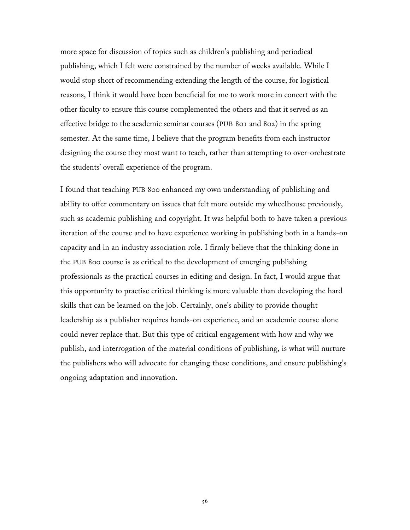more space for discussion of topics such as children's publishing and periodical publishing, which I felt were constrained by the number of weeks available. While I would stop short of recommending extending the length of the course, for logistical reasons, I think it would have been beneficial for me to work more in concert with the other faculty to ensure this course complemented the others and that it served as an effective bridge to the academic seminar courses (PUB 801 and 802) in the spring semester. At the same time, I believe that the program benefits from each instructor designing the course they most want to teach, rather than attempting to over-orchestrate the students' overall experience of the program.

I found that teaching PUB 800 enhanced my own understanding of publishing and ability to offer commentary on issues that felt more outside my wheelhouse previously, such as academic publishing and copyright. It was helpful both to have taken a previous iteration of the course and to have experience working in publishing both in a hands-on capacity and in an industry association role. I firmly believe that the thinking done in the PUB 800 course is as critical to the development of emerging publishing professionals as the practical courses in editing and design. In fact, I would argue that this opportunity to practise critical thinking is more valuable than developing the hard skills that can be learned on the job. Certainly, one's ability to provide thought leadership as a publisher requires hands-on experience, and an academic course alone could never replace that. But this type of critical engagement with how and why we publish, and interrogation of the material conditions of publishing, is what will nurture the publishers who will advocate for changing these conditions, and ensure publishing's ongoing adaptation and innovation.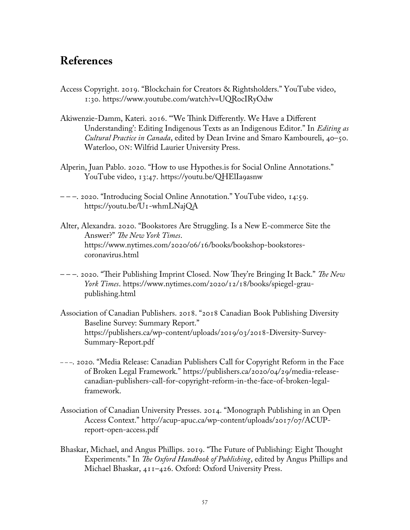# **References**

- Access Copyright. 2019. "Blockchain for Creators & Rightsholders." YouTube video, 1:30. https://www.youtube.com/watch?v=UQR0cIRyOdw
- Akiwenzie-Damm, Kateri. 2016. "'We Think Differently. We Have a Different Understanding': Editing Indigenous Texts as an Indigenous Editor." In *Editing as Cultural Practice in Canada*, edited by Dean Irvine and Smaro Kamboureli, 40–50. Waterloo, ON: Wilfrid Laurier University Press.
- Alperin, Juan Pablo. 2020. "How to use Hypothes.is for Social Online Annotations." YouTube video, 13:47. https://youtu.be/QHElIa9asnw
- – –. 2020. "Introducing Social Online Annotation." YouTube video, 14:59. https://youtu.be/U1-whmLNajQA
- Alter, Alexandra. 2020. "Bookstores Are Struggling. Is a New E-commerce Site the Answer?" *The New York Times*. https://www.nytimes.com/2020/06/16/books/bookshop-bookstorescoronavirus.html
- – –. 2020. "Their Publishing Imprint Closed. Now They're Bringing It Back." *The New York Times*. https://www.nytimes.com/2020/12/18/books/spiegel-graupublishing.html
- Association of Canadian Publishers. 2018. "2018 Canadian Book Publishing Diversity Baseline Survey: Summary Report." https://publishers.ca/wp-content/uploads/2019/03/2018-Diversity-Survey-Summary-Report.pdf
- – –. 2020. "Media Release: Canadian Publishers Call for Copyright Reform in the Face of Broken Legal Framework." https://publishers.ca/2020/04/29/media-releasecanadian-publishers-call-for-copyright-reform-in-the-face-of-broken-legalframework.
- Association of Canadian University Presses. 2014. "Monograph Publishing in an Open Access Context." http://acup-apuc.ca/wp-content/uploads/2017/07/ACUPreport-open-access.pdf
- Bhaskar, Michael, and Angus Phillips. 2019. "The Future of Publishing: Eight Thought Experiments." In *The Oxford Handbook of Publishing*, edited by Angus Phillips and Michael Bhaskar, 411–426. Oxford: Oxford University Press.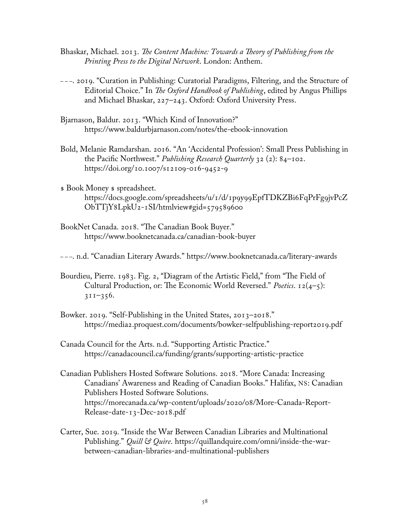- Bhaskar, Michael. 2013. *The Content Machine: Towards a Theory of Publishing from the Printing Press to the Digital Network*. London: Anthem.
- – –. 2019. "Curation in Publishing: Curatorial Paradigms, Filtering, and the Structure of Editorial Choice." In *The Oxford Handbook of Publishing*, edited by Angus Phillips and Michael Bhaskar, 227–243. Oxford: Oxford University Press.
- Bjarnason, Baldur. 2013. "Which Kind of Innovation?" https://www.baldurbjarnason.com/notes/the-ebook-innovation
- Bold, Melanie Ramdarshan. 2016. "An 'Accidental Profession': Small Press Publishing in the Pacific Northwest." *Publishing Research Quarterly* 32 (2): 84–102. https://doi.org/10.1007/s12109-016-9452-9
- \$ Book Money \$ spreadsheet. [https://docs.google.com/spreadsheets/u/1/d/1p9y99EpfTDKZBi6FqPrFg9jvPcZ](https://docs.google.com/spreadsheets/u/1/d/1p9y99EpfTDKZBi6FqPrFg9jvPcZObTTjY8LpkU2-1SI/htmlview#gid=579589600) [ObTTjY8LpkU2-1SI/htmlview#gid=579589600](https://docs.google.com/spreadsheets/u/1/d/1p9y99EpfTDKZBi6FqPrFg9jvPcZObTTjY8LpkU2-1SI/htmlview#gid=579589600)
- BookNet Canada. 2018. "The Canadian Book Buyer." https://www.booknetcanada.ca/canadian-book-buyer

– – –. n.d. "Canadian Literary Awards." https://www.booknetcanada.ca/literary-awards

- Bourdieu, Pierre. 1983. Fig. 2, "Diagram of the Artistic Field," from "The Field of Cultural Production, or: The Economic World Reversed." *Poetics*. 12(4–5):  $311 - 356.$
- Bowker. 2019. "Self-Publishing in the United States, 2013–2018." https://media2.proquest.com/documents/bowker-selfpublishing-report2019.pdf
- Canada Council for the Arts. n.d. "Supporting Artistic Practice." https://canadacouncil.ca/funding/grants/supporting-artistic-practice
- Canadian Publishers Hosted Software Solutions. 2018. "More Canada: Increasing Canadians' Awareness and Reading of Canadian Books." Halifax, NS: Canadian Publishers Hosted Software Solutions. https://morecanada.ca/wp-content/uploads/2020/08/More-Canada-Report-Release-date-13-Dec-2018.pdf
- Carter, Sue. 2019. "Inside the War Between Canadian Libraries and Multinational Publishing." *Quill & Quire*. https://quillandquire.com/omni/inside-the-warbetween-canadian-libraries-and-multinational-publishers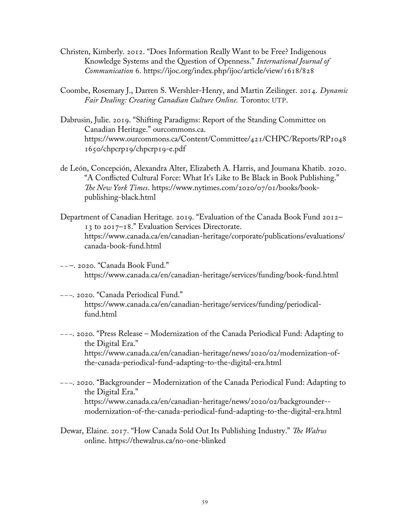- Christen, Kimberly. 2012. "Does Information Really Want to be Free? Indigenous Knowledge Systems and the Question of Openness." *International Journal of Communication* 6. https://ijoc.org/index.php/ijoc/article/view/1618/828
- Coombe, Rosemary J., Darren S. Wershler-Henry, and Martin Zeilinger. 2014. *Dynamic Fair Dealing: Creating Canadian Culture Online.* Toronto: UTP.
- Dabrusin, Julie. 2019. "Shifting Paradigms: Report of the Standing Committee on Canadian Heritage." ourcommons.ca. https://www.ourcommons.ca/Content/Committee/421/CHPC/Reports/RP1048 1650/chpcrp19/chpcrp19-e.pdf
- de León, Concepción, Alexandra Alter, Elizabeth A. Harris, and Joumana Khatib. 2020. "A Conflicted Cultural Force: What It's Like to Be Black in Book Publishing." *The New York Times*. https://www.nytimes.com/2020/07/01/books/bookpublishing-black.html
- Department of Canadian Heritage. 2019. "Evaluation of the Canada Book Fund 2012– 13 to 2017–18." Evaluation Services Directorate. https://www.canada.ca/en/canadian-heritage/corporate/publications/evaluations/ canada-book-fund.html
- – –. 2020. "Canada Book Fund." https://www.canada.ca/en/canadian-heritage/services/funding/book-fund.html
- – –. 2020. "Canada Periodical Fund." https://www.canada.ca/en/canadian-heritage/services/funding/periodicalfund.html
- – –. 2020. "Press Release Modernization of the Canada Periodical Fund: Adapting to the Digital Era." https://www.canada.ca/en/canadian-heritage/news/2020/02/modernization-ofthe-canada-periodical-fund-adapting-to-the-digital-era.html
- – –. 2020. "Backgrounder Modernization of the Canada Periodical Fund: Adapting to the Digital Era." https://www.canada.ca/en/canadian-heritage/news/2020/02/backgrounder- modernization-of-the-canada-periodical-fund-adapting-to-the-digital-era.html
- Dewar, Elaine. 2017. "How Canada Sold Out Its Publishing Industry." *The Walrus*  online. https://thewalrus.ca/no-one-blinked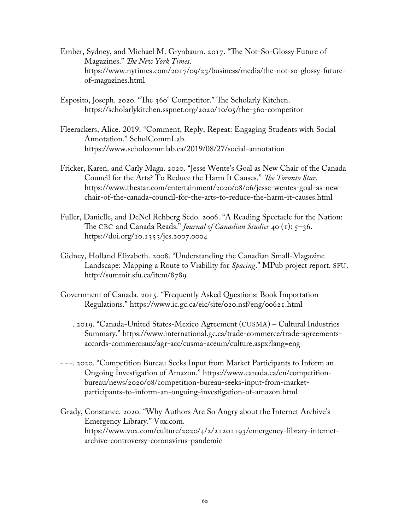- Ember, Sydney, and Michael M. Grynbaum. 2017. "The Not-So-Glossy Future of Magazines." *The New York Times*. https://www.nytimes.com/2017/09/23/business/media/the-not-so-glossy-futureof-magazines.html
- Esposito, Joseph. 2020. "The 360° Competitor." The Scholarly Kitchen. https://scholarlykitchen.sspnet.org/2020/10/05/the-360-competitor
- Fleerackers, Alice. 2019. "Comment, Reply, Repeat: Engaging Students with Social Annotation." ScholCommLab. https://www.scholcommlab.ca/2019/08/27/social-annotation
- Fricker, Karen, and Carly Maga. 2020. "Jesse Wente's Goal as New Chair of the Canada Council for the Arts? To Reduce the Harm It Causes." *The Toronto Star*. https://www.thestar.com/entertainment/2020/08/06/jesse-wentes-goal-as-newchair-of-the-canada-council-for-the-arts-to-reduce-the-harm-it-causes.html
- Fuller, Danielle, and DeNel Rehberg Sedo. 2006. "A Reading Spectacle for the Nation: The CBC and Canada Reads." *Journal of Canadian Studies* 40 (1): 5–36. https://doi.org/10.1353/jcs.2007.0004
- Gidney, Holland Elizabeth. 2008. "Understanding the Canadian Small-Magazine Landscape: Mapping a Route to Viability for *Spacing*." MPub project report. SFU. http://summit.sfu.ca/item/8789
- Government of Canada. 2015. "Frequently Asked Questions: Book Importation Regulations." https://www.ic.gc.ca/eic/site/020.nsf/eng/00621.html
- – –. 2019. "Canada-United States-Mexico Agreement (CUSMA) Cultural Industries Summary." https://www.international.gc.ca/trade-commerce/trade-agreementsaccords-commerciaux/agr-acc/cusma-aceum/culture.aspx?lang=eng
- – –. 2020. "Competition Bureau Seeks Input from Market Participants to Inform an Ongoing Investigation of Amazon." https://www.canada.ca/en/competitionbureau/news/2020/08/competition-bureau-seeks-input-from-marketparticipants-to-inform-an-ongoing-investigation-of-amazon.html
- Grady, Constance. 2020. "Why Authors Are So Angry about the Internet Archive's Emergency Library." Vox.com. https://www.vox.com/culture/2020/4/2/21201193/emergency-library-internetarchive-controversy-coronavirus-pandemic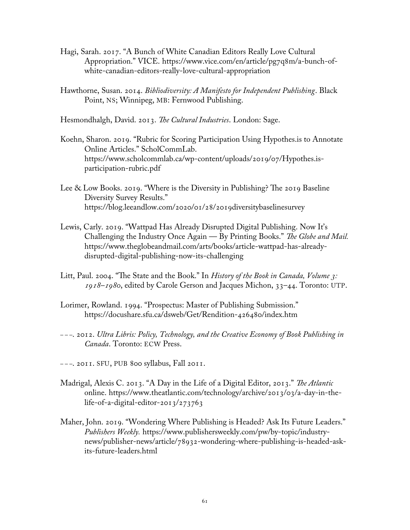- Hagi, Sarah. 2017. "A Bunch of White Canadian Editors Really Love Cultural Appropriation." VICE. https://www.vice.com/en/article/pg7q8m/a-bunch-ofwhite-canadian-editors-really-love-cultural-appropriation
- Hawthorne, Susan. 2014. *Bibliodiversity: A Manifesto for Independent Publishing*. Black Point, NS; Winnipeg, MB: Fernwood Publishing.

Hesmondhalgh, David. 2013. *The Cultural Industries*. London: Sage.

- Koehn, Sharon. 2019. "Rubric for Scoring Participation Using Hypothes.is to Annotate Online Articles." ScholCommLab. https://www.scholcommlab.ca/wp-content/uploads/2019/07/Hypothes.isparticipation-rubric.pdf
- Lee & Low Books. 2019. "Where is the Diversity in Publishing? The 2019 Baseline Diversity Survey Results." https://blog.leeandlow.com/2020/01/28/2019diversitybaselinesurvey
- Lewis, Carly. 2019. "Wattpad Has Already Disrupted Digital Publishing. Now It's Challenging the Industry Once Again — By Printing Books." *The Globe and Mail.* https://www.theglobeandmail.com/arts/books/article-wattpad-has-alreadydisrupted-digital-publishing-now-its-challenging
- Litt, Paul. 2004. "The State and the Book." In *History of the Book in Canada, Volume 3: 1918–1980*, edited by Carole Gerson and Jacques Michon, 33–44. Toronto: UTP.
- Lorimer, Rowland. 1994. "Prospectus: Master of Publishing Submission." <https://docushare.sfu.ca/dsweb/Get/Rendition-426480/index.htm>
- – –. 2012. *Ultra Libris: Policy, Technology, and the Creative Economy of Book Publishing in Canada*. Toronto: ECW Press.
- – –. 2011. SFU, PUB 800 syllabus, Fall 2011.
- Madrigal, Alexis C. 2013. "A Day in the Life of a Digital Editor, 2013." *The Atlantic*  online. https://www.theatlantic.com/technology/archive/2013/03/a-day-in-thelife-of-a-digital-editor-2013/273763
- Maher, John. 2019. "Wondering Where Publishing is Headed? Ask Its Future Leaders." *Publishers Weekly.* https://www.publishersweekly.com/pw/by-topic/industrynews/publisher-news/article/78932-wondering-where-publishing-is-headed-askits-future-leaders.html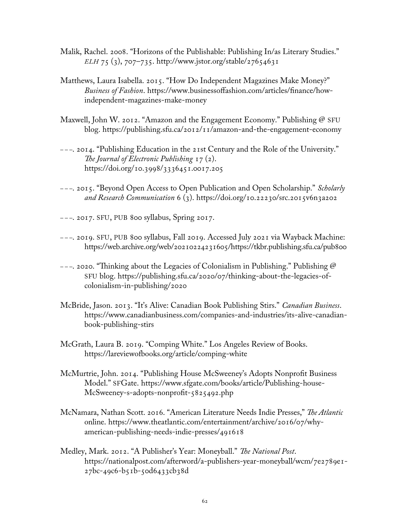- Malik, Rachel. 2008. "Horizons of the Publishable: Publishing In/as Literary Studies." *ELH* 75 (3), 707–735. http://www.jstor.org/stable/27654631
- Matthews, Laura Isabella. 2015. "How Do Independent Magazines Make Money?" *Business of Fashion*. https://www.businessoffashion.com/articles/finance/howindependent-magazines-make-money
- Maxwell, John W. 2012. "Amazon and the Engagement Economy." Publishing @ SFU blog. https://publishing.sfu.ca/2012/11/amazon-and-the-engagement-economy
- – –. 2014. "Publishing Education in the 21st Century and the Role of the University." *The Journal of Electronic Publishing* 17 (2). https://doi.org/10.3998/3336451.0017.205
- – –. 2015. "Beyond Open Access to Open Publication and Open Scholarship." *Scholarly and Research Communication* 6 (3). https://doi.org/10.22230/src.2015v6n3a202
- – –. 2017. SFU, PUB 800 syllabus, Spring 2017.
- – –. 2019. SFU, PUB 800 syllabus, Fall 2019. Accessed July 2021 via Wayback Machine: <https://web.archive.org/web/20210224231605/https://tkbr.publishing.sfu.ca/pub800>
- $---$  2020. "Thinking about the Legacies of Colonialism in Publishing." Publishing @ SFU blog. [https://publishing.sfu.ca/2020/07/thinking-about-the-legacies-of](https://publishing.sfu.ca/2020/07/thinking-about-the-legacies-of-colonialism-in-publishing/2020)[colonialism-in-publishing/2020](https://publishing.sfu.ca/2020/07/thinking-about-the-legacies-of-colonialism-in-publishing/2020)
- McBride, Jason. 2013. "It's Alive: Canadian Book Publishing Stirs." *Canadian Business*. https://www.canadianbusiness.com/companies-and-industries/its-alive-canadianbook-publishing-stirs
- McGrath, Laura B. 2019. "Comping White." Los Angeles Review of Books. <https://lareviewofbooks.org/article/comping-white>
- McMurtrie, John. 2014. "Publishing House McSweeney's Adopts Nonprofit Business Model." SFGate. https://www.sfgate.com/books/article/Publishing-house-McSweeney-s-adopts-nonprofit-5825492.php
- McNamara, Nathan Scott. 2016. "American Literature Needs Indie Presses," *The Atlantic*  online. https://www.theatlantic.com/entertainment/archive/2016/07/whyamerican-publishing-needs-indie-presses/491618
- Medley, Mark. 2012. "A Publisher's Year: Moneyball." *The National Post*. https://nationalpost.com/afterword/a-publishers-year-moneyball/wcm/7e2789e1- 27bc-49c6-b51b-50d6433cb38d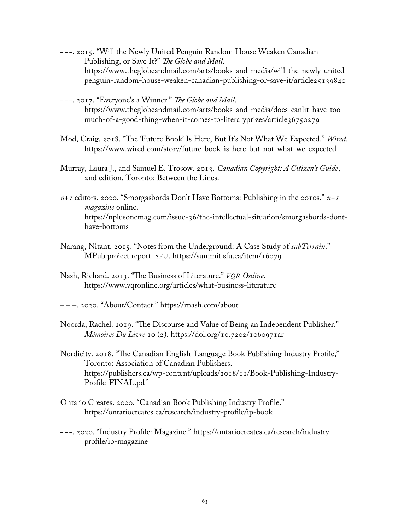- – –. 2015. "Will the Newly United Penguin Random House Weaken Canadian Publishing, or Save It?" *The Globe and Mail*. https://www.theglobeandmail.com/arts/books-and-media/will-the-newly-unitedpenguin-random-house-weaken-canadian-publishing-or-save-it/article25139840
- – –. 2017. "Everyone's a Winner." *The Globe and Mail*. https://www.theglobeandmail.com/arts/books-and-media/does-canlit-have-toomuch-of-a-good-thing-when-it-comes-to-literaryprizes/article36750279
- Mod, Craig. 2018. "The 'Future Book' Is Here, But It's Not What We Expected." *Wired*. https://www.wired.com/story/future-book-is-here-but-not-what-we-expected
- Murray, Laura J., and Samuel E. Trosow. 2013. *Canadian Copyright: A Citizen's Guide*, 2nd edition. Toronto: Between the Lines.
- *n+1* editors. 2020. "Smorgasbords Don't Have Bottoms: Publishing in the 2010s." *n+1 magazine* online. https://nplusonemag.com/issue-36/the-intellectual-situation/smorgasbords-donthave-bottoms
- Narang, Nitant. 2015. "Notes from the Underground: A Case Study of *subTerrain*." MPub project report. SFU. https://summit.sfu.ca/item/16079
- Nash, Richard. 2013. "The Business of Literature." *VQR Online*. https://www.vqronline.org/articles/what-business-literature
- – –. 2020. "About/Contact." https://rnash.com/about
- Noorda, Rachel. 2019. "The Discourse and Value of Being an Independent Publisher." *Mémoires Du Livre* 10 (2). https://doi.org/10.7202/1060971ar
- Nordicity. 2018. "The Canadian English-Language Book Publishing Industry Profile," Toronto: Association of Canadian Publishers. https://publishers.ca/wp-content/uploads/2018/11/Book-Publishing-Industry-Profile-FINAL.pdf
- Ontario Creates. 2020. "Canadian Book Publishing Industry Profile." https://ontariocreates.ca/research/industry-profile/ip-book
- – –. 2020. "Industry Profile: Magazine." https://ontariocreates.ca/research/industryprofile/ip-magazine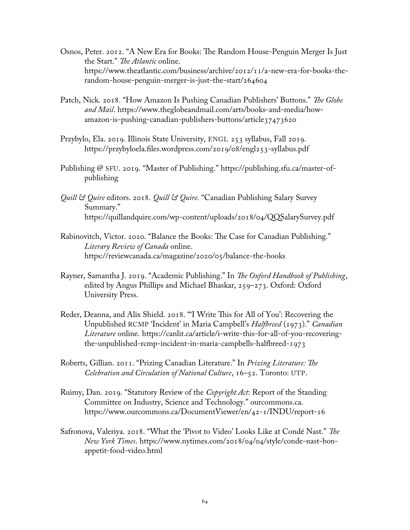- Osnos, Peter. 2012. "A New Era for Books: The Random House-Penguin Merger Is Just the Start." *The Atlantic* online. https://www.theatlantic.com/business/archive/2012/11/a-new-era-for-books-therandom-house-penguin-merger-is-just-the-start/264604
- Patch, Nick. 2018. "How Amazon Is Pushing Canadian Publishers' Buttons." *The Globe and Mail*. https://www.theglobeandmail.com/arts/books-and-media/howamazon-is-pushing-canadian-publishers-buttons/article37473620
- Przybylo, Ela. 2019. Illinois State University, ENGL 253 syllabus, Fall 2019. <https://przybyloela.files.wordpress.com/2019/08/engl253-syllabus.pdf>
- Publishing @ SFU. 2019. "Master of Publishing." https://publishing.sfu.ca/master-ofpublishing
- *Quill & Quire* editors. 2018. *Quill & Quire.* "Canadian Publishing Salary Survey Summary." https://quillandquire.com/wp-content/uploads/2018/04/QQSalarySurvey.pdf
- Rabinovitch, Victor. 2020. "Balance the Books: The Case for Canadian Publishing." *Literary Review of Canada* online. https://reviewcanada.ca/magazine/2020/05/balance-the-books
- Rayner, Samantha J. 2019. "Academic Publishing." In *The Oxford Handbook of Publishing*, edited by Angus Phillips and Michael Bhaskar, 259–273. Oxford: Oxford University Press.
- Reder, Deanna, and Alix Shield. 2018. "'I Write This for All of You': Recovering the Unpublished RCMP 'Incident' in Maria Campbell's *Halfbreed* (1973)." *Canadian Literature* online. [https://canlit.ca/article/i-write-this-for-all-of-you-recovering](https://canlit.ca/article/i-write-this-for-all-of-you-recovering-the-unpublished-rcmp-incident-in-maria-campbells-halfbreed-1973)[the-unpublished-rcmp-incident-in-maria-campbells-halfbreed-1973](https://canlit.ca/article/i-write-this-for-all-of-you-recovering-the-unpublished-rcmp-incident-in-maria-campbells-halfbreed-1973)
- Roberts, Gillian. 2011. "Prizing Canadian Literature." In *Prizing Literature: The Celebration and Circulation of National Culture*, 16–52. Toronto: UTP.
- Ruimy, Dan. 2019. "Statutory Review of the *Copyright Act*: Report of the Standing Committee on Industry, Science and Technology." ourcommons.ca. https://www.ourcommons.ca/DocumentViewer/en/42-1/INDU/report-16
- Safronova, Valeriya. 2018. "What the 'Pivot to Video' Looks Like at Condé Nast." *The New York Times*. https://www.nytimes.com/2018/04/04/style/conde-nast-bonappetit-food-video.html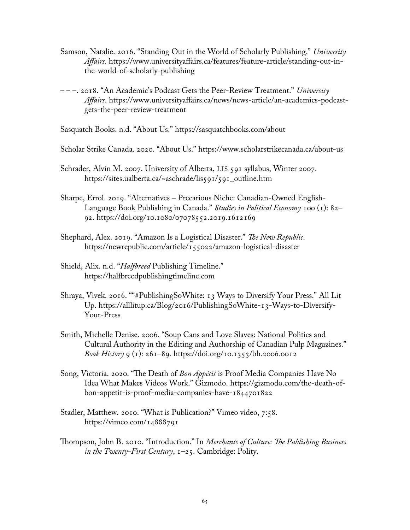- Samson, Natalie. 2016. "Standing Out in the World of Scholarly Publishing." *University Affairs.* https://www.universityaffairs.ca/features/feature-article/standing-out-inthe-world-of-scholarly-publishing
- – –. 2018. "An Academic's Podcast Gets the Peer-Review Treatment." *University Affairs*. https://www.universityaffairs.ca/news/news-article/an-academics-podcastgets-the-peer-review-treatment

Sasquatch Books. n.d. "About Us." https://sasquatchbooks.com/about

- Scholar Strike Canada. 2020. "About Us." https://www.scholarstrikecanada.ca/about-us
- Schrader, Alvin M. 2007. University of Alberta, LIS 591 syllabus, Winter 2007. [https://sites.ualberta.ca/~aschrade/lis591/591\\_outline.htm](https://sites.ualberta.ca/~aschrade/lis591/591_outline.htm)
- Sharpe, Errol. 2019. "Alternatives Precarious Niche: Canadian-Owned English-Language Book Publishing in Canada." *Studies in Political Economy* 100 (1): 82– 92. https://doi.org/10.1080/07078552.2019.1612169
- Shephard, Alex. 2019. "Amazon Is a Logistical Disaster." *The New Republic*. https://newrepublic.com/article/155022/amazon-logistical-disaster
- Shield, Alix. n.d. "*Halfbreed* Publishing Timeline." https://halfbreedpublishingtimeline.com
- Shraya, Vivek. 2016. ""#PublishingSoWhite: 13 Ways to Diversify Your Press." All Lit Up. https://alllitup.ca/Blog/2016/PublishingSoWhite-13-Ways-to-Diversify-Your-Press
- Smith, Michelle Denise. 2006. "Soup Cans and Love Slaves: National Politics and Cultural Authority in the Editing and Authorship of Canadian Pulp Magazines." *Book History* 9 (1): 261–89. https://doi.org/10.1353/bh.2006.0012
- Song, Victoria. 2020. "The Death of *Bon Appétit* is Proof Media Companies Have No Idea What Makes Videos Work." Gizmodo. https://gizmodo.com/the-death-ofbon-appetit-is-proof-media-companies-have-1844701822
- Stadler, Matthew. 2010. "What is Publication?" Vimeo video, 7:58. https://vimeo.com/14888791
- Thompson, John B. 2010. "Introduction." In *Merchants of Culture: The Publishing Business in the Twenty-First Century*, 1–25. Cambridge: Polity.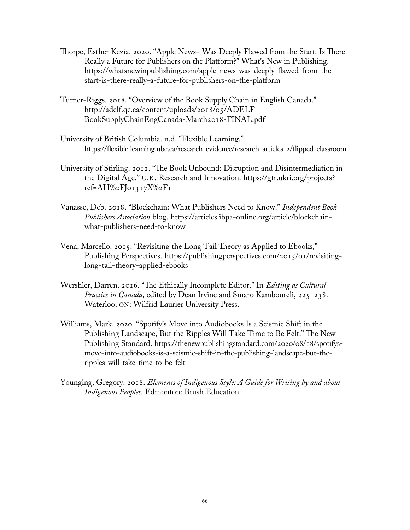- Thorpe, Esther Kezia. 2020. "Apple News+ Was Deeply Flawed from the Start. Is There Really a Future for Publishers on the Platform?" What's New in Publishing. https://whatsnewinpublishing.com/apple-news-was-deeply-flawed-from-thestart-is-there-really-a-future-for-publishers-on-the-platform
- Turner-Riggs. 2018. "Overview of the Book Supply Chain in English Canada." http://adelf.qc.ca/content/uploads/2018/05/ADELF-BookSupplyChainEngCanada-March2018-FINAL.pdf
- University of British Columbia. n.d. "Flexible Learning." https://flexible.learning.ubc.ca/research-evidence/research-articles-2/flipped-classroom
- University of Stirling. 2012. "The Book Unbound: Disruption and Disintermediation in the Digital Age." U.K. Research and Innovation. https://gtr.ukri.org/projects? ref=AH%2FJ01317X%2F1
- Vanasse, Deb. 2018. "Blockchain: What Publishers Need to Know." *Independent Book Publishers Association* blog. https://articles.ibpa-online.org/article/blockchainwhat-publishers-need-to-know
- Vena, Marcello. 2015. "Revisiting the Long Tail Theory as Applied to Ebooks," Publishing Perspectives. https://publishingperspectives.com/2015/01/revisitinglong-tail-theory-applied-ebooks
- Wershler, Darren. 2016. "The Ethically Incomplete Editor." In *Editing as Cultural Practice in Canada*, edited by Dean Irvine and Smaro Kamboureli, 225–238. Waterloo, ON: Wilfrid Laurier University Press.
- Williams, Mark. 2020. "Spotify's Move into Audiobooks Is a Seismic Shift in the Publishing Landscape, But the Ripples Will Take Time to Be Felt." The New Publishing Standard. https://thenewpublishingstandard.com/2020/08/18/spotifysmove-into-audiobooks-is-a-seismic-shift-in-the-publishing-landscape-but-theripples-will-take-time-to-be-felt
- Younging, Gregory. 2018. *Elements of Indigenous Style: A Guide for Writing by and about Indigenous Peoples.* Edmonton: Brush Education.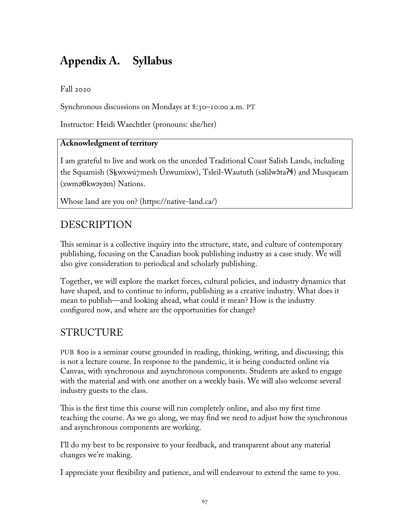# **Appendix A. Syllabus**

### Fall 2020

Synchronous discussions on Mondays at 8:30–10:00 a.m. PT

Instructor: Heidi Waechtler (pronouns: she/her)

### **Acknowledgment of territory**

I am grateful to live and work on the unceded Traditional Coast Salish Lands, including the Squamish (Sḵwxwú7mesh Úxwumixw), Tsleil-Waututh (səlilwə̓taʔɬ) and Musqueam (xwməθkwəyəm) Nations.

Whose land are you on? (https://native-land.ca/)

# DESCRIPTION

This seminar is a collective inquiry into the structure, state, and culture of contemporary publishing, focusing on the Canadian book publishing industry as a case study. We will also give consideration to periodical and scholarly publishing.

Together, we will explore the market forces, cultural policies, and industry dynamics that have shaped, and to continue to inform, publishing as a creative industry. What does it mean to publish—and looking ahead, what could it mean? How is the industry configured now, and where are the opportunities for change?

# STRUCTURE

PUB 800 is a seminar course grounded in reading, thinking, writing, and discussing; this is not a lecture course. In response to the pandemic, it is being conducted online via Canvas, with synchronous and asynchronous components. Students are asked to engage with the material and with one another on a weekly basis. We will also welcome several industry guests to the class.

This is the first time this course will run completely online, and also my first time teaching the course. As we go along, we may find we need to adjust how the synchronous and asynchronous components are working.

I'll do my best to be responsive to your feedback, and transparent about any material changes we're making.

I appreciate your flexibility and patience, and will endeavour to extend the same to you.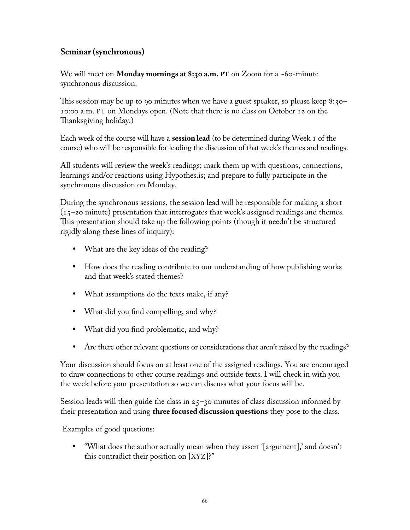### **Seminar (synchronous)**

We will meet on **Monday mornings at 8:30 a.m. PT** on Zoom for a ~60-minute synchronous discussion.

This session may be up to 90 minutes when we have a guest speaker, so please keep 8:30– 10:00 a.m. PT on Mondays open. (Note that there is no class on October 12 on the Thanksgiving holiday.)

Each week of the course will have a **session lead** (to be determined during Week 1 of the course) who will be responsible for leading the discussion of that week's themes and readings.

All students will review the week's readings; mark them up with questions, connections, learnings and/or reactions using Hypothes.is; and prepare to fully participate in the synchronous discussion on Monday.

During the synchronous sessions, the session lead will be responsible for making a short (15–20 minute) presentation that interrogates that week's assigned readings and themes. This presentation should take up the following points (though it needn't be structured rigidly along these lines of inquiry):

- What are the key ideas of the reading?
- How does the reading contribute to our understanding of how publishing works and that week's stated themes?
- What assumptions do the texts make, if any?
- What did you find compelling, and why?
- What did you find problematic, and why?
- Are there other relevant questions or considerations that aren't raised by the readings?

Your discussion should focus on at least one of the assigned readings. You are encouraged to draw connections to other course readings and outside texts. I will check in with you the week before your presentation so we can discuss what your focus will be.

Session leads will then guide the class in  $25$ –30 minutes of class discussion informed by their presentation and using **three focused discussion questions** they pose to the class.

Examples of good questions:

 "What does the author actually mean when they assert '[argument],' and doesn't this contradict their position on [XYZ]?"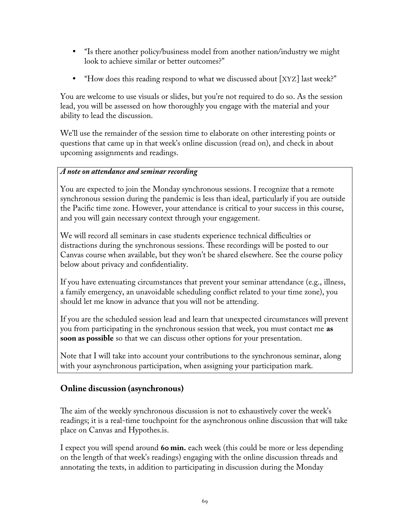- "Is there another policy/business model from another nation/industry we might look to achieve similar or better outcomes?"
- "How does this reading respond to what we discussed about [XYZ] last week?"

You are welcome to use visuals or slides, but you're not required to do so. As the session lead, you will be assessed on how thoroughly you engage with the material and your ability to lead the discussion.

We'll use the remainder of the session time to elaborate on other interesting points or questions that came up in that week's online discussion (read on), and check in about upcoming assignments and readings.

### *A note on attendance and seminar recording*

You are expected to join the Monday synchronous sessions. I recognize that a remote synchronous session during the pandemic is less than ideal, particularly if you are outside the Pacific time zone. However, your attendance is critical to your success in this course, and you will gain necessary context through your engagement.

We will record all seminars in case students experience technical difficulties or distractions during the synchronous sessions. These recordings will be posted to our Canvas course when available, but they won't be shared elsewhere. See the course policy below about privacy and confidentiality.

If you have extenuating circumstances that prevent your seminar attendance (e.g., illness, a family emergency, an unavoidable scheduling conflict related to your time zone), you should let me know in advance that you will not be attending.

If you are the scheduled session lead and learn that unexpected circumstances will prevent you from participating in the synchronous session that week, you must contact me **as soon as possible** so that we can discuss other options for your presentation.

Note that I will take into account your contributions to the synchronous seminar, along with your asynchronous participation, when assigning your participation mark.

### **Online discussion (asynchronous)**

The aim of the weekly synchronous discussion is not to exhaustively cover the week's readings; it is a real-time touchpoint for the asynchronous online discussion that will take place on Canvas and Hypothes.is.

I expect you will spend around **60 min.** each week (this could be more or less depending on the length of that week's readings) engaging with the online discussion threads and annotating the texts, in addition to participating in discussion during the Monday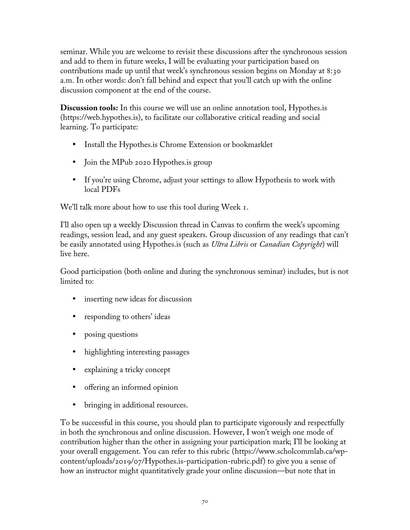seminar. While you are welcome to revisit these discussions after the synchronous session and add to them in future weeks, I will be evaluating your participation based on contributions made up until that week's synchronous session begins on Monday at 8:30 a.m. In other words: don't fall behind and expect that you'll catch up with the online discussion component at the end of the course.

**Discussion tools:** In this course we will use an online annotation tool, Hypothes.is (https://web.hypothes.is), to facilitate our collaborative critical reading and social learning. To participate:

- Install the Hypothes.is Chrome Extension or bookmarklet
- Join the MPub 2020 Hypothes. is group
- If you're using Chrome, adjust your settings to allow Hypothesis to work with local PDFs

We'll talk more about how to use this tool during Week 1.

I'll also open up a weekly Discussion thread in Canvas to confirm the week's upcoming readings, session lead, and any guest speakers. Group discussion of any readings that can't be easily annotated using Hypothes.is (such as *Ultra Libris* or *Canadian Copyright*) will live here.

Good participation (both online and during the synchronous seminar) includes, but is not limited to:

- inserting new ideas for discussion
- responding to others' ideas
- posing questions
- highlighting interesting passages
- explaining a tricky concept
- offering an informed opinion
- bringing in additional resources.

To be successful in this course, you should plan to participate vigorously and respectfully in both the synchronous and online discussion. However, I won't weigh one mode of contribution higher than the other in assigning your participation mark; I'll be looking at your overall engagement. You can refer to this rubric (https://www.scholcommlab.ca/wpcontent/uploads/2019/07/Hypothes.is-participation-rubric.pdf) to give you a sense of how an instructor might quantitatively grade your online discussion—but note that in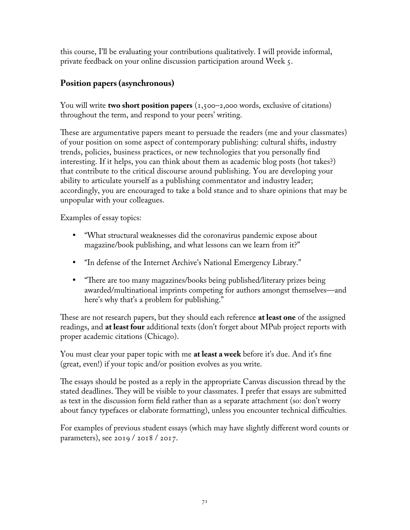this course, I'll be evaluating your contributions qualitatively. I will provide informal, private feedback on your online discussion participation around Week 5.

### **Position papers (asynchronous)**

You will write **two short position papers** (1,500–2,000 words, exclusive of citations) throughout the term, and respond to your peers' writing.

These are argumentative papers meant to persuade the readers (me and your classmates) of your position on some aspect of contemporary publishing: cultural shifts, industry trends, policies, business practices, or new technologies that you personally find interesting. If it helps, you can think about them as academic blog posts (hot takes?) that contribute to the critical discourse around publishing. You are developing your ability to articulate yourself as a publishing commentator and industry leader; accordingly, you are encouraged to take a bold stance and to share opinions that may be unpopular with your colleagues.

Examples of essay topics:

- "What structural weaknesses did the coronavirus pandemic expose about magazine/book publishing, and what lessons can we learn from it?"
- "In defense of the Internet Archive's National Emergency Library."
- "There are too many magazines/books being published/literary prizes being awarded/multinational imprints competing for authors amongst themselves—and here's why that's a problem for publishing."

These are not research papers, but they should each reference **at least one** of the assigned readings, and **at least four** additional texts (don't forget about MPub project reports with proper academic citations (Chicago).

You must clear your paper topic with me **at least a week** before it's due. And it's fine (great, even!) if your topic and/or position evolves as you write.

The essays should be posted as a reply in the appropriate Canvas discussion thread by the stated deadlines. They will be visible to your classmates. I prefer that essays are submitted as text in the discussion form field rather than as a separate attachment (so: don't worry about fancy typefaces or elaborate formatting), unless you encounter technical difficulties.

For examples of previous student essays (which may have slightly different word counts or parameters), see 2019 / 2018 / 2017.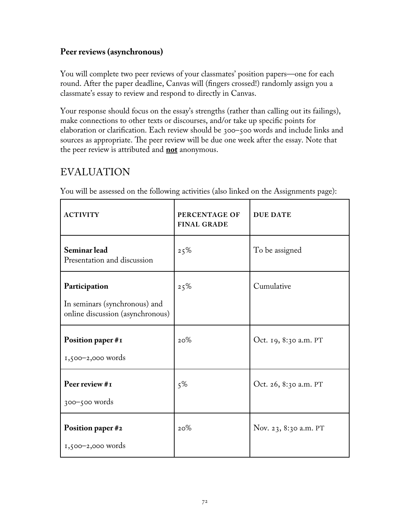### **Peer reviews (asynchronous)**

You will complete two peer reviews of your classmates' position papers—one for each round. After the paper deadline, Canvas will (fingers crossed!) randomly assign you a classmate's essay to review and respond to directly in Canvas.

Your response should focus on the essay's strengths (rather than calling out its failings), make connections to other texts or discourses, and/or take up specific points for elaboration or clarification. Each review should be 300–500 words and include links and sources as appropriate. The peer review will be due one week after the essay. Note that the peer review is attributed and **not** anonymous.

## EVALUATION

| <b>ACTIVITY</b>                                                                    | PERCENTAGE OF<br><b>FINAL GRADE</b> | <b>DUE DATE</b>       |
|------------------------------------------------------------------------------------|-------------------------------------|-----------------------|
| Seminar lead<br>Presentation and discussion                                        | 25%                                 | To be assigned        |
| Participation<br>In seminars (synchronous) and<br>online discussion (asynchronous) | 25%                                 | Cumulative            |
| Position paper #1<br>$1,500-2,000$ words                                           | 20%                                 | Oct. 19, 8:30 a.m. PT |
| Peer review #1<br>$300 - 500$ words                                                | $5\%$                               | Oct. 26, 8:30 a.m. PT |
| Position paper #2<br>$1,500-2,000$ words                                           | 20%                                 | Nov. 23, 8:30 a.m. PT |

You will be assessed on the following activities (also linked on the Assignments page):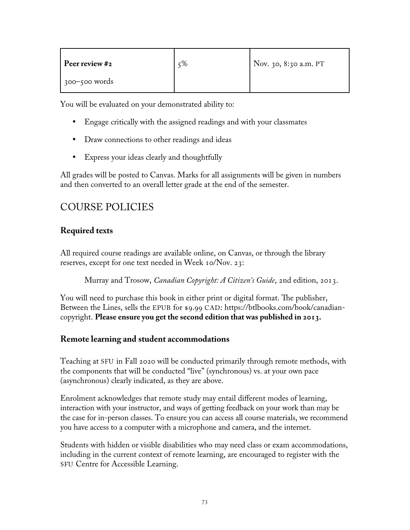| Peer review #2    | 5% | Nov. 30, 8:30 a.m. PT |
|-------------------|----|-----------------------|
| $300 - 500$ words |    |                       |

You will be evaluated on your demonstrated ability to:

- Engage critically with the assigned readings and with your classmates
- Draw connections to other readings and ideas
- Express your ideas clearly and thoughtfully

All grades will be posted to Canvas. Marks for all assignments will be given in numbers and then converted to an overall letter grade at the end of the semester.

# COURSE POLICIES

### **Required texts**

All required course readings are available online, on Canvas, or through the library reserves, except for one text needed in Week 10/Nov. 23:

Murray and Trosow, *Canadian Copyright: A Citizen's Guide*, 2nd edition, 2013.

You will need to purchase this book in either print or digital format. The publisher, Between the Lines, sells the EPUB for \$9.99 CAD: https://btlbooks.com/book/canadiancopyright. **Please ensure you get the second edition that was published in 2013.**

### **Remote learning and student accommodations**

Teaching at SFU in Fall 2020 will be conducted primarily through remote methods, with the components that will be conducted "live" (synchronous) vs. at your own pace (asynchronous) clearly indicated, as they are above.

Enrolment acknowledges that remote study may entail different modes of learning, interaction with your instructor, and ways of getting feedback on your work than may be the case for in-person classes. To ensure you can access all course materials, we recommend you have access to a computer with a microphone and camera, and the internet.

Students with hidden or visible disabilities who may need class or exam accommodations, including in the current context of remote learning, are encouraged to register with the SFU Centre for Accessible Learning.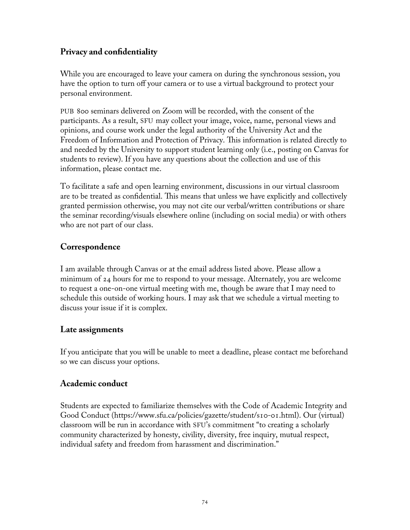### **Privacy and confidentiality**

While you are encouraged to leave your camera on during the synchronous session, you have the option to turn off your camera or to use a virtual background to protect your personal environment.

PUB 800 seminars delivered on Zoom will be recorded, with the consent of the participants. As a result, SFU may collect your image, voice, name, personal views and opinions, and course work under the legal authority of the University Act and the Freedom of Information and Protection of Privacy. This information is related directly to and needed by the University to support student learning only (i.e., posting on Canvas for students to review). If you have any questions about the collection and use of this information, please contact me.

To facilitate a safe and open learning environment, discussions in our virtual classroom are to be treated as confidential. This means that unless we have explicitly and collectively granted permission otherwise, you may not cite our verbal/written contributions or share the seminar recording/visuals elsewhere online (including on social media) or with others who are not part of our class.

### **Correspondence**

I am available through Canvas or at the email address listed above. Please allow a minimum of 24 hours for me to respond to your message. Alternately, you are welcome to request a one-on-one virtual meeting with me, though be aware that I may need to schedule this outside of working hours. I may ask that we schedule a virtual meeting to discuss your issue if it is complex.

### **Late assignments**

If you anticipate that you will be unable to meet a deadline, please contact me beforehand so we can discuss your options.

### **Academic conduct**

Students are expected to familiarize themselves with the Code of Academic Integrity and Good Conduct (https://www.sfu.ca/policies/gazette/student/s10-01.html). Our (virtual) classroom will be run in accordance with SFU's commitment "to creating a scholarly community characterized by honesty, civility, diversity, free inquiry, mutual respect, individual safety and freedom from harassment and discrimination."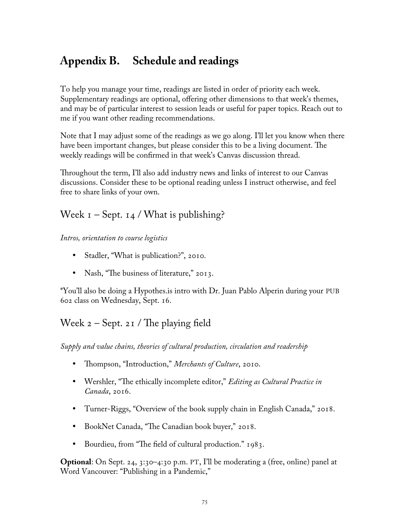# **Appendix B. Schedule and readings**

To help you manage your time, readings are listed in order of priority each week. Supplementary readings are optional, offering other dimensions to that week's themes, and may be of particular interest to session leads or useful for paper topics. Reach out to me if you want other reading recommendations.

Note that I may adjust some of the readings as we go along. I'll let you know when there have been important changes, but please consider this to be a living document. The weekly readings will be confirmed in that week's Canvas discussion thread.

Throughout the term, I'll also add industry news and links of interest to our Canvas discussions. Consider these to be optional reading unless I instruct otherwise, and feel free to share links of your own.

## Week  $I -$  Sept.  $I_4$  / What is publishing?

*Intros, orientation to course logistics*

- Stadler, "What is publication?", 2010.
- Nash, "The business of literature," 2013.

\*You'll also be doing a Hypothes.is intro with Dr. Juan Pablo Alperin during your PUB 602 class on Wednesday, Sept. 16.

# Week  $2 -$  Sept. 21 / The playing field

*Supply and value chains, theories of cultural production, circulation and readership*

- Thompson, "Introduction," *Merchants of Culture*, 2010.
- Wershler, "The ethically incomplete editor," *Editing as Cultural Practice in Canada*, 2016.
- Turner-Riggs, "Overview of the book supply chain in English Canada," 2018.
- BookNet Canada, "The Canadian book buyer," 2018.
- Bourdieu, from "The field of cultural production." 1983.

**Optional**: On Sept. 24, 3:30–4:30 p.m. PT, I'll be moderating a (free, online) panel at Word Vancouver: "Publishing in a Pandemic,"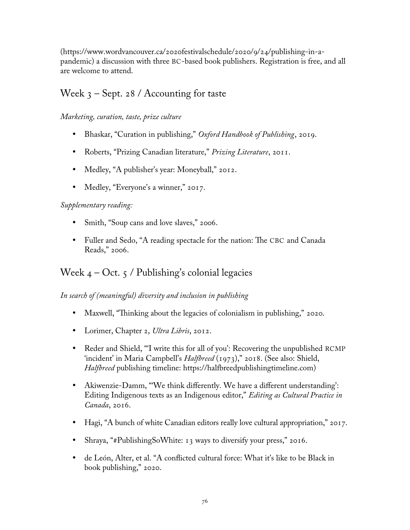(https://www.wordvancouver.ca/2020festivalschedule/2020/9/24/publishing-in-apandemic) a discussion with three BC-based book publishers. Registration is free, and all are welcome to attend.

### Week  $3 -$  Sept. 28 / Accounting for taste

### *Marketing, curation, taste, prize culture*

- Bhaskar, "Curation in publishing," *Oxford Handbook of Publishing*, 2019.
- Roberts, "Prizing Canadian literature," *Prizing Literature*, 2011.
- Medley, "A publisher's year: Moneyball," 2012.
- Medley, "Everyone's a winner," 2017.

### *Supplementary reading:*

- Smith, "Soup cans and love slaves," 2006.
- Fuller and Sedo, "A reading spectacle for the nation: The CBC and Canada Reads," 2006.

### Week  $4 - Oct. 5$  / Publishing's colonial legacies

### *In search of (meaningful) diversity and inclusion in publishing*

- Maxwell, "Thinking about the legacies of colonialism in publishing," 2020.
- Lorimer, Chapter 2, *Ultra Libris*, 2012.
- Reder and Shield, "'I write this for all of you': Recovering the unpublished RCMP 'incident' in Maria Campbell's *Halfbreed* (1973)," 2018. (See also: Shield, *Halfbreed* publishing timeline: https://halfbreedpublishingtimeline.com)
- Akiwenzie-Damm, "'We think differently. We have a different understanding': Editing Indigenous texts as an Indigenous editor," *Editing as Cultural Practice in Canada*, 2016.
- Hagi, "A bunch of white Canadian editors really love cultural appropriation," 2017.
- Shraya, "#PublishingSoWhite: 13 ways to diversify your press," 2016.
- de León, Alter, et al. "A conflicted cultural force: What it's like to be Black in book publishing," 2020.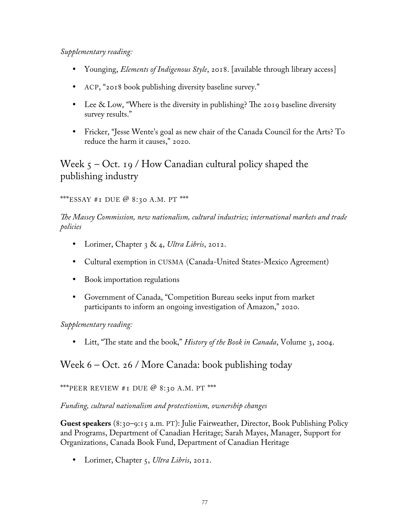#### *Supplementary reading:*

- Younging, *Elements of Indigenous Style*, 2018. [available through library access]
- ACP, "2018 book publishing diversity baseline survey."
- Lee & Low, "Where is the diversity in publishing? The 2019 baseline diversity survey results."
- Fricker, "Jesse Wente's goal as new chair of the Canada Council for the Arts? To reduce the harm it causes," 2020.

Week  $5 - Oct.$  19 / How Canadian cultural policy shaped the publishing industry

\*\*\*ESSAY #1 DUE @ 8:30 A.M. PT \*\*\*

*The Massey Commission, new nationalism, cultural industries; international markets and trade policies*

- Lorimer, Chapter 3 & 4, *Ultra Libris*, 2012.
- Cultural exemption in CUSMA (Canada-United States-Mexico Agreement)
- Book importation regulations
- Government of Canada, "Competition Bureau seeks input from market participants to inform an ongoing investigation of Amazon," 2020.

*Supplementary reading:*

• Litt, "The state and the book," *History of the Book in Canada*, Volume 3, 2004.

### Week 6 – Oct. 26 / More Canada: book publishing today

\*\*\*PEER REVIEW #1 DUE  $@$  8:30 A.M. PT \*\*\*

*Funding, cultural nationalism and protectionism, ownership changes*

**Guest speakers** (8:30–9:15 a.m. PT): Julie Fairweather, Director, Book Publishing Policy and Programs, Department of Canadian Heritage; Sarah Mayes, Manager, Support for Organizations, Canada Book Fund, Department of Canadian Heritage

Lorimer, Chapter 5, *Ultra Libris*, 2012.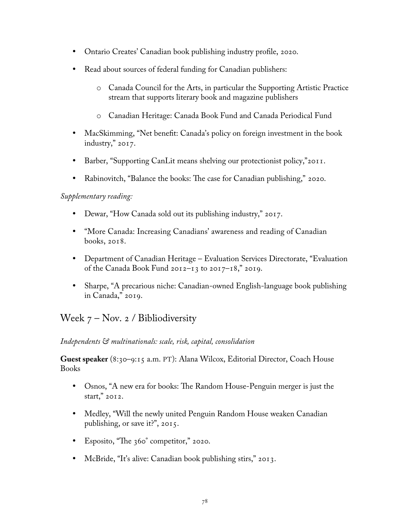- Ontario Creates' Canadian book publishing industry profile, 2020.
- Read about sources of federal funding for Canadian publishers:
	- o Canada Council for the Arts, in particular the Supporting Artistic Practice stream that supports literary book and magazine publishers
	- o Canadian Heritage: Canada Book Fund and Canada Periodical Fund
- MacSkimming, "Net benefit: Canada's policy on foreign investment in the book industry," 2017.
- Barber, "Supporting CanLit means shelving our protectionist policy,"2011.
- Rabinovitch, "Balance the books: The case for Canadian publishing," 2020.

### *Supplementary reading:*

- Dewar, "How Canada sold out its publishing industry," 2017.
- "More Canada: Increasing Canadians' awareness and reading of Canadian books, 2018.
- Department of Canadian Heritage Evaluation Services Directorate, "Evaluation of the Canada Book Fund 2012–13 to 2017–18," 2019.
- Sharpe, "A precarious niche: Canadian-owned English-language book publishing in Canada," 2019.

# Week  $7 - Nov. 2 / Bibliodiversity$

### *Independents & multinationals: scale, risk, capital, consolidation*

**Guest speaker** (8:30–9:15 a.m. PT): Alana Wilcox, Editorial Director, Coach House Books

- Osnos, "A new era for books: The Random House-Penguin merger is just the start," 2012.
- Medley, "Will the newly united Penguin Random House weaken Canadian publishing, or save it?", 2015.
- Esposito, "The 360° competitor," 2020.
- McBride, "It's alive: Canadian book publishing stirs," 2013.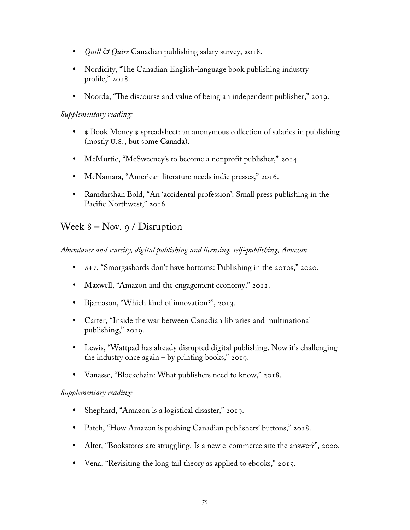- *Quill & Quire* Canadian publishing salary survey, 2018.
- Nordicity, "The Canadian English-language book publishing industry profile," 2018.
- Noorda, "The discourse and value of being an independent publisher," 2019.

#### *Supplementary reading:*

- $\bullet$  Sook Money  $\bullet$  spreadsheet: an anonymous collection of salaries in publishing (mostly U.S., but some Canada).
- McMurtie, "McSweeney's to become a nonprofit publisher," 2014.
- McNamara, "American literature needs indie presses," 2016.
- Ramdarshan Bold, "An 'accidental profession': Small press publishing in the Pacific Northwest," 2016.

### Week  $8 - Nov. 9 / Distribution$

*Abundance and scarcity, digital publishing and licensing, self-publishing, Amazon*

- *n+1*, "Smorgasbords don't have bottoms: Publishing in the 2010s," 2020.
- Maxwell, "Amazon and the engagement economy," 2012.
- Bjarnason, "Which kind of innovation?", 2013.
- Carter, "Inside the war between Canadian libraries and multinational publishing," 2019.
- Lewis, "Wattpad has already disrupted digital publishing. Now it's challenging the industry once again  $-$  by printing books," 2019.
- Vanasse, "Blockchain: What publishers need to know," 2018.

#### *Supplementary reading:*

- Shephard, "Amazon is a logistical disaster," 2019.
- Patch, "How Amazon is pushing Canadian publishers' buttons," 2018.
- Alter, "Bookstores are struggling. Is a new e-commerce site the answer?", 2020.
- Vena, "Revisiting the long tail theory as applied to ebooks," 2015.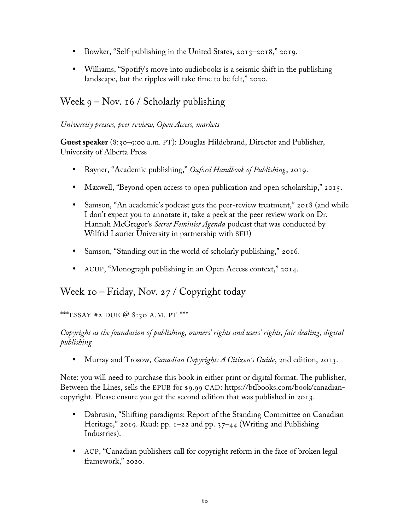- Bowker, "Self-publishing in the United States, 2013–2018," 2019.
- Williams, "Spotify's move into audiobooks is a seismic shift in the publishing landscape, but the ripples will take time to be felt," 2020.

## Week  $9 - Nov. 16 / Scholarly publishing$

### *University presses, peer review, Open Access, markets*

**Guest speaker** (8:30–9:00 a.m. PT): Douglas Hildebrand, Director and Publisher, University of Alberta Press

- Rayner, "Academic publishing," *Oxford Handbook of Publishing*, 2019.
- Maxwell, "Beyond open access to open publication and open scholarship," 2015.
- Samson, "An academic's podcast gets the peer-review treatment," 2018 (and while I don't expect you to annotate it, take a peek at the peer review work on Dr. Hannah McGregor's *Secret Feminist Agenda* podcast that was conducted by Wilfrid Laurier University in partnership with SFU)
- Samson, "Standing out in the world of scholarly publishing," 2016.
- ACUP, "Monograph publishing in an Open Access context," 2014.

## Week 10 – Friday, Nov. 27 / Copyright today

### \*\*\*ESSAY #2 DUE @ 8:30 A.M. PT \*\*\*

### *Copyright as the foundation of publishing, owners' rights and users' rights, fair dealing, digital publishing*

Murray and Trosow, *Canadian Copyright: A Citizen's Guide*, 2nd edition, 2013.

Note: you will need to purchase this book in either print or digital format. The publisher, Between the Lines, sells the EPUB for \$9.99 CAD: https://btlbooks.com/book/canadiancopyright. Please ensure you get the second edition that was published in 2013.

- Dabrusin, "Shifting paradigms: Report of the Standing Committee on Canadian Heritage," 2019. Read: pp.  $1-22$  and pp.  $37-44$  (Writing and Publishing Industries).
- ACP, "Canadian publishers call for copyright reform in the face of broken legal framework," 2020.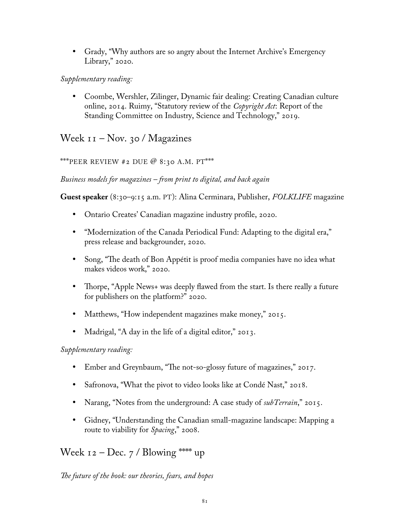Grady, "Why authors are so angry about the Internet Archive's Emergency Library," 2020.

*Supplementary reading:*

 Coombe, Wershler, Zilinger, Dynamic fair dealing: Creating Canadian culture online, 2014. Ruimy, "Statutory review of the *Copyright Act*: Report of the Standing Committee on Industry, Science and Technology," 2019.

Week  $11 - Nov.$  30 / Magazines

\*\*\*PEER REVIEW #2 DUE  $@ 8:30$  A.M. PT\*\*\*

*Business models for magazines – from print to digital, and back again*

**Guest speaker** (8:30–9:15 a.m. PT): Alina Cerminara, Publisher, *FOLKLIFE* magazine

- Ontario Creates' Canadian magazine industry profile, 2020.
- "Modernization of the Canada Periodical Fund: Adapting to the digital era," press release and backgrounder, 2020.
- Song, "The death of Bon Appétit is proof media companies have no idea what makes videos work," 2020.
- Thorpe, "Apple News+ was deeply flawed from the start. Is there really a future for publishers on the platform?" 2020.
- Matthews, "How independent magazines make money," 2015.
- Madrigal, "A day in the life of a digital editor," 2013.

*Supplementary reading:*

- Ember and Greynbaum, "The not-so-glossy future of magazines," 2017.
- Safronova, "What the pivot to video looks like at Condé Nast," 2018.
- Narang, "Notes from the underground: A case study of *subTerrain*," 2015.
- Gidney, "Understanding the Canadian small-magazine landscape: Mapping a route to viability for *Spacing*," 2008.

Week  $12 - Dec. 7$  / Blowing \*\*\*\* up

*The future of the book: our theories, fears, and hopes*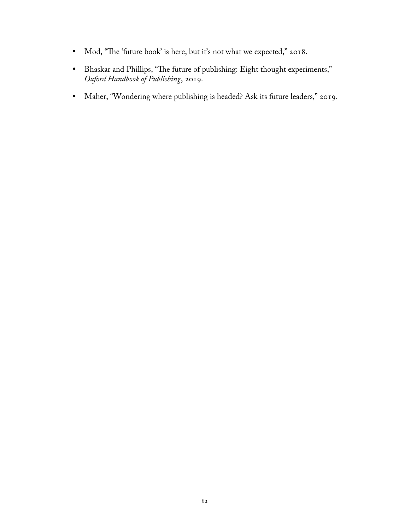- Mod, "The 'future book' is here, but it's not what we expected," 2018.
- Bhaskar and Phillips, "The future of publishing: Eight thought experiments," *Oxford Handbook of Publishing*, 2019.
- Maher, "Wondering where publishing is headed? Ask its future leaders," 2019.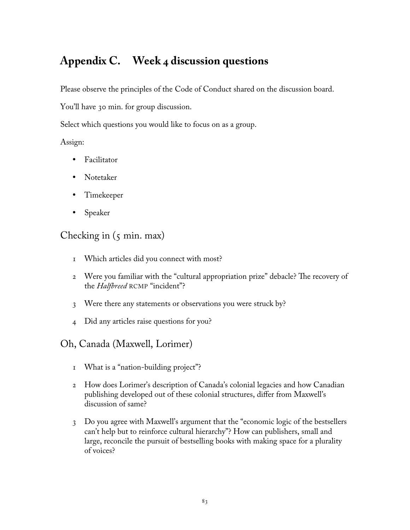# **Appendix C. Week 4 discussion questions**

Please observe the principles of the [Code of Conduct](https://magsbc.com/wp-content/uploads/2019/05/Code-of-Conduct-Inclusivity-Workshops-MagsBC-and-ABPBC.pdf) shared on the discussion board.

You'll have 30 min. for group discussion.

Select which questions you would like to focus on as a group.

### Assign:

- Facilitator
- Notetaker
- Timekeeper
- Speaker

### Checking in  $(5 \text{ min. max})$

- 1 Which articles did you connect with most?
- 2 Were you familiar with the "cultural appropriation prize" debacle? The recovery of the *Halfbreed* RCMP "incident"?
- 3 Were there any statements or observations you were struck by?
- 4 Did any articles raise questions for you?
- Oh, Canada (Maxwell, Lorimer)
	- 1 What is a "nation-building project"?
	- 2 How does Lorimer's description of Canada's colonial legacies and how Canadian publishing developed out of these colonial structures, differ from Maxwell's discussion of same?
	- 3 Do you agree with Maxwell's argument that the "economic logic of the bestsellers can't help but to reinforce cultural hierarchy"? How can publishers, small and large, reconcile the pursuit of bestselling books with making space for a plurality of voices?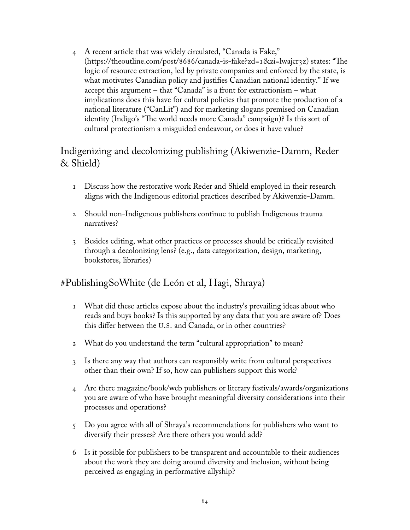4 A recent article that was widely circulated, "Canada is Fake," (https://theoutline.com/post/8686/canada-is-fake?zd=1&zi=lwajcr3z) states: "The logic of resource extraction, led by private companies and enforced by the state, is what motivates Canadian policy and justifies Canadian national identity." If we accept this argument – that "Canada" is a front for extractionism – what implications does this have for cultural policies that promote the production of a national literature ("CanLit") and for marketing slogans premised on Canadian identity (Indigo's "The world needs more Canada" campaign)? Is this sort of cultural protectionism a misguided endeavour, or does it have value?

### Indigenizing and decolonizing publishing (Akiwenzie-Damm, Reder & Shield)

- 1 Discuss how the restorative work Reder and Shield employed in their research aligns with the Indigenous editorial practices described by Akiwenzie-Damm.
- 2 Should non-Indigenous publishers continue to publish Indigenous trauma narratives?
- 3 Besides editing, what other practices or processes should be critically revisited through a decolonizing lens? (e.g., data categorization, design, marketing, bookstores, libraries)

### #PublishingSoWhite (de León et al, Hagi, Shraya)

- 1 What did these articles expose about the industry's prevailing ideas about who reads and buys books? Is this supported by any data that you are aware of? Does this differ between the U.S. and Canada, or in other countries?
- 2 What do you understand the term "cultural appropriation" to mean?
- 3 Is there any way that authors can responsibly write from cultural perspectives other than their own? If so, how can publishers support this work?
- 4 Are there magazine/book/web publishers or literary festivals/awards/organizations you are aware of who have brought meaningful diversity considerations into their processes and operations?
- 5 Do you agree with all of Shraya's recommendations for publishers who want to diversify their presses? Are there others you would add?
- 6 Is it possible for publishers to be transparent and accountable to their audiences about the work they are doing around diversity and inclusion, without being perceived as engaging in performative allyship?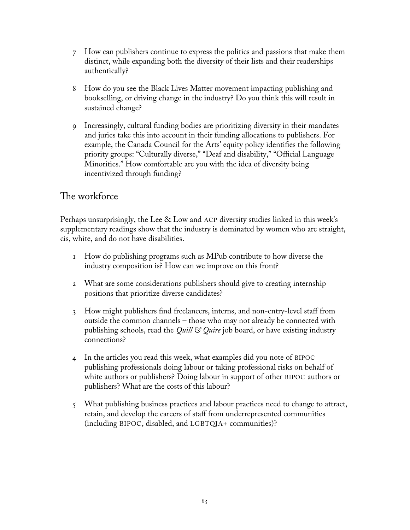- 7 How can publishers continue to express the politics and passions that make them distinct, while expanding both the diversity of their lists and their readerships authentically?
- 8 How do you see the Black Lives Matter movement impacting publishing and bookselling, or driving change in the industry? Do you think this will result in sustained change?
- 9 Increasingly, cultural funding bodies are prioritizing diversity in their mandates and juries take this into account in their funding allocations to publishers. For example, the Canada Council for the Arts' equity policy identifies the following priority groups: "Culturally diverse," "Deaf and disability," "Official Language Minorities." How comfortable are you with the idea of diversity being incentivized through funding?

## The workforce

Perhaps unsurprisingly, the Lee & Low and ACP diversity studies linked in this week's supplementary readings show that the industry is dominated by women who are straight, cis, white, and do not have disabilities.

- 1 How do publishing programs such as MPub contribute to how diverse the industry composition is? How can we improve on this front?
- 2 What are some considerations publishers should give to creating internship positions that prioritize diverse candidates?
- 3 How might publishers find freelancers, interns, and non-entry-level staff from outside the common channels – those who may not already be connected with publishing schools, read the *Quill & Quire* job board, or have existing industry connections?
- 4 In the articles you read this week, what examples did you note of BIPOC publishing professionals doing labour or taking professional risks on behalf of white authors or publishers? Doing labour in support of other BIPOC authors or publishers? What are the costs of this labour?
- 5 What publishing business practices and labour practices need to change to attract, retain, and develop the careers of staff from underrepresented communities (including BIPOC, disabled, and LGBTQIA+ communities)?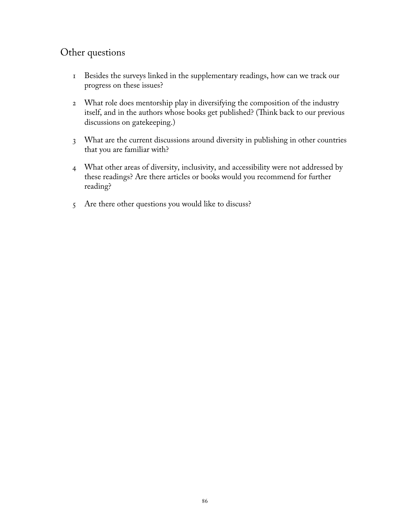## Other questions

- 1 Besides the surveys linked in the supplementary readings, how can we track our progress on these issues?
- 2 What role does mentorship play in diversifying the composition of the industry itself, and in the authors whose books get published? (Think back to our previous discussions on gatekeeping.)
- 3 What are the current discussions around diversity in publishing in other countries that you are familiar with?
- 4 What other areas of diversity, inclusivity, and accessibility were not addressed by these readings? Are there articles or books would you recommend for further reading?
- 5 Are there other questions you would like to discuss?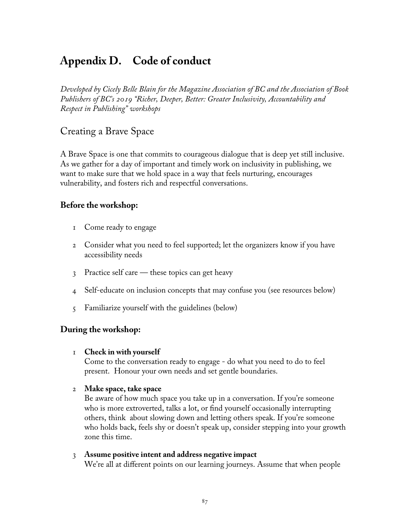# **Appendix D. Code of conduct**

*Developed by Cicely Belle Blain for the Magazine Association of BC and the Association of Book Publishers of BC's 2019 "Richer, Deeper, Better: Greater Inclusivity, Accountability and Respect in Publishing" workshops*

### Creating a Brave Space

A Brave Space is one that commits to courageous dialogue that is deep yet still inclusive. As we gather for a day of important and timely work on inclusivity in publishing, we want to make sure that we hold space in a way that feels nurturing, encourages vulnerability, and fosters rich and respectful conversations.

### **Before the workshop:**

- 1 Come ready to engage
- 2 Consider what you need to feel supported; let the organizers know if you have accessibility needs
- 3 Practice self care these topics can get heavy
- 4 Self-educate on inclusion concepts that may confuse you (see resources below)
- 5 Familiarize yourself with the guidelines (below)

#### **During the workshop:**

#### 1 **Check in with yourself**

Come to the conversation ready to engage - do what you need to do to feel present. Honour your own needs and set gentle boundaries.

#### 2 **Make space, take space**

Be aware of how much space you take up in a conversation. If you're someone who is more extroverted, talks a lot, or find yourself occasionally interrupting others, think about slowing down and letting others speak. If you're someone who holds back, feels shy or doesn't speak up, consider stepping into your growth zone this time.

#### 3 **Assume positive intent and address negative impact**

We're all at different points on our learning journeys. Assume that when people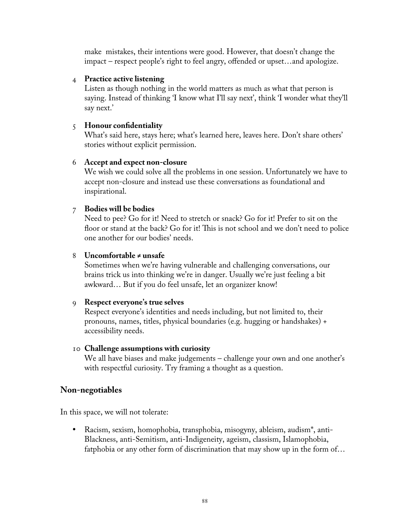make mistakes, their intentions were good. However, that doesn't change the impact – respect people's right to feel angry, offended or upset…and apologize.

#### 4 **Practice active listening**

Listen as though nothing in the world matters as much as what that person is saying. Instead of thinking 'I know what I'll say next', think 'I wonder what they'll say next.'

#### 5 **Honour confidentiality**

What's said here, stays here; what's learned here, leaves here. Don't share others' stories without explicit permission.

#### 6 **Accept and expect non-closure**

We wish we could solve all the problems in one session. Unfortunately we have to accept non-closure and instead use these conversations as foundational and inspirational.

#### 7 **Bodies will be bodies**

Need to pee? Go for it! Need to stretch or snack? Go for it! Prefer to sit on the floor or stand at the back? Go for it! This is not school and we don't need to police one another for our bodies' needs.

#### 8 **Uncomfortable ≠ unsafe**

Sometimes when we're having vulnerable and challenging conversations, our brains trick us into thinking we're in danger. Usually we're just feeling a bit awkward… But if you do feel unsafe, let an organizer know!

#### 9 **Respect everyone's true selves**

Respect everyone's identities and needs including, but not limited to, their pronouns, names, titles, physical boundaries (e.g. hugging or handshakes) + accessibility needs.

#### 10 **Challenge assumptions with curiosity**

We all have biases and make judgements – challenge your own and one another's with respectful curiosity. Try framing a thought as a question.

#### **Non-negotiables**

In this space, we will not tolerate:

 Racism, sexism, homophobia, transphobia, misogyny, ableism, audism\*, anti-Blackness, anti-Semitism, anti-Indigeneity, ageism, classism, Islamophobia, fatphobia or any other form of discrimination that may show up in the form of…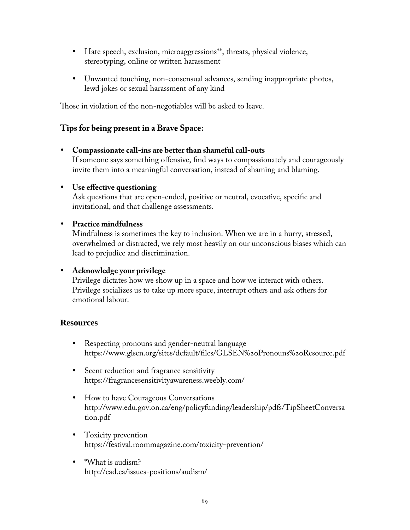- Hate speech, exclusion, microaggressions\*\*, threats, physical violence, stereotyping, online or written harassment
- Unwanted touching, non-consensual advances, sending inappropriate photos, lewd jokes or sexual harassment of any kind

Those in violation of the non-negotiables will be asked to leave.

### **Tips for being present in a Brave Space:**

 **Compassionate call-ins are better than shameful call-outs** If someone says something offensive, find ways to compassionately and courageously invite them into a meaningful conversation, instead of shaming and blaming.

#### **Use effective questioning**

Ask questions that are open-ended, positive or neutral, evocative, specific and invitational, and that challenge assessments.

#### **Practice mindfulness**

Mindfulness is sometimes the key to inclusion. When we are in a hurry, stressed, overwhelmed or distracted, we rely most heavily on our unconscious biases which can lead to prejudice and discrimination.

#### **Acknowledge your privilege**

Privilege dictates how we show up in a space and how we interact with others. Privilege socializes us to take up more space, interrupt others and ask others for emotional labour.

#### **Resources**

- Respecting pronouns and gender-neutral language <https://www.glsen.org/sites/default/files/GLSEN%20Pronouns%20Resource.pdf>
- Scent reduction and fragrance sensitivity <https://fragrancesensitivityawareness.weebly.com/>
- How to have Courageous Conversations [http://www.edu.gov.on.ca/eng/policyfunding/leadership/pdfs/TipSheetConversa](http://www.edu.gov.on.ca/eng/policyfunding/leadership/pdfs/TipSheetConversa%20tion.pdf)  [tion.pdf](http://www.edu.gov.on.ca/eng/policyfunding/leadership/pdfs/TipSheetConversa%20tion.pdf)
- Toxicity prevention <https://festival.roommagazine.com/toxicity-prevention/>
- \*What is audism? <http://cad.ca/issues-positions/audism/>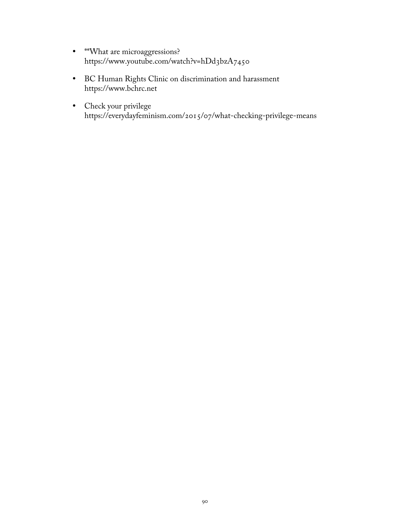- \*\*What are microaggressions? <https://www.youtube.com/watch?v=hDd3bzA7450>
- BC Human Rights Clinic on discrimination and harassment [https://www.bchrc.net](https://www.bchrc.net/)
- Check your privilege https://everydayfeminism.com/2015/07/what-checking-privilege-means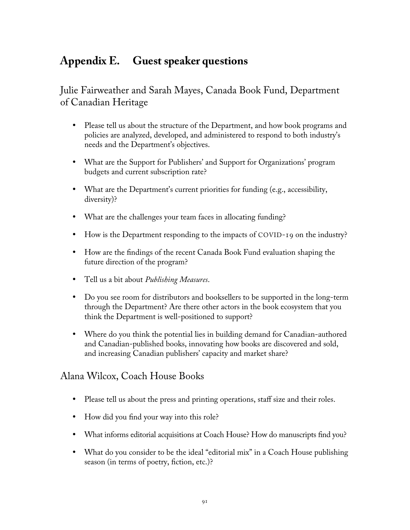# **Appendix E. Guest speaker questions**

Julie Fairweather and Sarah Mayes, Canada Book Fund, Department of Canadian Heritage

- Please tell us about the structure of the Department, and how book programs and policies are analyzed, developed, and administered to respond to both industry's needs and the Department's objectives.
- What are the Support for Publishers' and Support for Organizations' program budgets and current subscription rate?
- What are the Department's current priorities for funding (e.g., accessibility, diversity)?
- What are the challenges your team faces in allocating funding?
- How is the Department responding to the impacts of COVID-19 on the industry?
- How are the findings of the recent Canada Book Fund evaluation shaping the future direction of the program?
- Tell us a bit about *Publishing Measures*.
- Do you see room for distributors and booksellers to be supported in the long-term through the Department? Are there other actors in the book ecosystem that you think the Department is well-positioned to support?
- Where do you think the potential lies in building demand for Canadian-authored and Canadian-published books, innovating how books are discovered and sold, and increasing Canadian publishers' capacity and market share?

### Alana Wilcox, Coach House Books

- Please tell us about the press and printing operations, staff size and their roles.
- How did you find your way into this role?
- What informs editorial acquisitions at Coach House? How do manuscripts find you?
- What do you consider to be the ideal "editorial mix" in a Coach House publishing season (in terms of poetry, fiction, etc.)?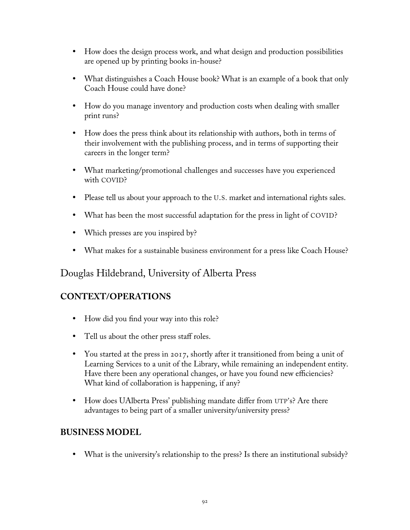- How does the design process work, and what design and production possibilities are opened up by printing books in-house?
- What distinguishes a Coach House book? What is an example of a book that only Coach House could have done?
- How do you manage inventory and production costs when dealing with smaller print runs?
- How does the press think about its relationship with authors, both in terms of their involvement with the publishing process, and in terms of supporting their careers in the longer term?
- What marketing/promotional challenges and successes have you experienced with COVID?
- Please tell us about your approach to the U.S. market and international rights sales.
- What has been the most successful adaptation for the press in light of COVID?
- Which presses are you inspired by?
- What makes for a sustainable business environment for a press like Coach House?

### Douglas Hildebrand, University of Alberta Press

### **CONTEXT/OPERATIONS**

- How did you find your way into this role?
- Tell us about the other press staff roles.
- You started at the press in 2017, shortly after it transitioned from being a unit of Learning Services to a unit of the Library, while remaining an independent entity. Have there been any operational changes, or have you found new efficiencies? What kind of collaboration is happening, if any?
- How does UAlberta Press' publishing mandate differ from UTP's? Are there advantages to being part of a smaller university/university press?

### **BUSINESS MODEL**

What is the university's relationship to the press? Is there an institutional subsidy?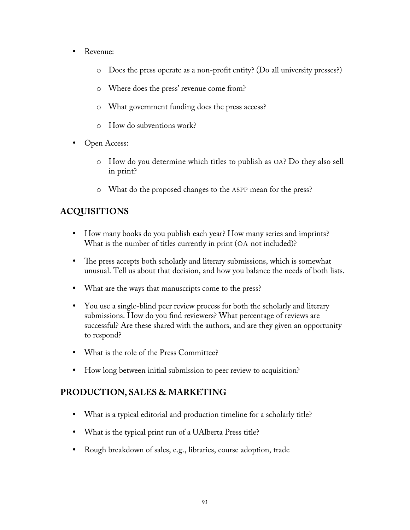- Revenue:
	- o Does the press operate as a non-profit entity? (Do all university presses?)
	- o Where does the press' revenue come from?
	- o What government funding does the press access?
	- o How do subventions work?
- Open Access:
	- o How do you determine which titles to publish as OA? Do they also sell in print?
	- o What do the proposed changes to the ASPP mean for the press?

### **ACQUISITIONS**

- How many books do you publish each year? How many series and imprints? What is the number of titles currently in print (OA not included)?
- The press accepts both scholarly and literary submissions, which is somewhat unusual. Tell us about that decision, and how you balance the needs of both lists.
- What are the ways that manuscripts come to the press?
- You use a single-blind peer review process for both the scholarly and literary submissions. How do you find reviewers? What percentage of reviews are successful? Are these shared with the authors, and are they given an opportunity to respond?
- What is the role of the Press Committee?
- How long between initial submission to peer review to acquisition?

### **PRODUCTION, SALES & MARKETING**

- What is a typical editorial and production timeline for a scholarly title?
- What is the typical print run of a UAlberta Press title?
- Rough breakdown of sales, e.g., libraries, course adoption, trade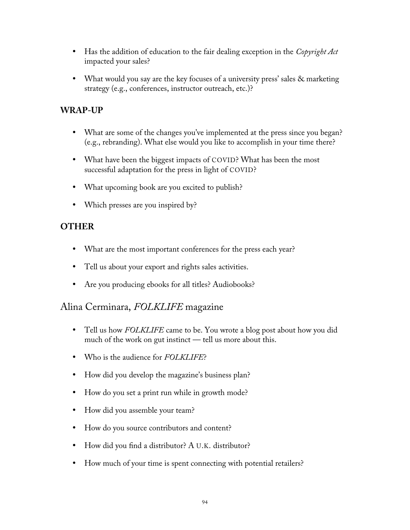- Has the addition of education to the fair dealing exception in the *Copyright Act* impacted your sales?
- What would you say are the key focuses of a university press' sales & marketing strategy (e.g., conferences, instructor outreach, etc.)?

### **WRAP-UP**

- What are some of the changes you've implemented at the press since you began? (e.g., rebranding). What else would you like to accomplish in your time there?
- What have been the biggest impacts of COVID? What has been the most successful adaptation for the press in light of COVID?
- What upcoming book are you excited to publish?
- Which presses are you inspired by?

### **OTHER**

- What are the most important conferences for the press each year?
- Tell us about your export and rights sales activities.
- Are you producing ebooks for all titles? Audiobooks?

### Alina Cerminara, *FOLKLIFE* magazine

- Tell us how *FOLKLIFE* came to be. You wrote a blog post about how you did much of the work on gut instinct — tell us more about this.
- Who is the audience for *FOLKLIFE*?
- How did you develop the magazine's business plan?
- How do you set a print run while in growth mode?
- How did you assemble your team?
- How do you source contributors and content?
- How did you find a distributor? A U.K. distributor?
- How much of your time is spent connecting with potential retailers?